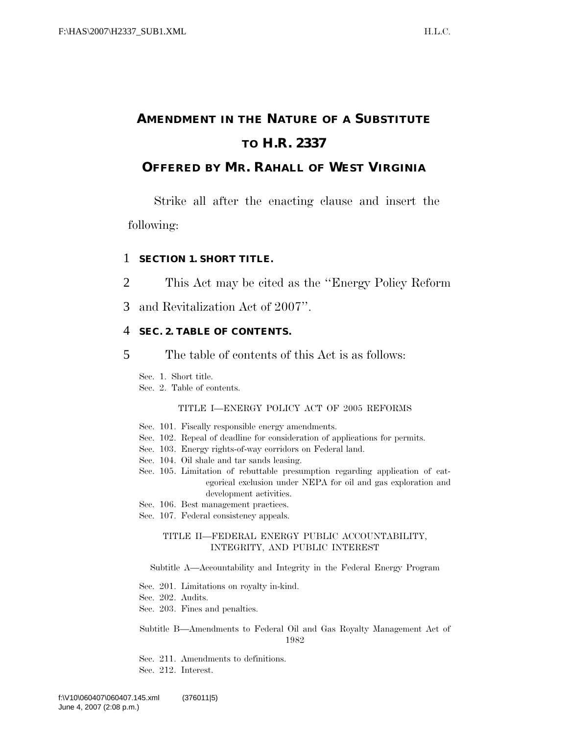## **AMENDMENT IN THE NATURE OF A SUBSTITUTE TO H.R. 2337**

## **OFFERED BY MR. RAHALL OF WEST VIRGINIA**

Strike all after the enacting clause and insert the following:

## 1 **SECTION 1. SHORT TITLE.**

- 2 This Act may be cited as the ''Energy Policy Reform
- 3 and Revitalization Act of 2007''.

## 4 **SEC. 2. TABLE OF CONTENTS.**

5 The table of contents of this Act is as follows:

Sec. 1. Short title.

Sec. 2. Table of contents.

#### TITLE I—ENERGY POLICY ACT OF 2005 REFORMS

- Sec. 101. Fiscally responsible energy amendments.
- Sec. 102. Repeal of deadline for consideration of applications for permits.
- Sec. 103. Energy rights-of-way corridors on Federal land.
- Sec. 104. Oil shale and tar sands leasing.
- Sec. 105. Limitation of rebuttable presumption regarding application of categorical exclusion under NEPA for oil and gas exploration and development activities.
- Sec. 106. Best management practices.
- Sec. 107. Federal consistency appeals.

#### TITLE II—FEDERAL ENERGY PUBLIC ACCOUNTABILITY, INTEGRITY, AND PUBLIC INTEREST

#### Subtitle A—Accountability and Integrity in the Federal Energy Program

- Sec. 201. Limitations on royalty in-kind.
- Sec. 202. Audits.
- Sec. 203. Fines and penalties.

Subtitle B—Amendments to Federal Oil and Gas Royalty Management Act of 1982

Sec. 211. Amendments to definitions.

Sec. 212. Interest.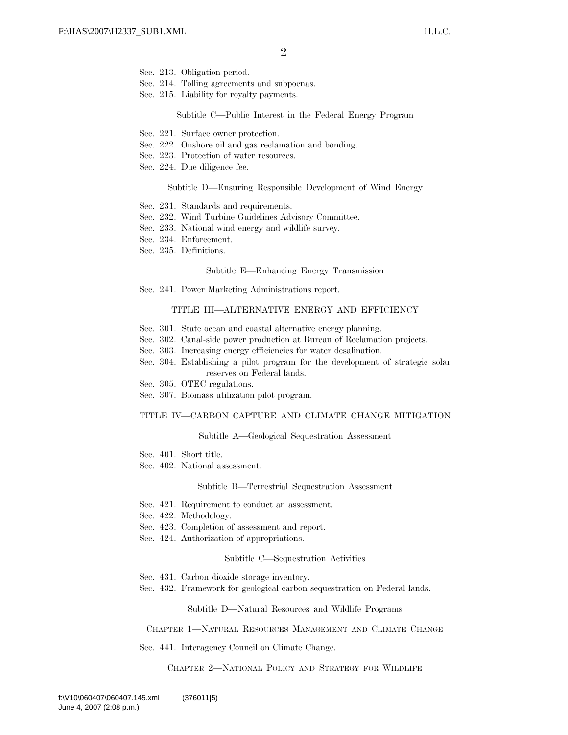- Sec. 213. Obligation period.
- Sec. 214. Tolling agreements and subpoenas.
- Sec. 215. Liability for royalty payments.

#### Subtitle C—Public Interest in the Federal Energy Program

- Sec. 221. Surface owner protection.
- Sec. 222. Onshore oil and gas reclamation and bonding.
- Sec. 223. Protection of water resources.
- Sec. 224. Due diligence fee.

#### Subtitle D—Ensuring Responsible Development of Wind Energy

- Sec. 231. Standards and requirements.
- Sec. 232. Wind Turbine Guidelines Advisory Committee.
- Sec. 233. National wind energy and wildlife survey.
- Sec. 234. Enforcement.
- Sec. 235. Definitions.

#### Subtitle E—Enhancing Energy Transmission

Sec. 241. Power Marketing Administrations report.

#### TITLE III—ALTERNATIVE ENERGY AND EFFICIENCY

- Sec. 301. State ocean and coastal alternative energy planning.
- Sec. 302. Canal-side power production at Bureau of Reclamation projects.
- Sec. 303. Increasing energy efficiencies for water desalination.
- Sec. 304. Establishing a pilot program for the development of strategic solar reserves on Federal lands.
- Sec. 305. OTEC regulations.
- Sec. 307. Biomass utilization pilot program.

#### TITLE IV—CARBON CAPTURE AND CLIMATE CHANGE MITIGATION

#### Subtitle A—Geological Sequestration Assessment

- Sec. 401. Short title.
- Sec. 402. National assessment.

#### Subtitle B—Terrestrial Sequestration Assessment

- Sec. 421. Requirement to conduct an assessment.
- Sec. 422. Methodology.
- Sec. 423. Completion of assessment and report.
- Sec. 424. Authorization of appropriations.

#### Subtitle C—Sequestration Activities

- Sec. 431. Carbon dioxide storage inventory.
- Sec. 432. Framework for geological carbon sequestration on Federal lands.

Subtitle D—Natural Resources and Wildlife Programs

#### CHAPTER 1—NATURAL RESOURCES MANAGEMENT AND CLIMATE CHANGE

Sec. 441. Interagency Council on Climate Change.

CHAPTER 2—NATIONAL POLICY AND STRATEGY FOR WILDLIFE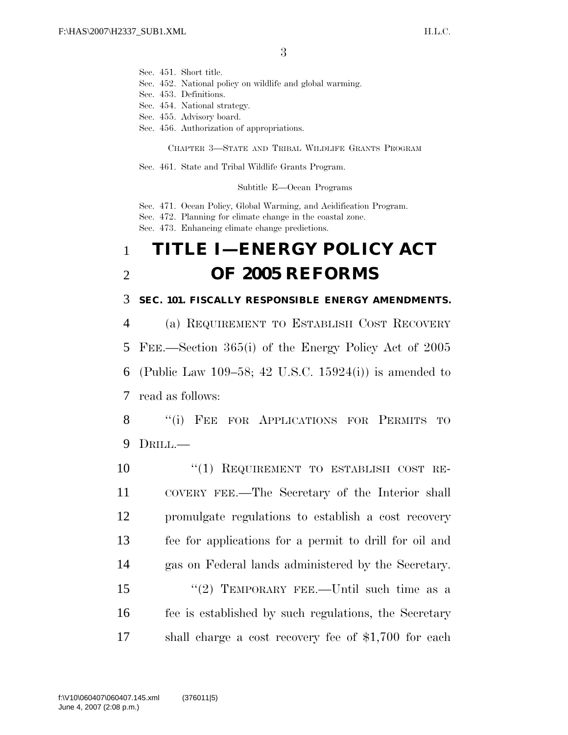Sec. 451. Short title.

Sec. 452. National policy on wildlife and global warming.

- Sec. 453. Definitions.
- Sec. 454. National strategy.
- Sec. 455. Advisory board.
- Sec. 456. Authorization of appropriations.

CHAPTER 3—STATE AND TRIBAL WILDLIFE GRANTS PROGRAM

Sec. 461. State and Tribal Wildlife Grants Program.

Subtitle E—Ocean Programs

Sec. 471. Ocean Policy, Global Warming, and Acidification Program.

Sec. 472. Planning for climate change in the coastal zone.

Sec. 473. Enhancing climate change predictions.

# 1 **TITLE I—ENERGY POLICY ACT**  2 **OF 2005 REFORMS**

3 **SEC. 101. FISCALLY RESPONSIBLE ENERGY AMENDMENTS.** 

 (a) REQUIREMENT TO ESTABLISH COST RECOVERY FEE.—Section 365(i) of the Energy Policy Act of 2005 (Public Law 109–58; 42 U.S.C. 15924(i)) is amended to read as follows:

8 "(i) FEE FOR APPLICATIONS FOR PERMITS TO 9 DRILL.—

 ''(1) REQUIREMENT TO ESTABLISH COST RE- COVERY FEE.—The Secretary of the Interior shall promulgate regulations to establish a cost recovery fee for applications for a permit to drill for oil and gas on Federal lands administered by the Secretary. 15 "(2) TEMPORARY FEE.—Until such time as a fee is established by such regulations, the Secretary shall charge a cost recovery fee of \$1,700 for each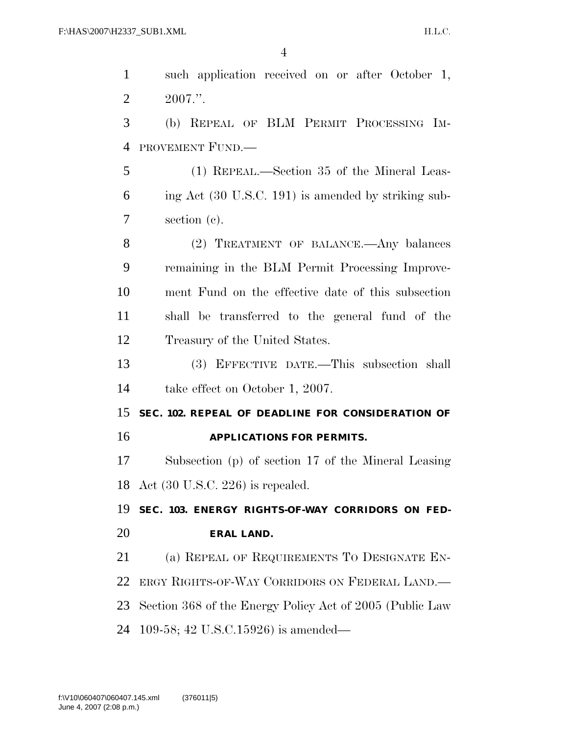| $\mathbf{1}$   | such application received on or after October 1,         |
|----------------|----------------------------------------------------------|
| $\overline{2}$ | $2007."$ .                                               |
| 3              | (b) REPEAL OF BLM PERMIT PROCESSING IM-                  |
| $\overline{4}$ | PROVEMENT FUND.                                          |
| 5              | (1) REPEAL.—Section 35 of the Mineral Leas-              |
| 6              | ing Act (30 U.S.C. 191) is amended by striking sub-      |
| 7              | section (c).                                             |
| 8              | (2) TREATMENT OF BALANCE.—Any balances                   |
| 9              | remaining in the BLM Permit Processing Improve-          |
| 10             | ment Fund on the effective date of this subsection       |
| 11             | shall be transferred to the general fund of the          |
| 12             | Treasury of the United States.                           |
| 13             | (3) EFFECTIVE DATE.—This subsection shall                |
| 14             | take effect on October 1, 2007.                          |
| 15             | SEC. 102. REPEAL OF DEADLINE FOR CONSIDERATION OF        |
| 16             | <b>APPLICATIONS FOR PERMITS.</b>                         |
| 17             | Subsection (p) of section 17 of the Mineral Leasing      |
|                | 18 Act $(30 \text{ U.S.C. } 226)$ is repealed.           |
| 19             | SEC. 103. ENERGY RIGHTS-OF-WAY CORRIDORS ON FED-         |
| 20             | <b>ERAL LAND.</b>                                        |
| 21             | (a) REPEAL OF REQUIREMENTS TO DESIGNATE EN-              |
| 22             | ERGY RIGHTS-OF-WAY CORRIDORS ON FEDERAL LAND.            |
| 23             | Section 368 of the Energy Policy Act of 2005 (Public Law |
| 24             | 109-58; 42 U.S.C.15926) is amended—                      |
|                |                                                          |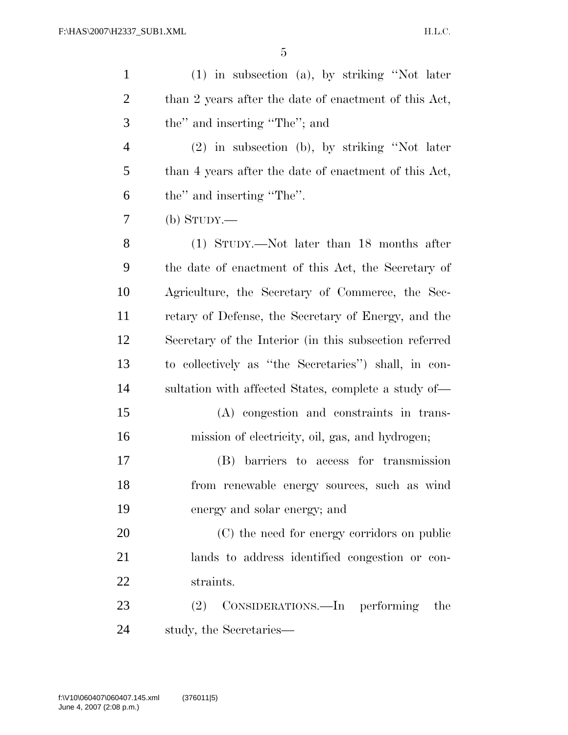| $\mathbf{1}$   | $(1)$ in subsection $(a)$ , by striking "Not later     |
|----------------|--------------------------------------------------------|
| $\overline{c}$ | than 2 years after the date of enactment of this Act,  |
| 3              | the" and inserting "The"; and                          |
| $\overline{4}$ | (2) in subsection (b), by striking "Not later          |
| 5              | than 4 years after the date of enactment of this Act,  |
| 6              | the" and inserting "The".                              |
| 7              | $(b)$ STUDY.—                                          |
| 8              | (1) STUDY.—Not later than 18 months after              |
| 9              | the date of enactment of this Act, the Secretary of    |
| 10             | Agriculture, the Secretary of Commerce, the Sec-       |
| 11             | retary of Defense, the Secretary of Energy, and the    |
| 12             | Secretary of the Interior (in this subsection referred |
| 13             | to collectively as "the Secretaries") shall, in con-   |
| 14             | sultation with affected States, complete a study of—   |
| 15             | (A) congestion and constraints in trans-               |
| 16             | mission of electricity, oil, gas, and hydrogen;        |
| 17             | (B) barriers to access for transmission                |
| 18             | from renewable energy sources, such as wind            |
| 19             | energy and solar energy; and                           |
| 20             | (C) the need for energy corridors on public            |
| 21             | lands to address identified congestion or con-         |
| 22             | straints.                                              |
| 23             | CONSIDERATIONS.—In performing<br>(2)<br>the            |
| 24             | study, the Secretaries-                                |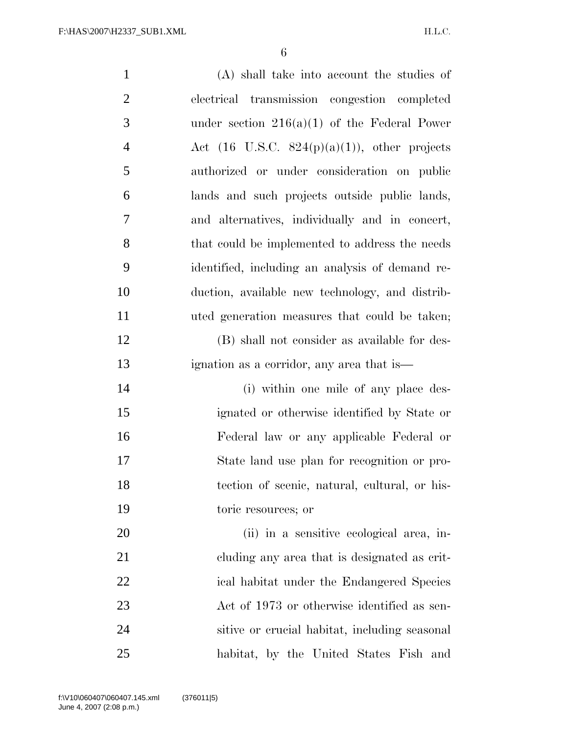| $\mathbf{1}$   | (A) shall take into account the studies of               |
|----------------|----------------------------------------------------------|
| $\overline{2}$ | electrical transmission congestion completed             |
| 3              | under section $216(a)(1)$ of the Federal Power           |
| $\overline{4}$ | Act $(16 \text{ U.S.C. } 824(p)(a)(1))$ , other projects |
| 5              | authorized or under consideration on public              |
| 6              | lands and such projects outside public lands,            |
| 7              | and alternatives, individually and in concert,           |
| 8              | that could be implemented to address the needs           |
| 9              | identified, including an analysis of demand re-          |
| 10             | duction, available new technology, and distrib-          |
| 11             | uted generation measures that could be taken;            |
| 12             | (B) shall not consider as available for des-             |
| 13             | ignation as a corridor, any area that is—                |
| 14             | (i) within one mile of any place des-                    |
| 15             | ignated or otherwise identified by State or              |
| 16             | Federal law or any applicable Federal or                 |
| 17             | State land use plan for recognition or pro-              |
| 18             | tection of scenic, natural, cultural, or his-            |
| 19             | toric resources; or                                      |
| 20             | (ii) in a sensitive ecological area, in-                 |
| 21             | cluding any area that is designated as crit-             |
| 22             | ical habitat under the Endangered Species                |
| 23             | Act of 1973 or otherwise identified as sen-              |
| 24             | sitive or crucial habitat, including seasonal            |
| 25             | habitat, by the United States Fish and                   |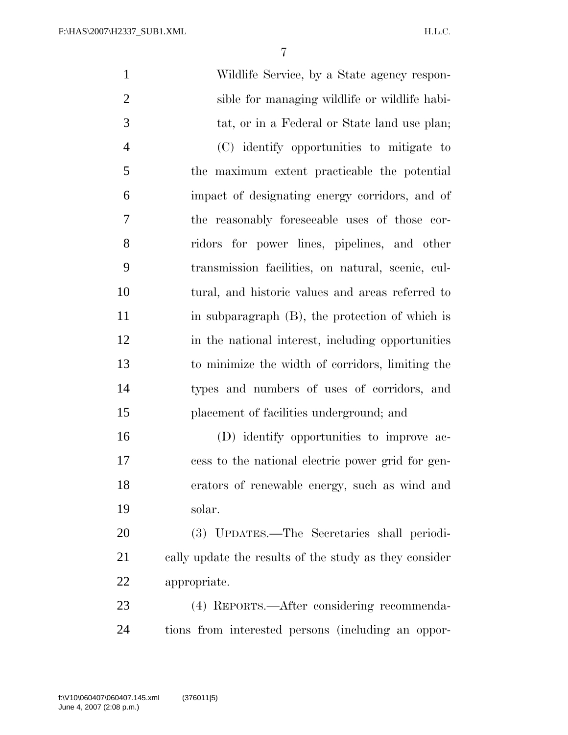| $\mathbf{1}$   | Wildlife Service, by a State agency respon-            |
|----------------|--------------------------------------------------------|
| $\overline{2}$ | sible for managing wildlife or wildlife habi-          |
| 3              | tat, or in a Federal or State land use plan;           |
| $\overline{4}$ | (C) identify opportunities to mitigate to              |
| 5              | the maximum extent practicable the potential           |
| 6              | impact of designating energy corridors, and of         |
| 7              | the reasonably foreseeable uses of those cor-          |
| 8              | ridors for power lines, pipelines, and other           |
| 9              | transmission facilities, on natural, scenic, cul-      |
| 10             | tural, and historic values and areas referred to       |
| 11             | in subparagraph $(B)$ , the protection of which is     |
| 12             | in the national interest, including opportunities      |
| 13             | to minimize the width of corridors, limiting the       |
| 14             | types and numbers of uses of corridors, and            |
| 15             | placement of facilities underground; and               |
| 16             | (D) identify opportunities to improve ac-              |
| 17             | cess to the national electric power grid for gen-      |
| 18             | erators of renewable energy, such as wind and          |
| 19             | solar.                                                 |
| 20             | (3) UPDATES.—The Secretaries shall periodi-            |
| 21             | cally update the results of the study as they consider |
| 22             | appropriate.                                           |
| 23             | (4) REPORTS.—After considering recommenda-             |
| 24             | tions from interested persons (including an oppor-     |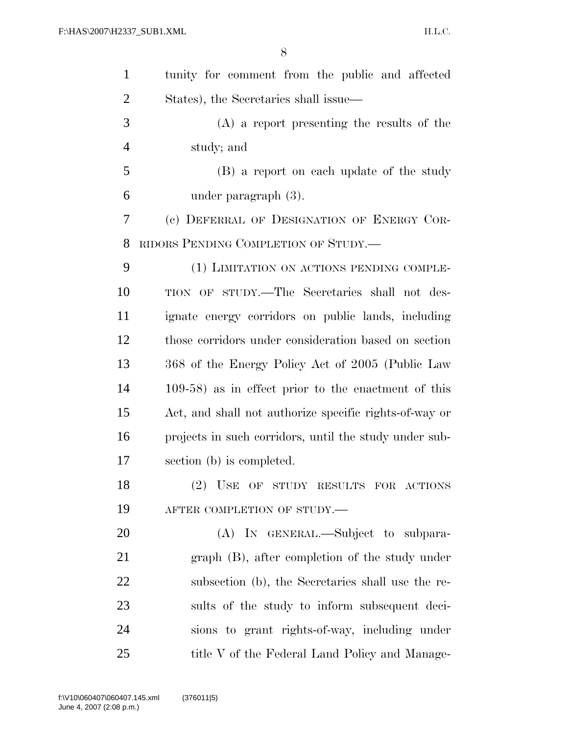| $\mathbf{1}$   | tunity for comment from the public and affected        |
|----------------|--------------------------------------------------------|
| $\overline{2}$ | States), the Secretaries shall issue—                  |
| 3              | $(A)$ a report presenting the results of the           |
| $\overline{4}$ | study; and                                             |
| 5              | (B) a report on each update of the study               |
| 6              | under paragraph $(3)$ .                                |
| 7              | (c) DEFERRAL OF DESIGNATION OF ENERGY COR-             |
| 8              | RIDORS PENDING COMPLETION OF STUDY.—                   |
| 9              | (1) LIMITATION ON ACTIONS PENDING COMPLE-              |
| 10             | TION OF STUDY.—The Secretaries shall not des-          |
| 11             | ignate energy corridors on public lands, including     |
| 12             | those corridors under consideration based on section   |
| 13             | 368 of the Energy Policy Act of 2005 (Public Law       |
| 14             | $109-58$ ) as in effect prior to the enactment of this |
| 15             | Act, and shall not authorize specific rights-of-way or |
| 16             | projects in such corridors, until the study under sub- |
| 17             | section (b) is completed.                              |
| 18             | (2) USE OF STUDY RESULTS FOR ACTIONS                   |
| 19             | AFTER COMPLETION OF STUDY.-                            |
| 20             | (A) IN GENERAL.—Subject to subpara-                    |
| 21             | graph (B), after completion of the study under         |
| 22             | subsection (b), the Secretaries shall use the re-      |
| 23             | sults of the study to inform subsequent deci-          |
| 24             | sions to grant rights-of-way, including under          |
| 25             | title V of the Federal Land Policy and Manage-         |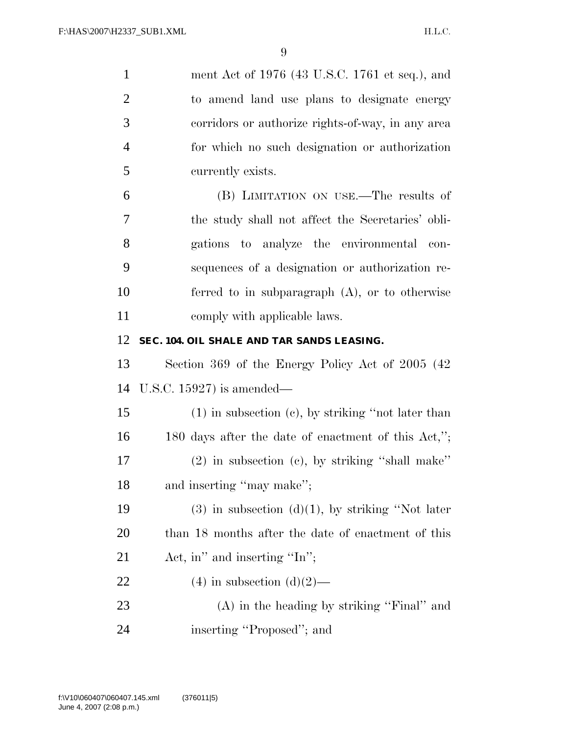| $\mathbf{1}$   | ment Act of 1976 (43 U.S.C. 1761 et seq.), and          |
|----------------|---------------------------------------------------------|
| $\overline{2}$ | to amend land use plans to designate energy             |
| 3              | corridors or authorize rights-of-way, in any area       |
| $\overline{4}$ | for which no such designation or authorization          |
| 5              | currently exists.                                       |
| 6              | (B) LIMITATION ON USE.—The results of                   |
| 7              | the study shall not affect the Secretaries' obli-       |
| 8              | gations to analyze the environmental<br>con-            |
| 9              | sequences of a designation or authorization re-         |
| 10             | ferred to in subparagraph $(A)$ , or to otherwise       |
| 11             | comply with applicable laws.                            |
| 12             | SEC. 104. OIL SHALE AND TAR SANDS LEASING.              |
| 13             | Section 369 of the Energy Policy Act of 2005 (42)       |
| 14             | U.S.C. 15927) is amended—                               |
| 15             | $(1)$ in subsection $(e)$ , by striking "not later than |
| 16             |                                                         |
|                | 180 days after the date of enactment of this Act,";     |
| 17             | $(2)$ in subsection $(e)$ , by striking "shall make"    |
| 18             | and inserting "may make";                               |
| 19             | $(3)$ in subsection $(d)(1)$ , by striking "Not later   |
| <b>20</b>      | than 18 months after the date of enactment of this      |
| 21             | Act, in" and inserting "In";                            |
| 22             | $(4)$ in subsection $(d)(2)$ —                          |
| 23             | $(A)$ in the heading by striking "Final" and            |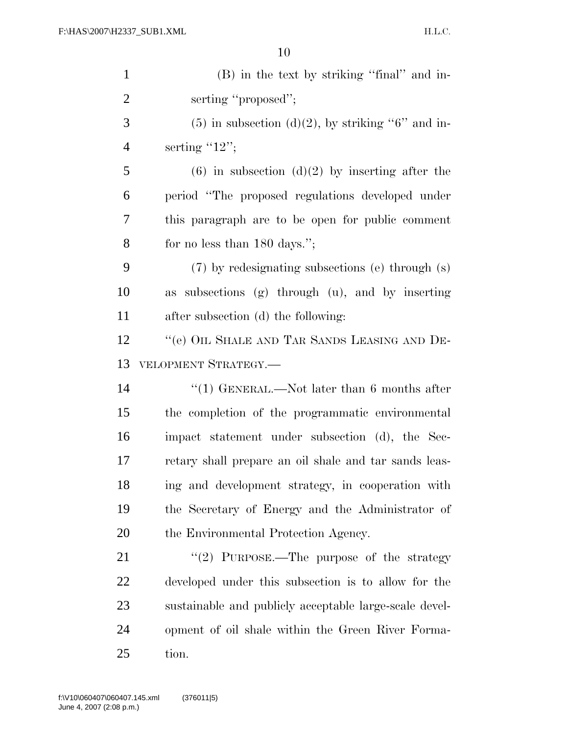| $\mathbf{1}$   | (B) in the text by striking "final" and in-            |
|----------------|--------------------------------------------------------|
| $\overline{2}$ | serting "proposed";                                    |
| 3              | $(5)$ in subsection $(d)(2)$ , by striking "6" and in- |
| $\overline{4}$ | serting $"12"$ ;                                       |
| 5              | $(6)$ in subsection $(d)(2)$ by inserting after the    |
| 6              | period "The proposed regulations developed under       |
| 7              | this paragraph are to be open for public comment       |
| 8              | for no less than $180 \text{ days}$ .";                |
| 9              | (7) by redesignating subsections (e) through (s)       |
| 10             | as subsections (g) through (u), and by inserting       |
| 11             | after subsection (d) the following:                    |
| 12             | "(e) OIL SHALE AND TAR SANDS LEASING AND DE-           |
| 13             | VELOPMENT STRATEGY.-                                   |
| 14             | "(1) GENERAL.—Not later than 6 months after            |
| 15             | the completion of the programmatic environmental       |
| 16             | impact statement under subsection (d), the Sec-        |
| 17             | retary shall prepare an oil shale and tar sands leas-  |
| 18             | ing and development strategy, in cooperation with      |
| 19             | the Secretary of Energy and the Administrator of       |
| 20             | the Environmental Protection Agency.                   |
| 21             | "(2) PURPOSE.—The purpose of the strategy              |
| 22             | developed under this subsection is to allow for the    |
| 23             | sustainable and publicly acceptable large-scale devel- |
| 24             | opment of oil shale within the Green River Forma-      |
| 25             | tion.                                                  |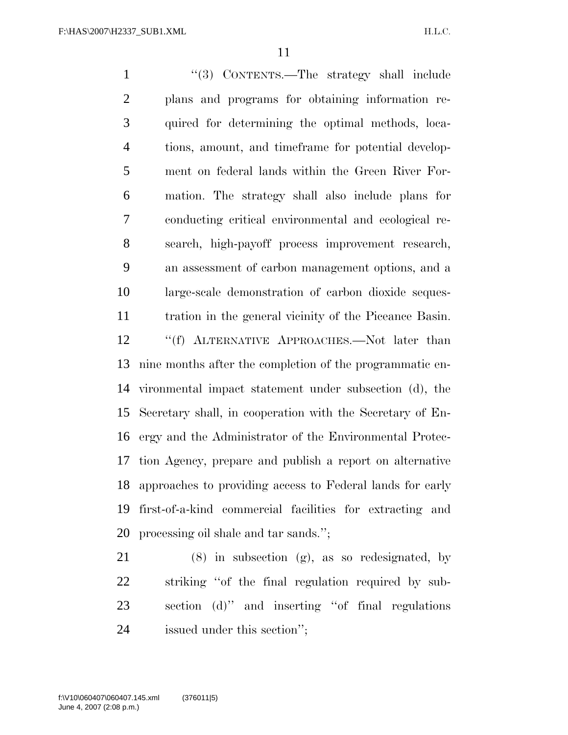1 ''(3) CONTENTS.—The strategy shall include plans and programs for obtaining information re- quired for determining the optimal methods, loca- tions, amount, and timeframe for potential develop- ment on federal lands within the Green River For- mation. The strategy shall also include plans for conducting critical environmental and ecological re- search, high-payoff process improvement research, an assessment of carbon management options, and a large-scale demonstration of carbon dioxide seques- tration in the general vicinity of the Piceance Basin. ''(f) ALTERNATIVE APPROACHES.—Not later than nine months after the completion of the programmatic en- vironmental impact statement under subsection (d), the Secretary shall, in cooperation with the Secretary of En- ergy and the Administrator of the Environmental Protec- tion Agency, prepare and publish a report on alternative approaches to providing access to Federal lands for early first-of-a-kind commercial facilities for extracting and processing oil shale and tar sands.'';

 (8) in subsection (g), as so redesignated, by striking ''of the final regulation required by sub- section (d)'' and inserting ''of final regulations issued under this section'';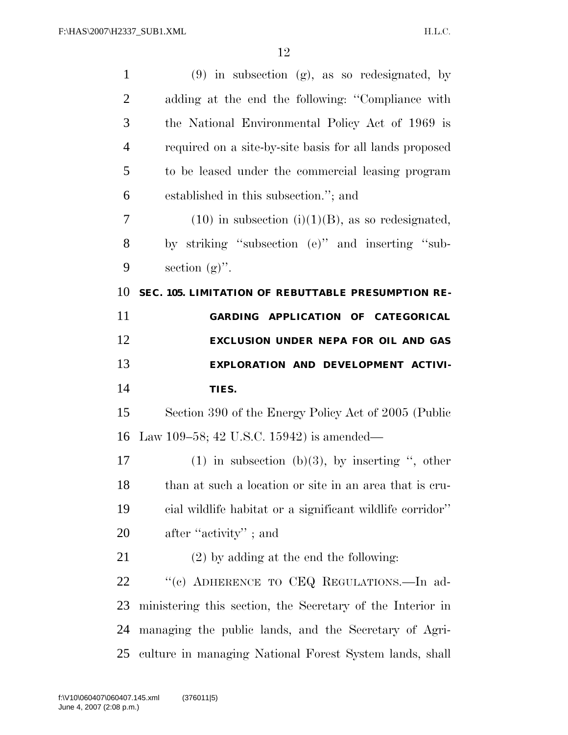| $\mathbf{1}$   | $(9)$ in subsection $(g)$ , as so redesignated, by         |
|----------------|------------------------------------------------------------|
| $\overline{2}$ | adding at the end the following: "Compliance with          |
| 3              | the National Environmental Policy Act of 1969 is           |
| $\overline{4}$ | required on a site-by-site basis for all lands proposed    |
| 5              | to be leased under the commercial leasing program          |
| 6              | established in this subsection."; and                      |
| 7              | $(10)$ in subsection $(i)(1)(B)$ , as so redesignated,     |
| 8              | by striking "subsection (e)" and inserting "sub-           |
| 9              | section $(g)$ ".                                           |
| 10             | SEC. 105. LIMITATION OF REBUTTABLE PRESUMPTION RE-         |
| 11             | GARDING APPLICATION OF CATEGORICAL                         |
| 12             | EXCLUSION UNDER NEPA FOR OIL AND GAS                       |
|                |                                                            |
| 13             | EXPLORATION AND DEVELOPMENT ACTIVI-                        |
| 14             | TIES.                                                      |
| 15             | Section 390 of the Energy Policy Act of 2005 (Public       |
| 16             | Law 109–58; 42 U.S.C. 15942) is amended—                   |
| 17             | (1) in subsection (b)(3), by inserting ", other            |
| 18             | than at such a location or site in an area that is cru-    |
| 19             | cial wildlife habitat or a significant wildlife corridor"  |
| 20             | after "activity"; and                                      |
| 21             | $(2)$ by adding at the end the following:                  |
| 22             | "(c) ADHERENCE TO CEQ REGULATIONS.—In ad-                  |
| 23             | ministering this section, the Secretary of the Interior in |
| 24             | managing the public lands, and the Secretary of Agri-      |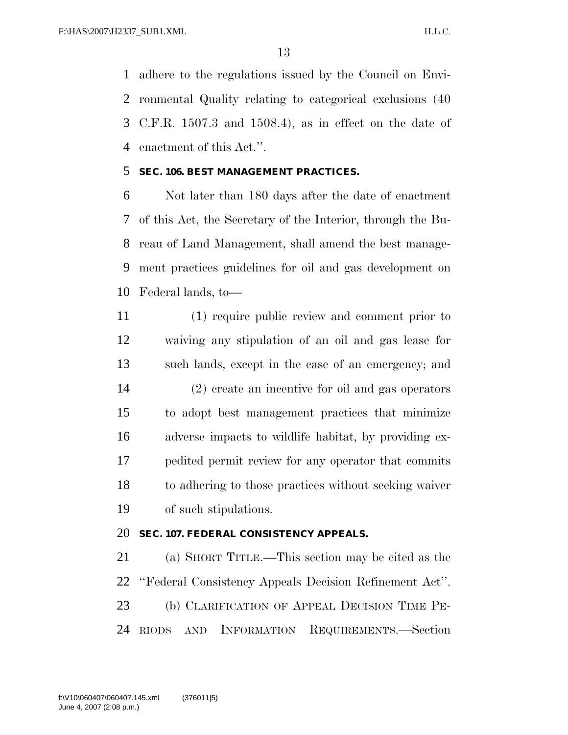adhere to the regulations issued by the Council on Envi- ronmental Quality relating to categorical exclusions (40 C.F.R. 1507.3 and 1508.4), as in effect on the date of enactment of this Act.''.

## **SEC. 106. BEST MANAGEMENT PRACTICES.**

 Not later than 180 days after the date of enactment of this Act, the Secretary of the Interior, through the Bu- reau of Land Management, shall amend the best manage- ment practices guidelines for oil and gas development on Federal lands, to—

 (1) require public review and comment prior to waiving any stipulation of an oil and gas lease for such lands, except in the case of an emergency; and (2) create an incentive for oil and gas operators to adopt best management practices that minimize adverse impacts to wildlife habitat, by providing ex- pedited permit review for any operator that commits to adhering to those practices without seeking waiver of such stipulations.

## **SEC. 107. FEDERAL CONSISTENCY APPEALS.**

 (a) SHORT TITLE.—This section may be cited as the ''Federal Consistency Appeals Decision Refinement Act''. (b) CLARIFICATION OF APPEAL DECISION TIME PE-RIODS AND INFORMATION REQUIREMENTS.—Section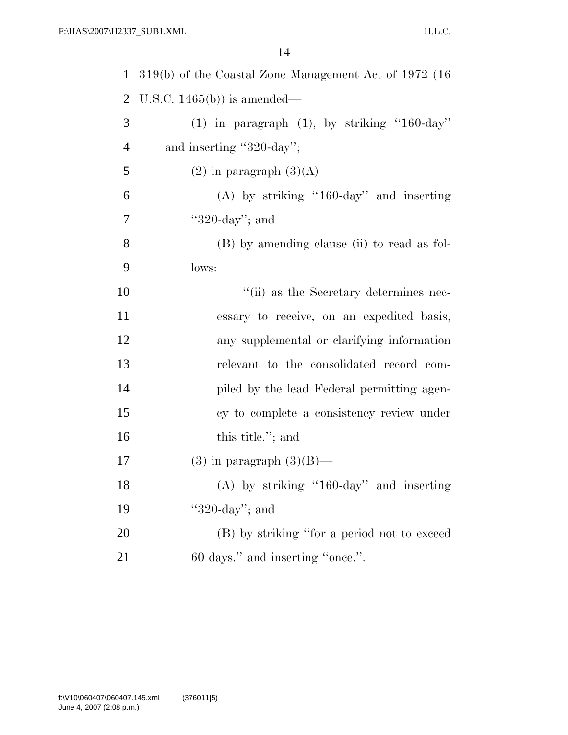| $\mathbf{1}$   | 319(b) of the Coastal Zone Management Act of 1972 (16 |
|----------------|-------------------------------------------------------|
| $\overline{2}$ | U.S.C. $1465(b)$ is amended—                          |
| 3              | $(1)$ in paragraph $(1)$ , by striking "160-day"      |
| $\overline{4}$ | and inserting "320-day";                              |
| 5              | $(2)$ in paragraph $(3)(A)$ —                         |
| 6              | $(A)$ by striking "160-day" and inserting             |
| 7              | " $320$ -day"; and                                    |
| 8              | (B) by amending clause (ii) to read as fol-           |
| 9              | lows:                                                 |
| 10             | "(ii) as the Secretary determines nec-                |
| 11             | essary to receive, on an expedited basis,             |
| 12             | any supplemental or clarifying information            |
| 13             | relevant to the consolidated record com-              |
| 14             | piled by the lead Federal permitting agen-            |
| 15             | cy to complete a consistency review under             |
| 16             | this title."; and                                     |
| 17             | $(3)$ in paragraph $(3)(B)$ —                         |
| 18             | $(A)$ by striking "160-day" and inserting             |
| 19             | " $320$ -day"; and                                    |
| 20             | (B) by striking "for a period not to exceed           |
| 21             | 60 days." and inserting "once.".                      |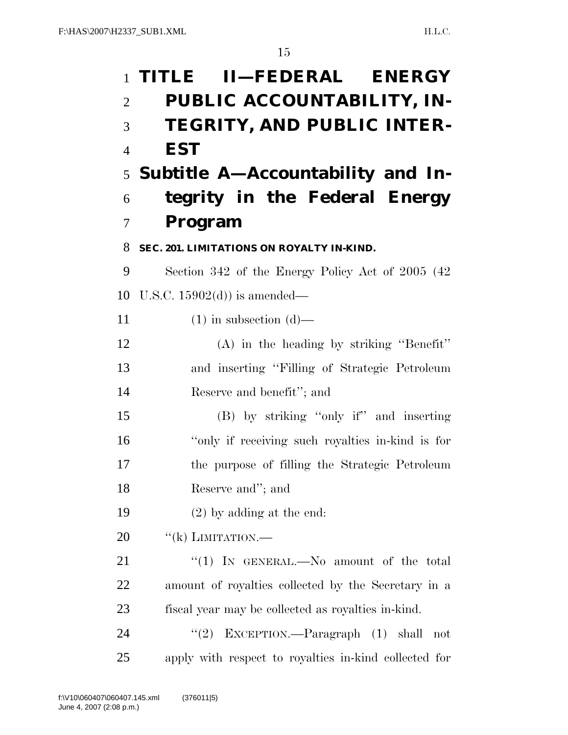|                | 1 TITLE II—FEDERAL ENERGY                             |
|----------------|-------------------------------------------------------|
| $\overline{2}$ | PUBLIC ACCOUNTABILITY, IN-                            |
| 3              | TEGRITY, AND PUBLIC INTER-                            |
| $\overline{4}$ | <b>EST</b>                                            |
|                | 5 Subtitle A—Accountability and In-                   |
| 6              | tegrity in the Federal Energy                         |
| 7              | Program                                               |
| 8              | SEC. 201. LIMITATIONS ON ROYALTY IN-KIND.             |
| 9              | Section 342 of the Energy Policy Act of 2005 (42)     |
| 10             | U.S.C. $15902(d)$ is amended—                         |
| 11             | $(1)$ in subsection $(d)$ —                           |
| 12             | (A) in the heading by striking "Benefit"              |
| 13             | and inserting "Filling of Strategic Petroleum         |
| 14             | Reserve and benefit"; and                             |
| 15             | (B) by striking "only if" and inserting               |
| 16             | "only if receiving such royalties in-kind is for      |
| 17             | the purpose of filling the Strategic Petroleum        |
| 18             | Reserve and"; and                                     |
| 19             | $(2)$ by adding at the end:                           |
| 20             | "(k) LIMITATION.—                                     |
| 21             | "(1) IN GENERAL.—No amount of the total               |
| 22             | amount of royalties collected by the Secretary in a   |
| 23             | fiscal year may be collected as royalties in-kind.    |
| 24             | (2)<br>EXCEPTION.—Paragraph (1) shall<br>not          |
| 25             | apply with respect to royalties in-kind collected for |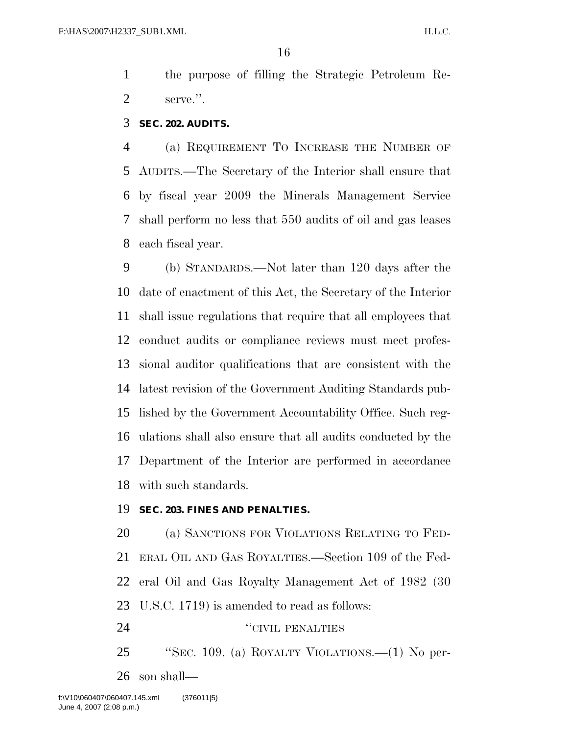the purpose of filling the Strategic Petroleum Re-serve.''.

## **SEC. 202. AUDITS.**

 (a) REQUIREMENT TO INCREASE THE NUMBER OF AUDITS.—The Secretary of the Interior shall ensure that by fiscal year 2009 the Minerals Management Service shall perform no less that 550 audits of oil and gas leases each fiscal year.

 (b) STANDARDS.—Not later than 120 days after the date of enactment of this Act, the Secretary of the Interior shall issue regulations that require that all employees that conduct audits or compliance reviews must meet profes- sional auditor qualifications that are consistent with the latest revision of the Government Auditing Standards pub- lished by the Government Accountability Office. Such reg- ulations shall also ensure that all audits conducted by the Department of the Interior are performed in accordance with such standards.

## **SEC. 203. FINES AND PENALTIES.**

 (a) SANCTIONS FOR VIOLATIONS RELATING TO FED- ERAL OIL AND GAS ROYALTIES.—Section 109 of the Fed- eral Oil and Gas Royalty Management Act of 1982 (30 U.S.C. 1719) is amended to read as follows: ''CIVIL PENALTIES

 ''SEC. 109. (a) ROYALTY VIOLATIONS.—(1) No per-son shall—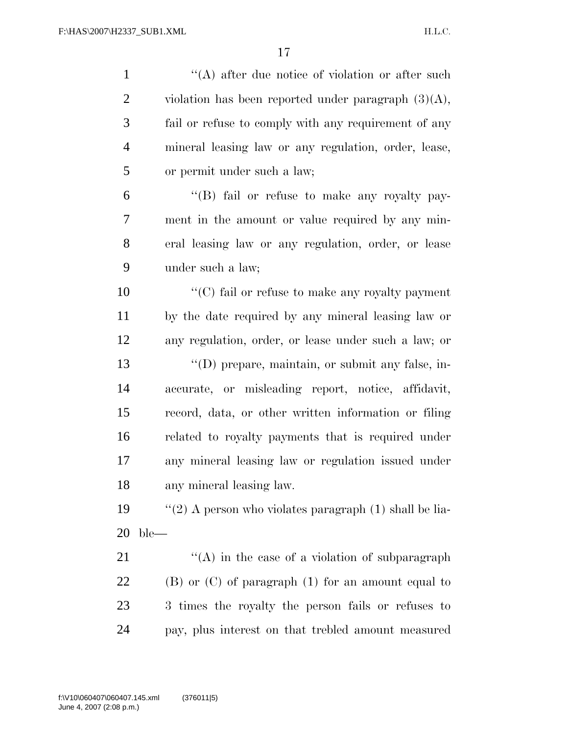| $\mathbf{1}$   | "(A) after due notice of violation or after such         |
|----------------|----------------------------------------------------------|
| $\overline{2}$ | violation has been reported under paragraph $(3)(A)$ ,   |
| $\mathfrak{Z}$ | fail or refuse to comply with any requirement of any     |
| $\overline{4}$ | mineral leasing law or any regulation, order, lease,     |
| 5              | or permit under such a law;                              |
| 6              | "(B) fail or refuse to make any royalty pay-             |
| 7              | ment in the amount or value required by any min-         |
| 8              | eral leasing law or any regulation, order, or lease      |
| 9              | under such a law;                                        |
| 10             | $\cdot$ (C) fail or refuse to make any royalty payment   |
| 11             | by the date required by any mineral leasing law or       |
| 12             | any regulation, order, or lease under such a law; or     |
| 13             | "(D) prepare, maintain, or submit any false, in-         |
| 14             | accurate, or misleading report, notice, affidavit,       |
| 15             | record, data, or other written information or filing     |
| 16             | related to royalty payments that is required under       |
| 17             | any mineral leasing law or regulation issued under       |
| 18             | any mineral leasing law.                                 |
| 19             | "(2) A person who violates paragraph $(1)$ shall be lia- |
| <b>20</b>      | $ble-$                                                   |
| 21             | "(A) in the case of a violation of subparagraph          |
| 22             | $(B)$ or $(C)$ of paragraph $(1)$ for an amount equal to |
| 23             | 3 times the royalty the person fails or refuses to       |

pay, plus interest on that trebled amount measured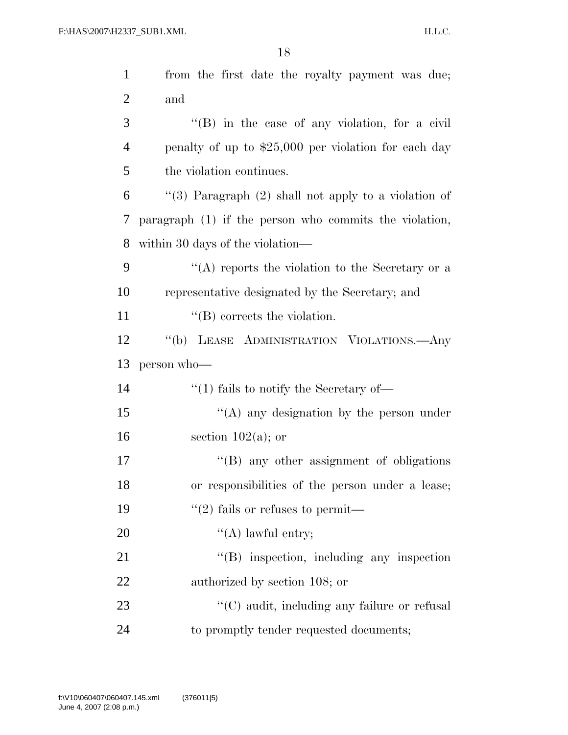| $\mathbf{1}$   | from the first date the royalty payment was due;       |
|----------------|--------------------------------------------------------|
| $\overline{2}$ | and                                                    |
| 3              | "(B) in the case of any violation, for a civil         |
| 4              | penalty of up to $$25,000$ per violation for each day  |
| 5              | the violation continues.                               |
| 6              | "(3) Paragraph $(2)$ shall not apply to a violation of |
| 7              | paragraph (1) if the person who commits the violation, |
| 8              | within 30 days of the violation—                       |
| 9              | "(A) reports the violation to the Secretary or a       |
| 10             | representative designated by the Secretary; and        |
| 11             | $\lq\lq$ corrects the violation.                       |
| 12             | "(b) LEASE ADMINISTRATION VIOLATIONS.—Any              |
| 13             | person who-                                            |
| 14             | $\cdot$ (1) fails to notify the Secretary of —         |
| 15             | "(A) any designation by the person under               |
| 16             | section $102(a)$ ; or                                  |
| 17             | $\lq\lq(B)$ any other assignment of obligations        |
| 18             | or responsibilities of the person under a lease;       |
| 19             | $\lq(2)$ fails or refuses to permit—                   |
| 20             | $\lq\lq$ awful entry;                                  |
| 21             | $\lq\lq$ inspection, including any inspection          |
| 22             | authorized by section 108; or                          |
| 23             | $\lq\lq$ (C) audit, including any failure or refusal   |
| 24             | to promptly tender requested documents;                |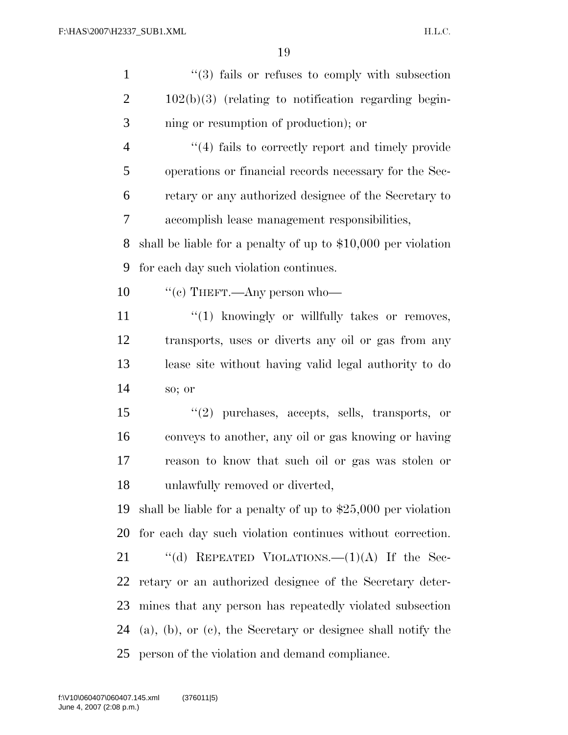| $\mathbf{1}$   | $\cdot\cdot$ (3) fails or refuses to comply with subsection           |
|----------------|-----------------------------------------------------------------------|
| $\overline{2}$ | $102(b)(3)$ (relating to notification regarding begin-                |
| 3              | ning or resumption of production); or                                 |
| $\overline{4}$ | $``(4)$ fails to correctly report and timely provide                  |
| $\mathfrak{S}$ | operations or financial records necessary for the Sec-                |
| 6              | retary or any authorized designee of the Secretary to                 |
| 7              | accomplish lease management responsibilities,                         |
| 8              | shall be liable for a penalty of up to $$10,000$ per violation        |
| 9              | for each day such violation continues.                                |
| 10             | "(c) THEFT.—Any person who—                                           |
| 11             | "(1) knowingly or willfully takes or removes,                         |
| 12             | transports, uses or diverts any oil or gas from any                   |
| 13             | lease site without having valid legal authority to do                 |
| 14             | so; or                                                                |
| 15             | $"(2)$ purchases, accepts, sells, transports, or                      |
| 16             | conveys to another, any oil or gas knowing or having                  |
| 17             | reason to know that such oil or gas was stolen or                     |
| 18             | unlawfully removed or diverted,                                       |
| 19             | shall be liable for a penalty of up to $$25,000$ per violation        |
| 20             | for each day such violation continues without correction.             |
| 21             | "(d) REPEATED VIOLATIONS.— $(1)(A)$ If the Sec-                       |
| 22             | retary or an authorized designee of the Secretary deter-              |
| 23             | mines that any person has repeatedly violated subsection              |
| 24             | $(a)$ , $(b)$ , or $(c)$ , the Secretary or designee shall notify the |
| 25             | person of the violation and demand compliance.                        |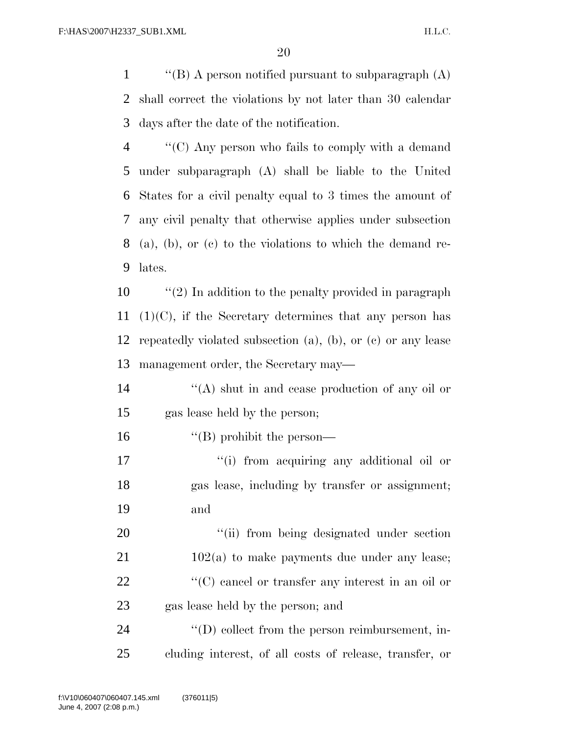1  $\langle$  "(B) A person notified pursuant to subparagraph (A) shall correct the violations by not later than 30 calendar days after the date of the notification.

 ''(C) Any person who fails to comply with a demand under subparagraph (A) shall be liable to the United States for a civil penalty equal to 3 times the amount of any civil penalty that otherwise applies under subsection (a), (b), or (c) to the violations to which the demand re-lates.

 ''(2) In addition to the penalty provided in paragraph  $(1)(C)$ , if the Secretary determines that any person has repeatedly violated subsection (a), (b), or (c) or any lease management order, the Secretary may—

 ''(A) shut in and cease production of any oil or gas lease held by the person;

''(B) prohibit the person—

17  $\frac{1}{10}$  from acquiring any additional oil or gas lease, including by transfer or assignment; and

20 "(ii) from being designated under section 21 102(a) to make payments due under any lease; 22  $\langle ^{\prime}(C) \rangle$  cancel or transfer any interest in an oil or gas lease held by the person; and

24  $\langle\text{CD}\rangle$  collect from the person reimbursement, in-cluding interest, of all costs of release, transfer, or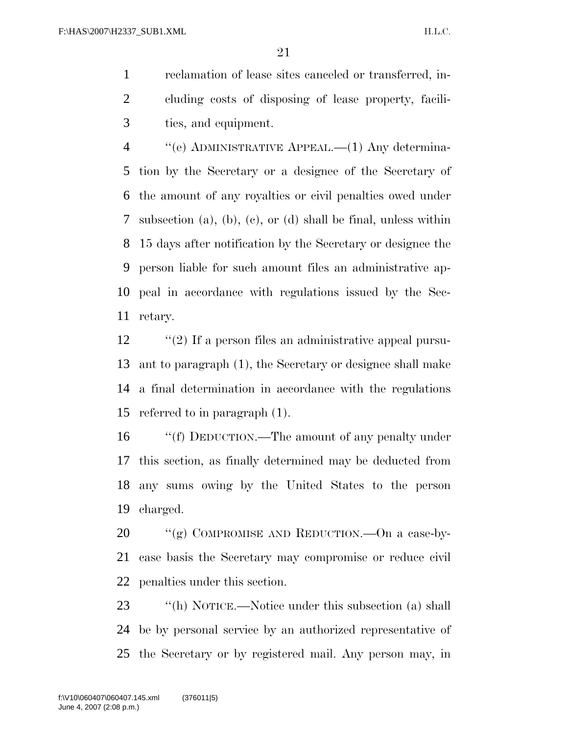reclamation of lease sites canceled or transferred, in- cluding costs of disposing of lease property, facili-ties, and equipment.

 ''(e) ADMINISTRATIVE APPEAL.—(1) Any determina- tion by the Secretary or a designee of the Secretary of the amount of any royalties or civil penalties owed under subsection (a), (b), (c), or (d) shall be final, unless within 15 days after notification by the Secretary or designee the person liable for such amount files an administrative ap- peal in accordance with regulations issued by the Sec-retary.

 ''(2) If a person files an administrative appeal pursu- ant to paragraph (1), the Secretary or designee shall make a final determination in accordance with the regulations referred to in paragraph (1).

 ''(f) DEDUCTION.—The amount of any penalty under this section, as finally determined may be deducted from any sums owing by the United States to the person charged.

20 "(g) COMPROMISE AND REDUCTION.—On a case-by- case basis the Secretary may compromise or reduce civil penalties under this section.

23 ''(h) NOTICE.—Notice under this subsection (a) shall be by personal service by an authorized representative of the Secretary or by registered mail. Any person may, in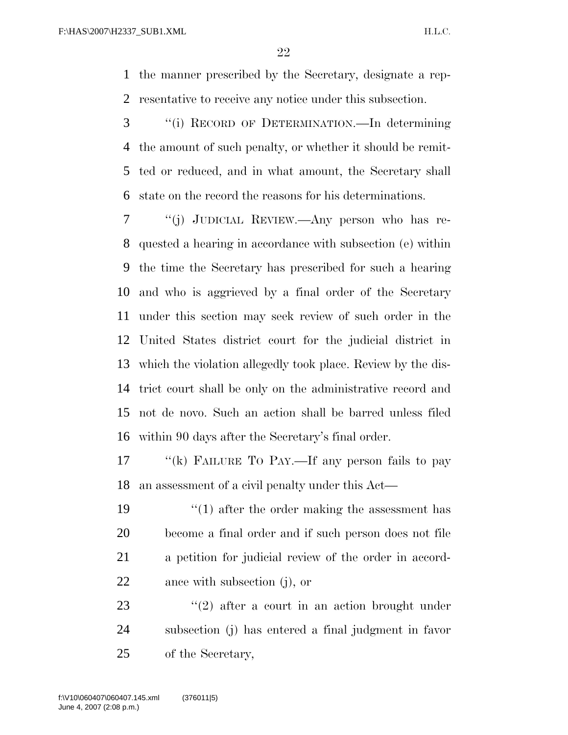the manner prescribed by the Secretary, designate a rep-resentative to receive any notice under this subsection.

 ''(i) RECORD OF DETERMINATION.—In determining the amount of such penalty, or whether it should be remit- ted or reduced, and in what amount, the Secretary shall state on the record the reasons for his determinations.

 ''(j) JUDICIAL REVIEW.—Any person who has re- quested a hearing in accordance with subsection (e) within the time the Secretary has prescribed for such a hearing and who is aggrieved by a final order of the Secretary under this section may seek review of such order in the United States district court for the judicial district in which the violation allegedly took place. Review by the dis- trict court shall be only on the administrative record and not de novo. Such an action shall be barred unless filed within 90 days after the Secretary's final order.

17 "(k) FAILURE TO PAY.—If any person fails to pay an assessment of a civil penalty under this Act—

19 ''(1) after the order making the assessment has become a final order and if such person does not file a petition for judicial review of the order in accord-ance with subsection (j), or

23 ''(2) after a court in an action brought under subsection (j) has entered a final judgment in favor of the Secretary,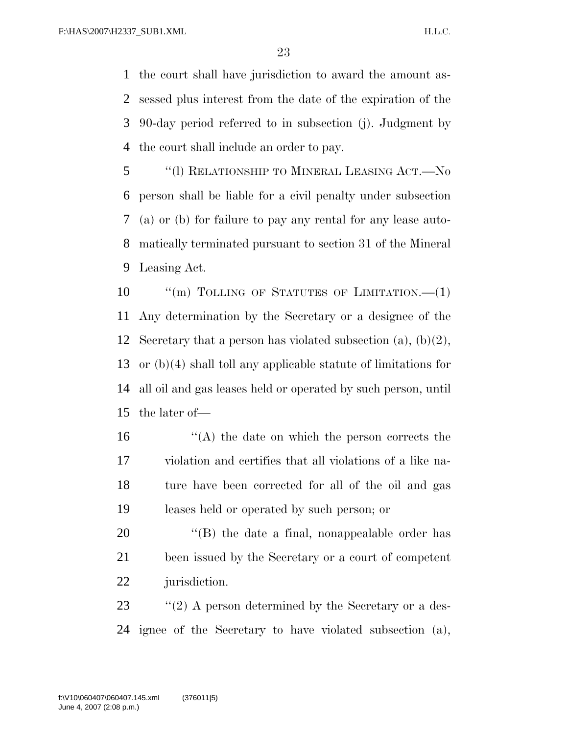the court shall have jurisdiction to award the amount as- sessed plus interest from the date of the expiration of the 90-day period referred to in subsection (j). Judgment by the court shall include an order to pay.

 ''(l) RELATIONSHIP TO MINERAL LEASING ACT.—No person shall be liable for a civil penalty under subsection (a) or (b) for failure to pay any rental for any lease auto- matically terminated pursuant to section 31 of the Mineral Leasing Act.

10 "(m) TOLLING OF STATUTES OF LIMITATION.—(1) Any determination by the Secretary or a designee of the 12 Secretary that a person has violated subsection  $(a)$ ,  $(b)(2)$ , or (b)(4) shall toll any applicable statute of limitations for all oil and gas leases held or operated by such person, until the later of—

 ''(A) the date on which the person corrects the violation and certifies that all violations of a like na- ture have been corrected for all of the oil and gas leases held or operated by such person; or

20  $\langle$  (B) the date a final, nonappealable order has been issued by the Secretary or a court of competent jurisdiction.

23 ''(2) A person determined by the Secretary or a des-ignee of the Secretary to have violated subsection (a),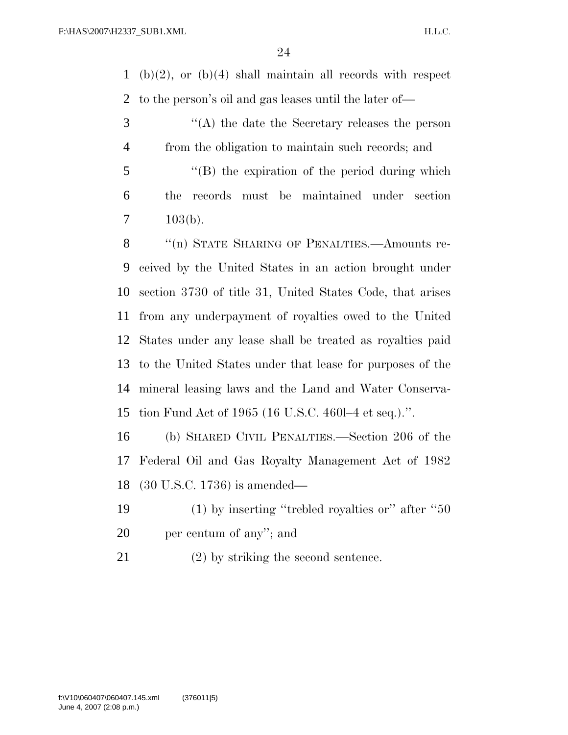(b)(2), or (b)(4) shall maintain all records with respect to the person's oil and gas leases until the later of—

 ''(A) the date the Secretary releases the person from the obligation to maintain such records; and

 ''(B) the expiration of the period during which the records must be maintained under section  $7 \t103(b).$ 

8 "(n) STATE SHARING OF PENALTIES.—Amounts re- ceived by the United States in an action brought under section 3730 of title 31, United States Code, that arises from any underpayment of royalties owed to the United States under any lease shall be treated as royalties paid to the United States under that lease for purposes of the mineral leasing laws and the Land and Water Conserva-tion Fund Act of 1965 (16 U.S.C. 460l–4 et seq.).''.

 (b) SHARED CIVIL PENALTIES.—Section 206 of the Federal Oil and Gas Royalty Management Act of 1982 (30 U.S.C. 1736) is amended—

 (1) by inserting ''trebled royalties or'' after ''50 per centum of any''; and

(2) by striking the second sentence.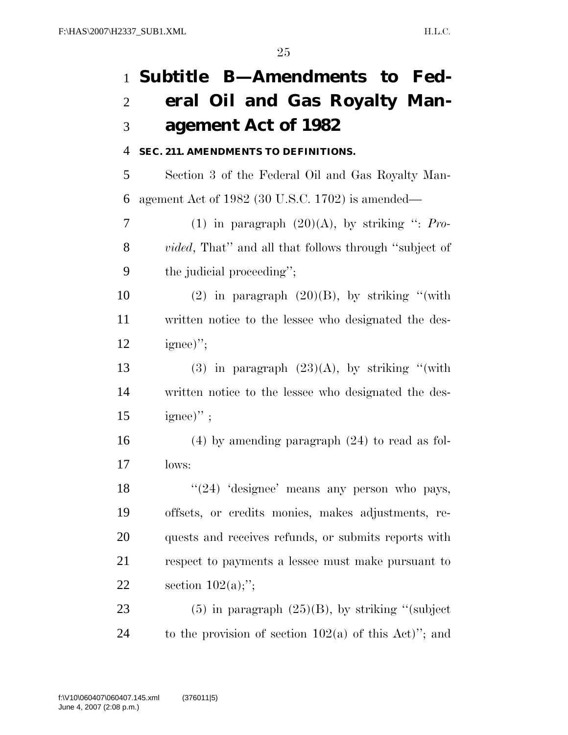# **Subtitle B—Amendments to Fed- eral Oil and Gas Royalty Man-agement Act of 1982**

## **SEC. 211. AMENDMENTS TO DEFINITIONS.**

 Section 3 of the Federal Oil and Gas Royalty Man-agement Act of 1982 (30 U.S.C. 1702) is amended—

 (1) in paragraph (20)(A), by striking '': *Pro- vided*, That'' and all that follows through ''subject of the judicial proceeding'';

10 (2) in paragraph  $(20)(B)$ , by striking "(with written notice to the lessee who designated the des-12 ignee)";

13 (3) in paragraph  $(23)(A)$ , by striking "(with written notice to the lessee who designated the des-ignee)";

 (4) by amending paragraph (24) to read as fol-lows:

18 ''(24) 'designee' means any person who pays, offsets, or credits monies, makes adjustments, re- quests and receives refunds, or submits reports with respect to payments a lessee must make pursuant to 22 section  $102(a)$ ;";

23 (5) in paragraph  $(25)(B)$ , by striking "(subject 24 to the provision of section  $102(a)$  of this Act)"; and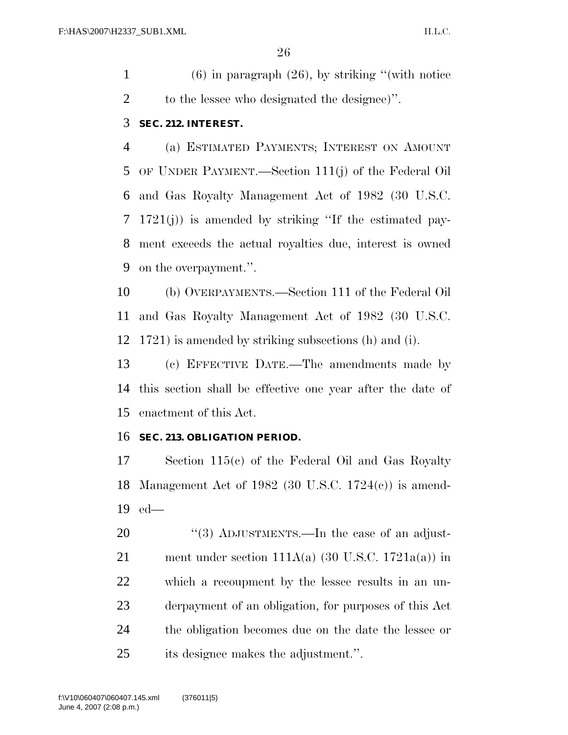(6) in paragraph (26), by striking ''(with notice to the lessee who designated the designee)''.

## **SEC. 212. INTEREST.**

 (a) ESTIMATED PAYMENTS; INTEREST ON AMOUNT OF UNDER PAYMENT.—Section 111(j) of the Federal Oil and Gas Royalty Management Act of 1982 (30 U.S.C. 1721(j)) is amended by striking ''If the estimated pay- ment exceeds the actual royalties due, interest is owned on the overpayment.''.

 (b) OVERPAYMENTS.—Section 111 of the Federal Oil and Gas Royalty Management Act of 1982 (30 U.S.C. 1721) is amended by striking subsections (h) and (i).

 (c) EFFECTIVE DATE.—The amendments made by this section shall be effective one year after the date of enactment of this Act.

## **SEC. 213. OBLIGATION PERIOD.**

 Section 115(c) of the Federal Oil and Gas Royalty Management Act of 1982 (30 U.S.C. 1724(c)) is amend-ed—

20 "(3) ADJUSTMENTS.—In the case of an adjust-21 ment under section  $111A(a)$  (30 U.S.C. 1721 $a(a)$ ) in which a recoupment by the lessee results in an un- derpayment of an obligation, for purposes of this Act the obligation becomes due on the date the lessee or its designee makes the adjustment.''.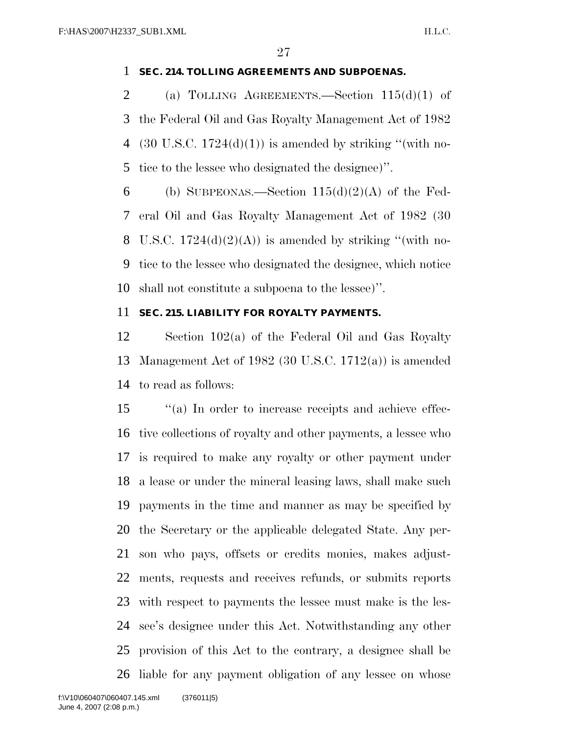## **SEC. 214. TOLLING AGREEMENTS AND SUBPOENAS.**

2 (a) TOLLING AGREEMENTS.—Section  $115(d)(1)$  of the Federal Oil and Gas Royalty Management Act of 1982 4 (30 U.S.C.  $1724(d)(1)$ ) is amended by striking "(with no-tice to the lessee who designated the designee)''.

6 (b) SUBPEONAS.—Section  $115(d)(2)(A)$  of the Fed- eral Oil and Gas Royalty Management Act of 1982 (30 8 U.S.C.  $1724(d)(2)(A)$  is amended by striking "(with no- tice to the lessee who designated the designee, which notice shall not constitute a subpoena to the lessee)''.

## **SEC. 215. LIABILITY FOR ROYALTY PAYMENTS.**

 Section 102(a) of the Federal Oil and Gas Royalty Management Act of 1982 (30 U.S.C. 1712(a)) is amended to read as follows:

 ''(a) In order to increase receipts and achieve effec- tive collections of royalty and other payments, a lessee who is required to make any royalty or other payment under a lease or under the mineral leasing laws, shall make such payments in the time and manner as may be specified by the Secretary or the applicable delegated State. Any per- son who pays, offsets or credits monies, makes adjust- ments, requests and receives refunds, or submits reports with respect to payments the lessee must make is the les- see's designee under this Act. Notwithstanding any other provision of this Act to the contrary, a designee shall be liable for any payment obligation of any lessee on whose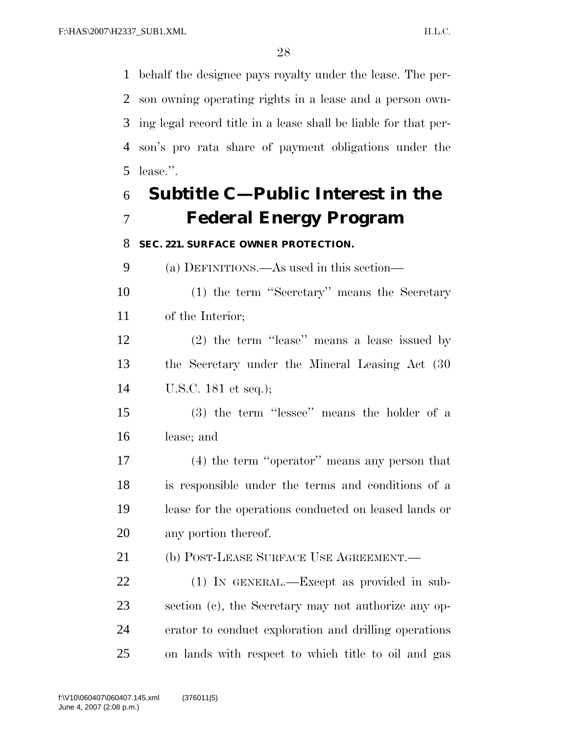behalf the designee pays royalty under the lease. The per- son owning operating rights in a lease and a person own- ing legal record title in a lease shall be liable for that per- son's pro rata share of payment obligations under the lease.''.

# **Subtitle C—Public Interest in the Federal Energy Program**

## **SEC. 221. SURFACE OWNER PROTECTION.**

(a) DEFINITIONS.—As used in this section—

 (1) the term ''Secretary'' means the Secretary of the Interior;

 (2) the term ''lease'' means a lease issued by the Secretary under the Mineral Leasing Act (30 U.S.C. 181 et seq.);

 (3) the term ''lessee'' means the holder of a lease; and

 (4) the term ''operator'' means any person that is responsible under the terms and conditions of a lease for the operations conducted on leased lands or any portion thereof.

21 (b) POST-LEASE SURFACE USE AGREEMENT.—

 (1) IN GENERAL.—Except as provided in sub- section (c), the Secretary may not authorize any op- erator to conduct exploration and drilling operations on lands with respect to which title to oil and gas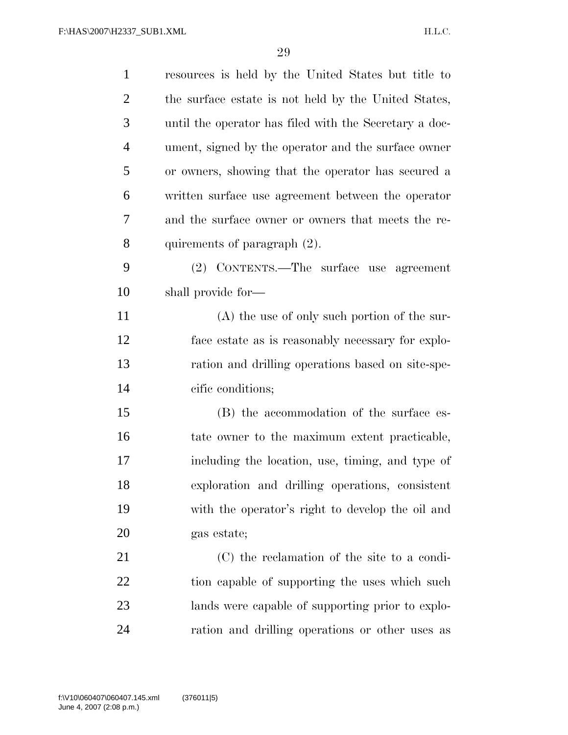| $\mathbf{1}$   | resources is held by the United States but title to    |
|----------------|--------------------------------------------------------|
| $\overline{2}$ | the surface estate is not held by the United States,   |
| 3              | until the operator has filed with the Secretary a doc- |
| $\overline{4}$ | ument, signed by the operator and the surface owner    |
| 5              | or owners, showing that the operator has secured a     |
| 6              | written surface use agreement between the operator     |
| 7              | and the surface owner or owners that meets the re-     |
| 8              | quirements of paragraph (2).                           |
| 9              | (2) CONTENTS.—The surface use agreement                |
| 10             | shall provide for—                                     |
| 11             | $(A)$ the use of only such portion of the sur-         |
| 12             | face estate as is reasonably necessary for explo-      |
| 13             | ration and drilling operations based on site-spe-      |
| 14             | cific conditions;                                      |
| 15             | (B) the accommodation of the surface es-               |
| 16             | tate owner to the maximum extent practicable,          |
| 17             | including the location, use, timing, and type of       |
| 18             | exploration and drilling operations, consistent        |
| 19             | with the operator's right to develop the oil and       |
| <b>20</b>      | gas estate;                                            |
| 21             | (C) the reclamation of the site to a condi-            |
| 22             | tion capable of supporting the uses which such         |
| 23             | lands were capable of supporting prior to explo-       |
| 24             | ration and drilling operations or other uses as        |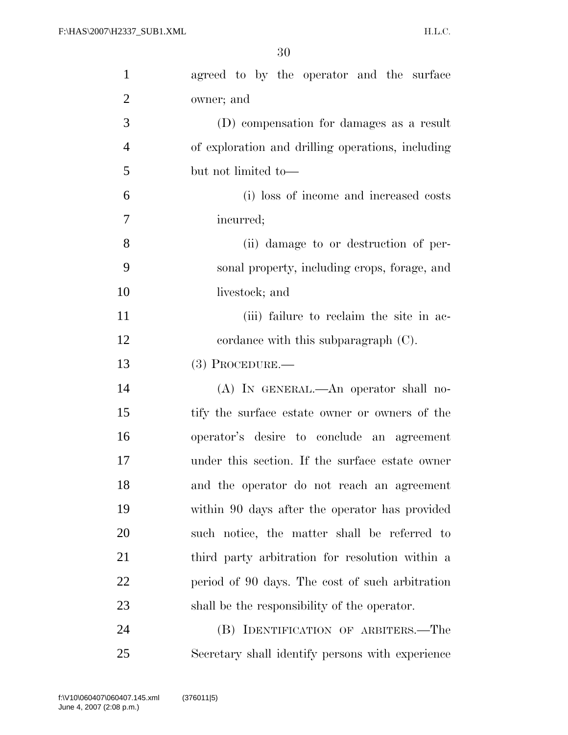| $\mathbf{1}$   | agreed to by the operator and the surface         |
|----------------|---------------------------------------------------|
| $\overline{2}$ | owner; and                                        |
| 3              | (D) compensation for damages as a result          |
| $\overline{4}$ | of exploration and drilling operations, including |
| 5              | but not limited to-                               |
| 6              | (i) loss of income and increased costs            |
| 7              | incurred;                                         |
| 8              | (ii) damage to or destruction of per-             |
| 9              | sonal property, including crops, forage, and      |
| 10             | livestock; and                                    |
| 11             | (iii) failure to reclaim the site in ac-          |
| 12             | cordance with this subparagraph $(C)$ .           |
| 13             | $(3)$ PROCEDURE.—                                 |
| 14             | (A) IN GENERAL.—An operator shall no-             |
| 15             | tify the surface estate owner or owners of the    |
| 16             | operator's desire to conclude an agreement        |
| 17             | under this section. If the surface estate owner   |
| 18             | and the operator do not reach an agreement        |
| 19             | within 90 days after the operator has provided    |
| 20             | such notice, the matter shall be referred to      |
| 21             | third party arbitration for resolution within a   |
| 22             | period of 90 days. The cost of such arbitration   |
| 23             | shall be the responsibility of the operator.      |
| 24             | (B) IDENTIFICATION OF ARBITERS.—The               |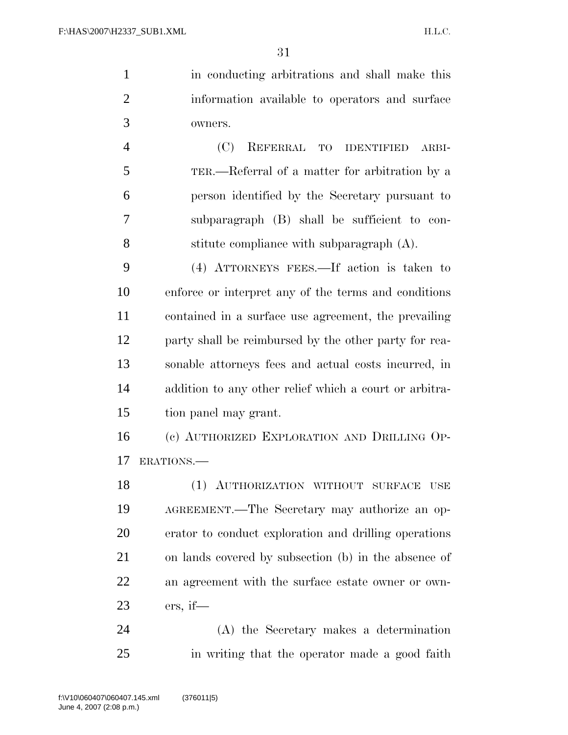in conducting arbitrations and shall make this information available to operators and surface owners. (C) REFERRAL TO IDENTIFIED ARBI-TER.—Referral of a matter for arbitration by a

 person identified by the Secretary pursuant to subparagraph (B) shall be sufficient to con-stitute compliance with subparagraph (A).

 (4) ATTORNEYS FEES.—If action is taken to enforce or interpret any of the terms and conditions contained in a surface use agreement, the prevailing party shall be reimbursed by the other party for rea- sonable attorneys fees and actual costs incurred, in addition to any other relief which a court or arbitra-tion panel may grant.

 (c) AUTHORIZED EXPLORATION AND DRILLING OP-ERATIONS.—

 (1) AUTHORIZATION WITHOUT SURFACE USE AGREEMENT.—The Secretary may authorize an op- erator to conduct exploration and drilling operations on lands covered by subsection (b) in the absence of an agreement with the surface estate owner or own-ers, if—

 (A) the Secretary makes a determination in writing that the operator made a good faith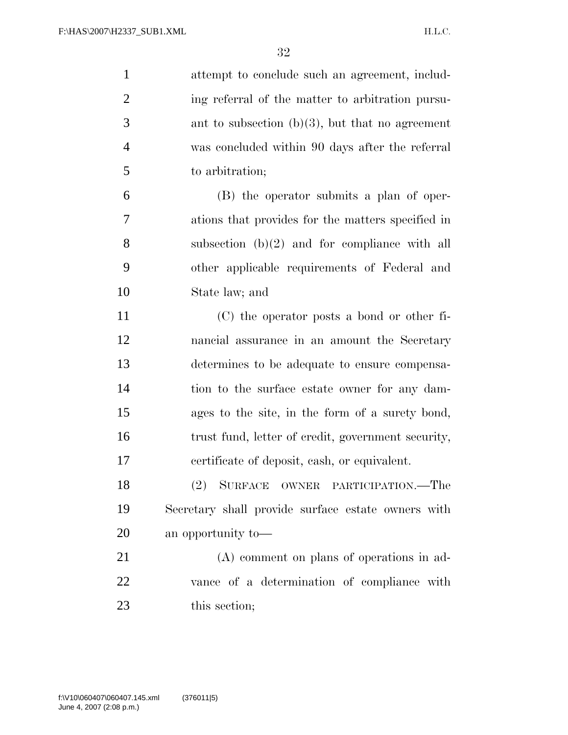| $\mathbf{1}$   | attempt to conclude such an agreement, includ-     |
|----------------|----------------------------------------------------|
| $\overline{2}$ | ing referral of the matter to arbitration pursu-   |
| 3              | ant to subsection $(b)(3)$ , but that no agreement |
| $\overline{4}$ | was concluded within 90 days after the referral    |
| 5              | to arbitration;                                    |
| 6              | (B) the operator submits a plan of oper-           |
| 7              | ations that provides for the matters specified in  |
| 8              | subsection $(b)(2)$ and for compliance with all    |
| 9              | other applicable requirements of Federal and       |
| 10             | State law; and                                     |
| 11             | $(C)$ the operator posts a bond or other fi-       |
| 12             | nancial assurance in an amount the Secretary       |
| 13             | determines to be adequate to ensure compensa-      |
| 14             | tion to the surface estate owner for any dam-      |
| 15             | ages to the site, in the form of a surety bond,    |
| 16             | trust fund, letter of credit, government security, |
| 17             | certificate of deposit, cash, or equivalent.       |
| 18             | (2) SURFACE OWNER PARTICIPATION.—The               |
| 19             | Secretary shall provide surface estate owners with |
| 20             | an opportunity to-                                 |
| 21             | (A) comment on plans of operations in ad-          |
| 22             | vance of a determination of compliance with        |
| 23             | this section;                                      |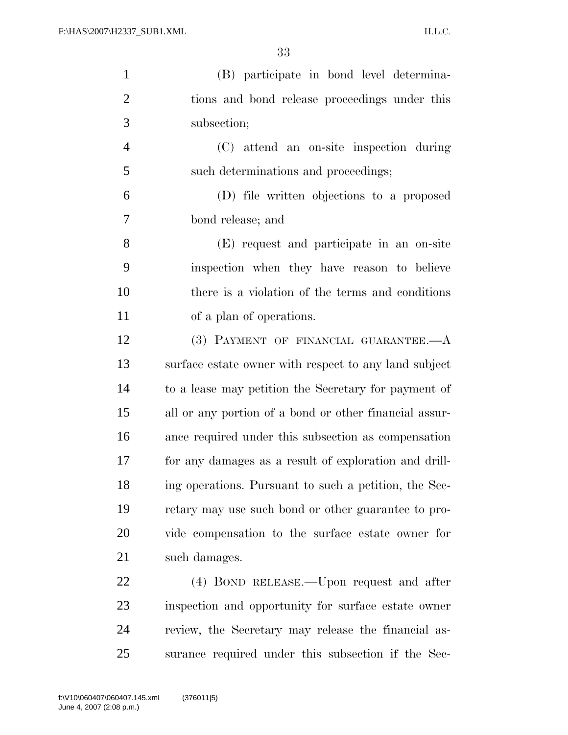| $\mathbf{1}$   | (B) participate in bond level determina-               |
|----------------|--------------------------------------------------------|
| $\overline{2}$ | tions and bond release proceedings under this          |
| 3              | subsection;                                            |
| $\overline{4}$ | (C) attend an on-site inspection during                |
| 5              | such determinations and proceedings;                   |
| 6              | (D) file written objections to a proposed              |
| $\overline{7}$ | bond release; and                                      |
| 8              | (E) request and participate in an on-site              |
| 9              | inspection when they have reason to believe            |
| 10             | there is a violation of the terms and conditions       |
| 11             | of a plan of operations.                               |
| 12             | (3) PAYMENT OF FINANCIAL GUARANTEE.- A                 |
| 13             | surface estate owner with respect to any land subject  |
| 14             | to a lease may petition the Secretary for payment of   |
| 15             | all or any portion of a bond or other financial assur- |
| 16             | ance required under this subsection as compensation    |
| 17             | for any damages as a result of exploration and drill-  |
| 18             | ing operations. Pursuant to such a petition, the Sec-  |
| 19             | retary may use such bond or other guarantee to pro-    |
| 20             | vide compensation to the surface estate owner for      |
| 21             | such damages.                                          |
| 22             | (4) BOND RELEASE.—Upon request and after               |
| 23             | inspection and opportunity for surface estate owner    |
| 24             | review, the Secretary may release the financial as-    |

surance required under this subsection if the Sec-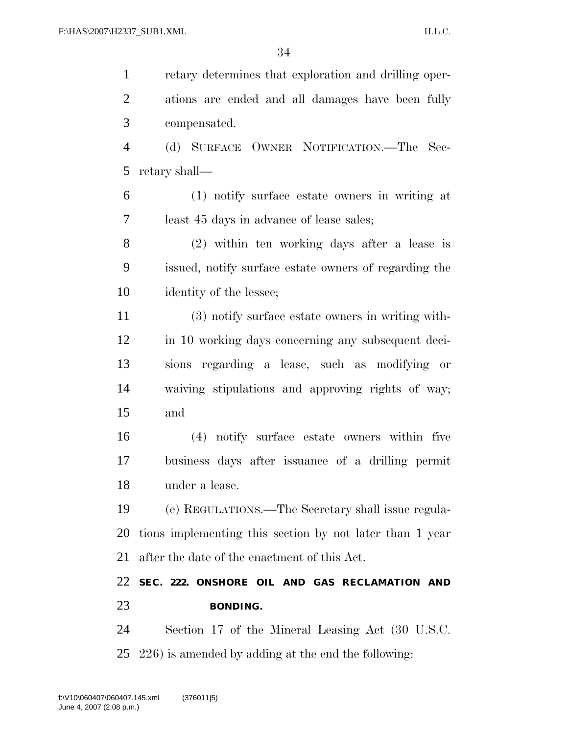retary determines that exploration and drilling oper- ations are ended and all damages have been fully compensated.

 (d) SURFACE OWNER NOTIFICATION.—The Sec-retary shall—

 (1) notify surface estate owners in writing at least 45 days in advance of lease sales;

 (2) within ten working days after a lease is issued, notify surface estate owners of regarding the identity of the lessee;

 (3) notify surface estate owners in writing with- in 10 working days concerning any subsequent deci- sions regarding a lease, such as modifying or waiving stipulations and approving rights of way; and

 (4) notify surface estate owners within five business days after issuance of a drilling permit under a lease.

 (e) REGULATIONS.—The Secretary shall issue regula- tions implementing this section by not later than 1 year after the date of the enactment of this Act.

 **SEC. 222. ONSHORE OIL AND GAS RECLAMATION AND BONDING.** 

 Section 17 of the Mineral Leasing Act (30 U.S.C. 226) is amended by adding at the end the following: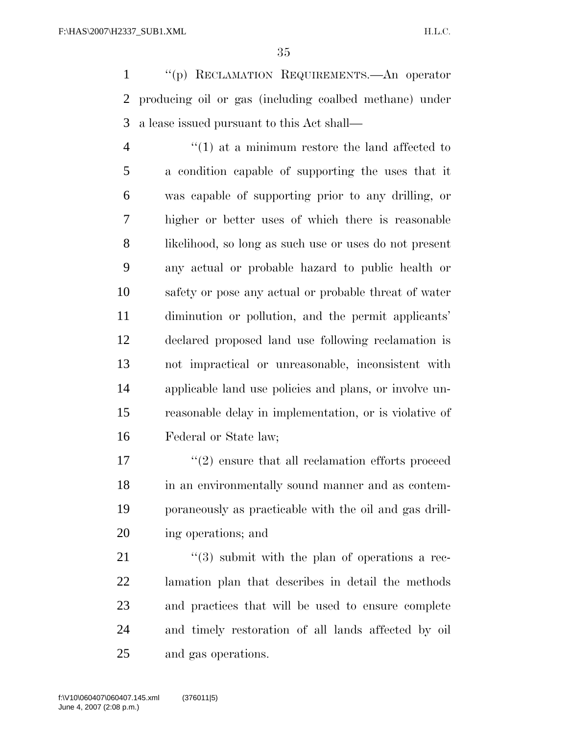''(p) RECLAMATION REQUIREMENTS.—An operator producing oil or gas (including coalbed methane) under a lease issued pursuant to this Act shall—

4 ''(1) at a minimum restore the land affected to a condition capable of supporting the uses that it was capable of supporting prior to any drilling, or higher or better uses of which there is reasonable likelihood, so long as such use or uses do not present any actual or probable hazard to public health or safety or pose any actual or probable threat of water diminution or pollution, and the permit applicants' declared proposed land use following reclamation is not impractical or unreasonable, inconsistent with applicable land use policies and plans, or involve un- reasonable delay in implementation, or is violative of Federal or State law;

17 ''(2) ensure that all reclamation efforts proceed in an environmentally sound manner and as contem- poraneously as practicable with the oil and gas drill-ing operations; and

21 ''(3) submit with the plan of operations a rec- lamation plan that describes in detail the methods and practices that will be used to ensure complete and timely restoration of all lands affected by oil and gas operations.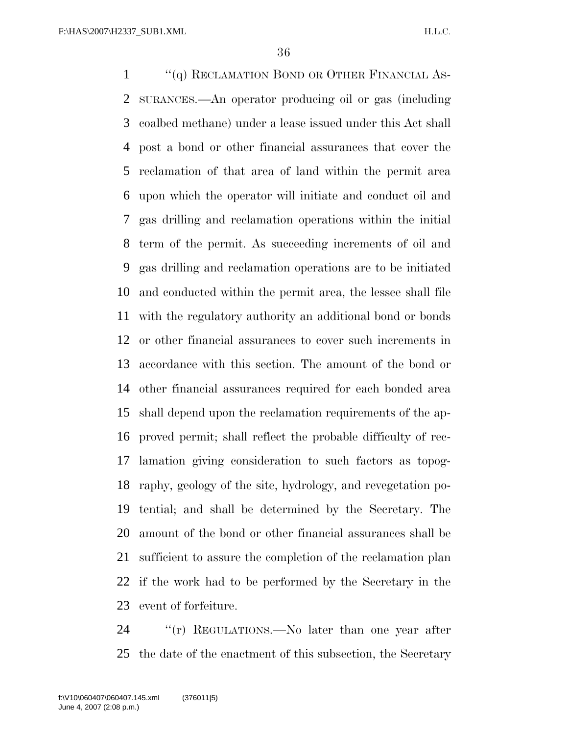1 ''(q) RECLAMATION BOND OR OTHER FINANCIAL AS- SURANCES.—An operator producing oil or gas (including coalbed methane) under a lease issued under this Act shall post a bond or other financial assurances that cover the reclamation of that area of land within the permit area upon which the operator will initiate and conduct oil and gas drilling and reclamation operations within the initial term of the permit. As succeeding increments of oil and gas drilling and reclamation operations are to be initiated and conducted within the permit area, the lessee shall file with the regulatory authority an additional bond or bonds or other financial assurances to cover such increments in accordance with this section. The amount of the bond or other financial assurances required for each bonded area shall depend upon the reclamation requirements of the ap- proved permit; shall reflect the probable difficulty of rec- lamation giving consideration to such factors as topog- raphy, geology of the site, hydrology, and revegetation po- tential; and shall be determined by the Secretary. The amount of the bond or other financial assurances shall be sufficient to assure the completion of the reclamation plan if the work had to be performed by the Secretary in the event of forfeiture.

24 "'(r) REGULATIONS.—No later than one year after the date of the enactment of this subsection, the Secretary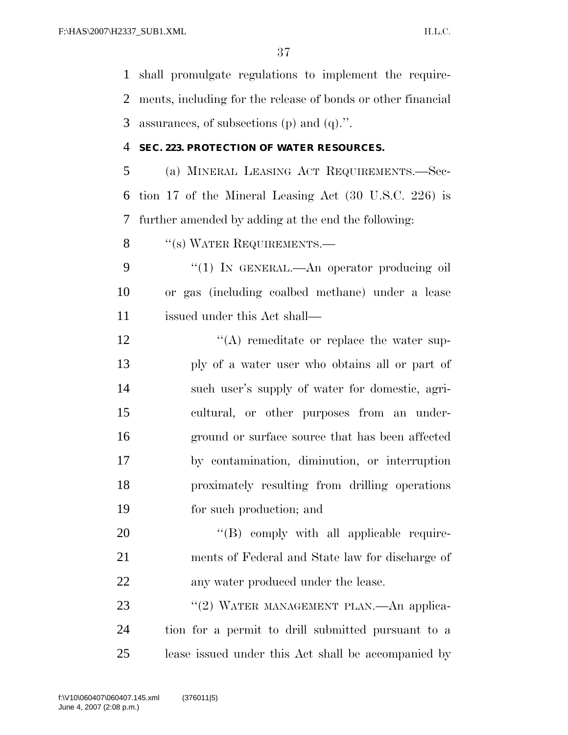shall promulgate regulations to implement the require- ments, including for the release of bonds or other financial assurances, of subsections (p) and (q).''.

### **SEC. 223. PROTECTION OF WATER RESOURCES.**

 (a) MINERAL LEASING ACT REQUIREMENTS.—Sec- tion 17 of the Mineral Leasing Act (30 U.S.C. 226) is further amended by adding at the end the following:

8 "(s) WATER REQUIREMENTS.—

9 "(1) In GENERAL.—An operator producing oil or gas (including coalbed methane) under a lease issued under this Act shall—

12 ''(A) remeditate or replace the water sup- ply of a water user who obtains all or part of such user's supply of water for domestic, agri- cultural, or other purposes from an under- ground or surface source that has been affected by contamination, diminution, or interruption proximately resulting from drilling operations for such production; and

20  $((B)$  comply with all applicable require- ments of Federal and State law for discharge of 22 any water produced under the lease.

23 "(2) WATER MANAGEMENT PLAN.—An applica- tion for a permit to drill submitted pursuant to a lease issued under this Act shall be accompanied by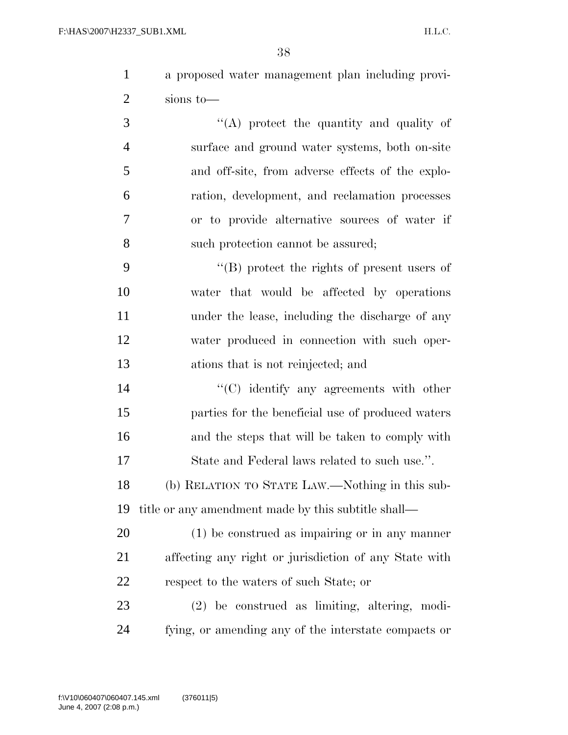| a proposed water management plan including provi-                                           |
|---------------------------------------------------------------------------------------------|
| sions to-                                                                                   |
| $\sim$<br>$\mathcal{L} \mathcal{L} \mathcal{L}$ . The contract of $\mathcal{L} \mathcal{L}$ |

 $\langle (A) \rangle$  protect the quantity and quality of surface and ground water systems, both on-site and off-site, from adverse effects of the explo- ration, development, and reclamation processes or to provide alternative sources of water if such protection cannot be assured;

9 ''(B) protect the rights of present users of water that would be affected by operations under the lease, including the discharge of any water produced in connection with such oper-ations that is not reinjected; and

 $\cdot$  (C) identify any agreements with other parties for the beneficial use of produced waters 16 and the steps that will be taken to comply with State and Federal laws related to such use.''.

 (b) RELATION TO STATE LAW.—Nothing in this sub-title or any amendment made by this subtitle shall—

 (1) be construed as impairing or in any manner affecting any right or jurisdiction of any State with respect to the waters of such State; or

 (2) be construed as limiting, altering, modi-fying, or amending any of the interstate compacts or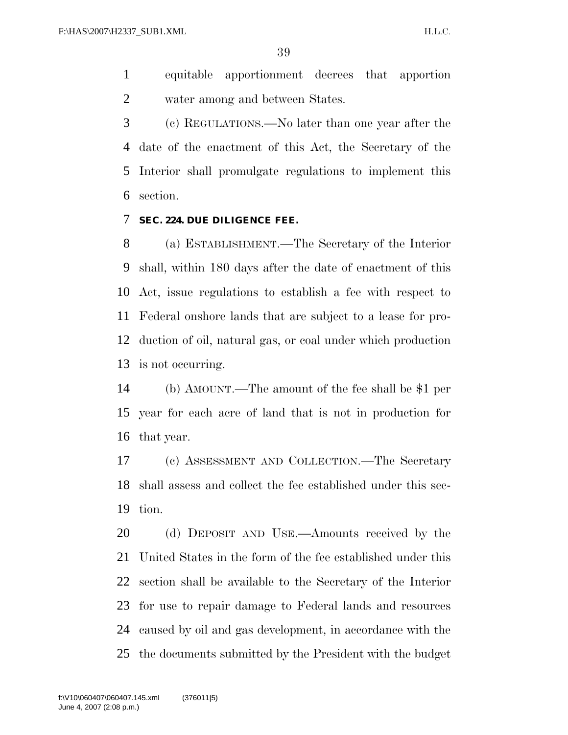equitable apportionment decrees that apportion water among and between States.

 (c) REGULATIONS.—No later than one year after the date of the enactment of this Act, the Secretary of the Interior shall promulgate regulations to implement this section.

#### **SEC. 224. DUE DILIGENCE FEE.**

 (a) ESTABLISHMENT.—The Secretary of the Interior shall, within 180 days after the date of enactment of this Act, issue regulations to establish a fee with respect to Federal onshore lands that are subject to a lease for pro- duction of oil, natural gas, or coal under which production is not occurring.

 (b) AMOUNT.—The amount of the fee shall be \$1 per year for each acre of land that is not in production for that year.

 (c) ASSESSMENT AND COLLECTION.—The Secretary shall assess and collect the fee established under this sec-tion.

 (d) DEPOSIT AND USE.—Amounts received by the United States in the form of the fee established under this section shall be available to the Secretary of the Interior for use to repair damage to Federal lands and resources caused by oil and gas development, in accordance with the the documents submitted by the President with the budget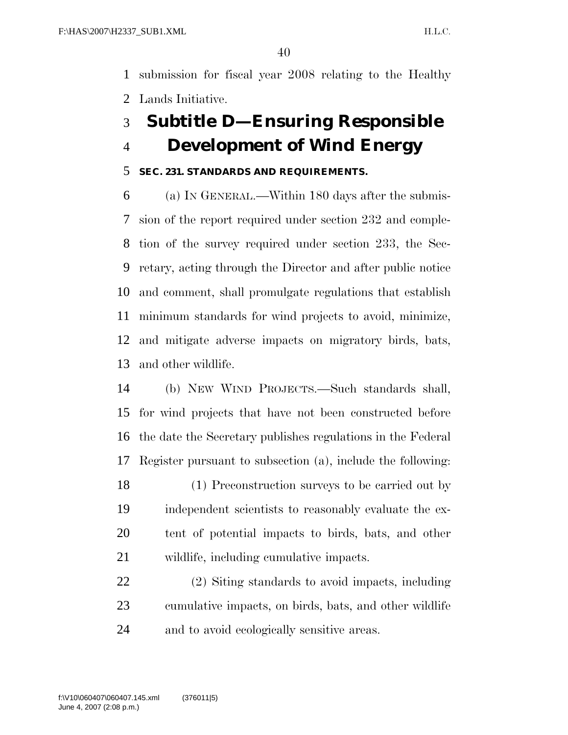submission for fiscal year 2008 relating to the Healthy Lands Initiative.

### **Subtitle D—Ensuring Responsible Development of Wind Energy**

### **SEC. 231. STANDARDS AND REQUIREMENTS.**

 (a) IN GENERAL.—Within 180 days after the submis- sion of the report required under section 232 and comple- tion of the survey required under section 233, the Sec- retary, acting through the Director and after public notice and comment, shall promulgate regulations that establish minimum standards for wind projects to avoid, minimize, and mitigate adverse impacts on migratory birds, bats, and other wildlife.

 (b) NEW WIND PROJECTS.—Such standards shall, for wind projects that have not been constructed before the date the Secretary publishes regulations in the Federal Register pursuant to subsection (a), include the following:

 (1) Preconstruction surveys to be carried out by independent scientists to reasonably evaluate the ex- tent of potential impacts to birds, bats, and other wildlife, including cumulative impacts.

 (2) Siting standards to avoid impacts, including cumulative impacts, on birds, bats, and other wildlife and to avoid ecologically sensitive areas.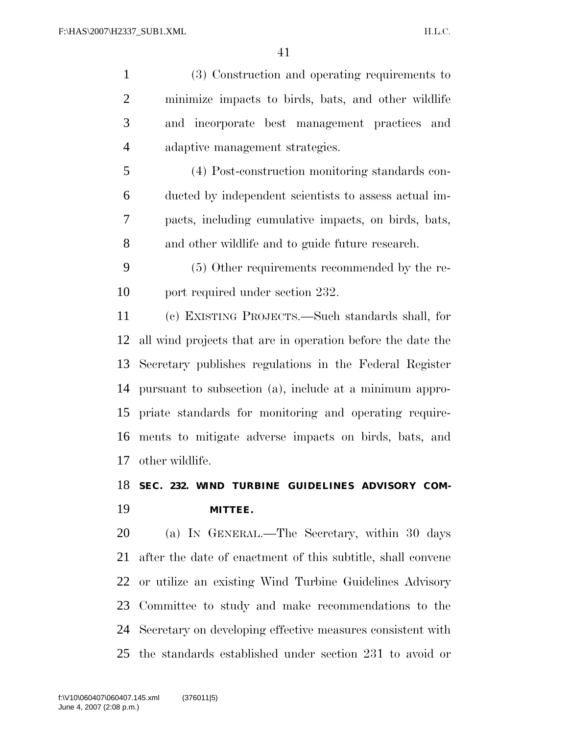(3) Construction and operating requirements to minimize impacts to birds, bats, and other wildlife and incorporate best management practices and adaptive management strategies. (4) Post-construction monitoring standards con- ducted by independent scientists to assess actual im- pacts, including cumulative impacts, on birds, bats, and other wildlife and to guide future research. (5) Other requirements recommended by the re- port required under section 232. (c) EXISTING PROJECTS.—Such standards shall, for all wind projects that are in operation before the date the Secretary publishes regulations in the Federal Register pursuant to subsection (a), include at a minimum appro- priate standards for monitoring and operating require- ments to mitigate adverse impacts on birds, bats, and other wildlife. **SEC. 232. WIND TURBINE GUIDELINES ADVISORY COM-**

# **MITTEE.**

 (a) IN GENERAL.—The Secretary, within 30 days after the date of enactment of this subtitle, shall convene or utilize an existing Wind Turbine Guidelines Advisory Committee to study and make recommendations to the Secretary on developing effective measures consistent with the standards established under section 231 to avoid or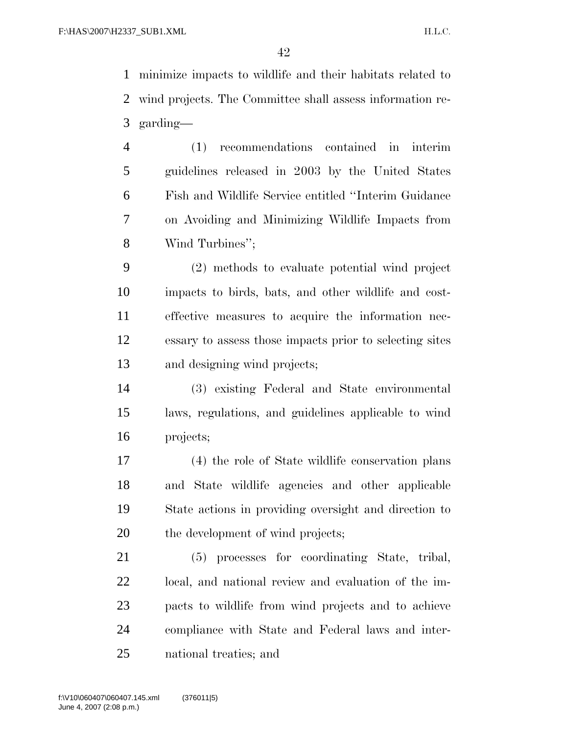minimize impacts to wildlife and their habitats related to wind projects. The Committee shall assess information re-garding—

 (1) recommendations contained in interim guidelines released in 2003 by the United States Fish and Wildlife Service entitled ''Interim Guidance on Avoiding and Minimizing Wildlife Impacts from Wind Turbines'';

 (2) methods to evaluate potential wind project impacts to birds, bats, and other wildlife and cost- effective measures to acquire the information nec- essary to assess those impacts prior to selecting sites and designing wind projects;

 (3) existing Federal and State environmental laws, regulations, and guidelines applicable to wind projects;

 (4) the role of State wildlife conservation plans and State wildlife agencies and other applicable State actions in providing oversight and direction to the development of wind projects;

 (5) processes for coordinating State, tribal, local, and national review and evaluation of the im- pacts to wildlife from wind projects and to achieve compliance with State and Federal laws and inter-national treaties; and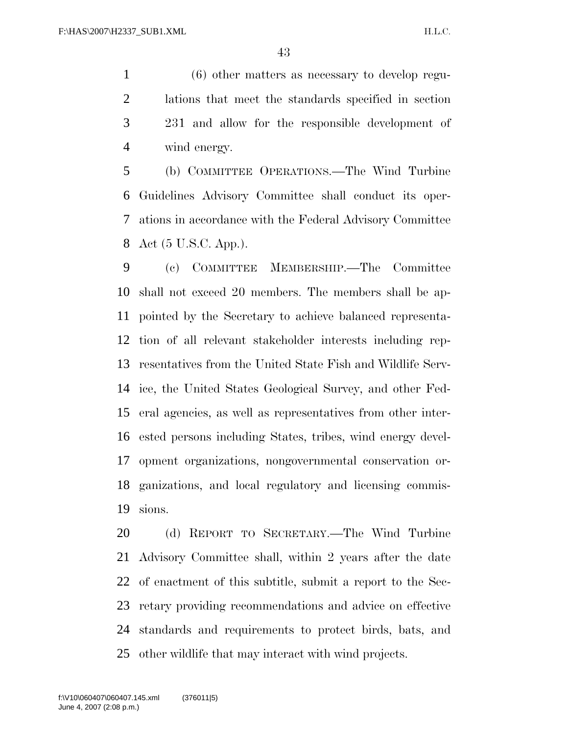(6) other matters as necessary to develop regu- lations that meet the standards specified in section 231 and allow for the responsible development of wind energy.

 (b) COMMITTEE OPERATIONS.—The Wind Turbine Guidelines Advisory Committee shall conduct its oper- ations in accordance with the Federal Advisory Committee Act (5 U.S.C. App.).

 (c) COMMITTEE MEMBERSHIP.—The Committee shall not exceed 20 members. The members shall be ap- pointed by the Secretary to achieve balanced representa- tion of all relevant stakeholder interests including rep- resentatives from the United State Fish and Wildlife Serv- ice, the United States Geological Survey, and other Fed- eral agencies, as well as representatives from other inter- ested persons including States, tribes, wind energy devel- opment organizations, nongovernmental conservation or- ganizations, and local regulatory and licensing commis-sions.

 (d) REPORT TO SECRETARY.—The Wind Turbine Advisory Committee shall, within 2 years after the date of enactment of this subtitle, submit a report to the Sec- retary providing recommendations and advice on effective standards and requirements to protect birds, bats, and other wildlife that may interact with wind projects.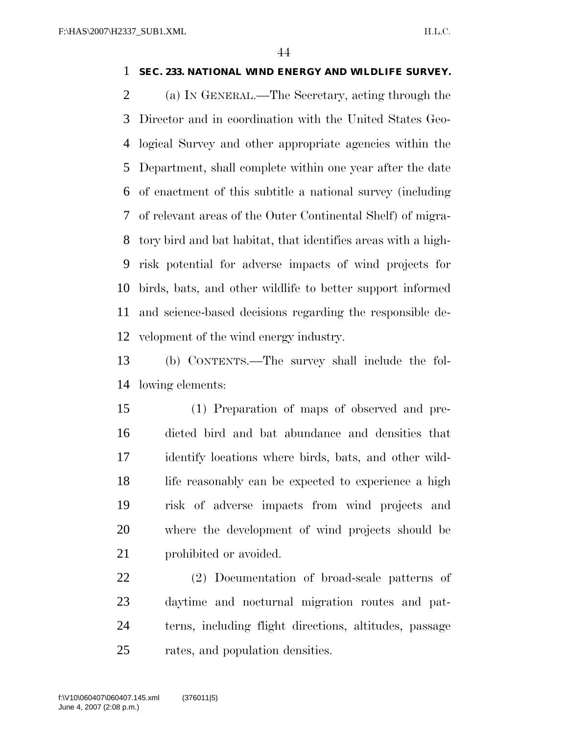#### **SEC. 233. NATIONAL WIND ENERGY AND WILDLIFE SURVEY.**

 (a) IN GENERAL.—The Secretary, acting through the Director and in coordination with the United States Geo- logical Survey and other appropriate agencies within the Department, shall complete within one year after the date of enactment of this subtitle a national survey (including of relevant areas of the Outer Continental Shelf) of migra- tory bird and bat habitat, that identifies areas with a high- risk potential for adverse impacts of wind projects for birds, bats, and other wildlife to better support informed and science-based decisions regarding the responsible de-velopment of the wind energy industry.

 (b) CONTENTS.—The survey shall include the fol-lowing elements:

 (1) Preparation of maps of observed and pre- dicted bird and bat abundance and densities that identify locations where birds, bats, and other wild-18 life reasonably can be expected to experience a high risk of adverse impacts from wind projects and where the development of wind projects should be 21 prohibited or avoided.

 (2) Documentation of broad-scale patterns of daytime and nocturnal migration routes and pat- terns, including flight directions, altitudes, passage rates, and population densities.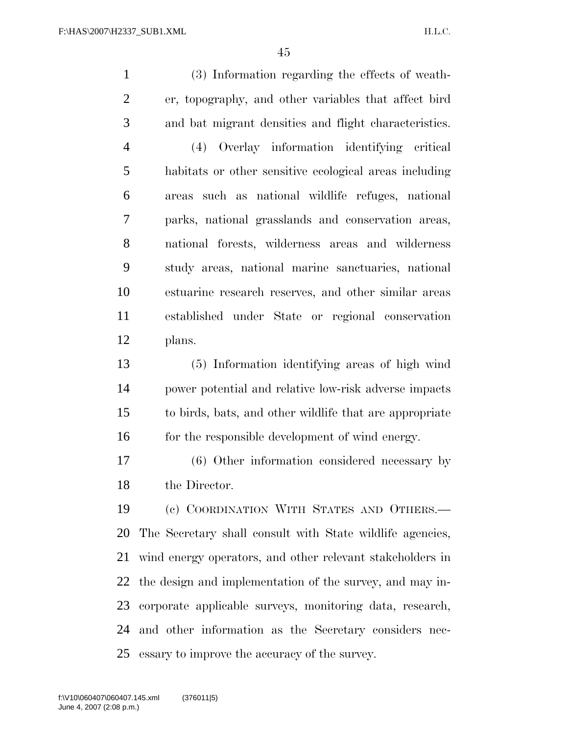(3) Information regarding the effects of weath- er, topography, and other variables that affect bird and bat migrant densities and flight characteristics. (4) Overlay information identifying critical habitats or other sensitive ecological areas including areas such as national wildlife refuges, national parks, national grasslands and conservation areas, national forests, wilderness areas and wilderness study areas, national marine sanctuaries, national estuarine research reserves, and other similar areas established under State or regional conservation plans. (5) Information identifying areas of high wind power potential and relative low-risk adverse impacts to birds, bats, and other wildlife that are appropriate 16 for the responsible development of wind energy. (6) Other information considered necessary by the Director. (c) COORDINATION WITH STATES AND OTHERS.— The Secretary shall consult with State wildlife agencies, wind energy operators, and other relevant stakeholders in the design and implementation of the survey, and may in- corporate applicable surveys, monitoring data, research, and other information as the Secretary considers nec-essary to improve the accuracy of the survey.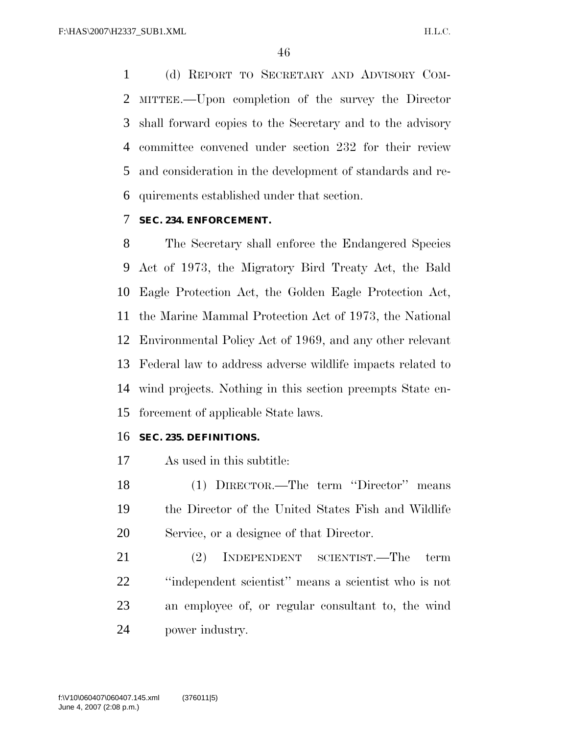(d) REPORT TO SECRETARY AND ADVISORY COM- MITTEE.—Upon completion of the survey the Director shall forward copies to the Secretary and to the advisory committee convened under section 232 for their review and consideration in the development of standards and re-quirements established under that section.

### **SEC. 234. ENFORCEMENT.**

 The Secretary shall enforce the Endangered Species Act of 1973, the Migratory Bird Treaty Act, the Bald Eagle Protection Act, the Golden Eagle Protection Act, the Marine Mammal Protection Act of 1973, the National Environmental Policy Act of 1969, and any other relevant Federal law to address adverse wildlife impacts related to wind projects. Nothing in this section preempts State en-forcement of applicable State laws.

#### **SEC. 235. DEFINITIONS.**

- As used in this subtitle:
- (1) DIRECTOR.—The term ''Director'' means the Director of the United States Fish and Wildlife Service, or a designee of that Director.
- (2) INDEPENDENT SCIENTIST.—The term ''independent scientist'' means a scientist who is not an employee of, or regular consultant to, the wind power industry.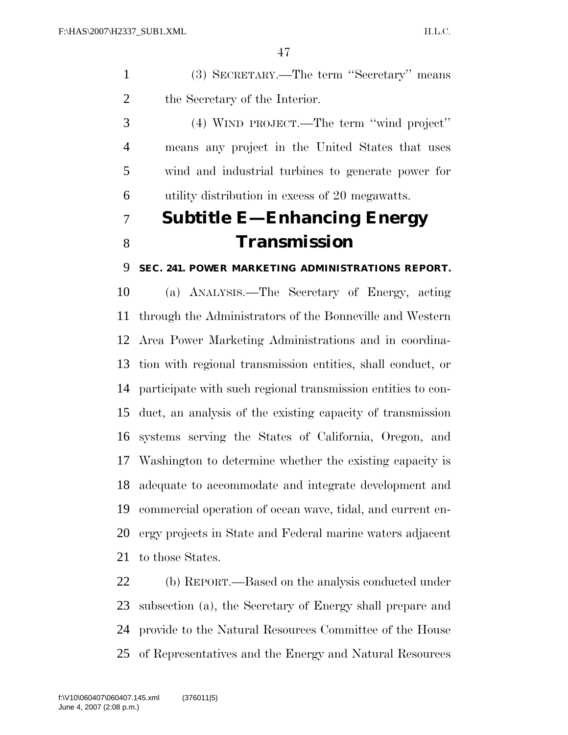(3) SECRETARY.—The term ''Secretary'' means the Secretary of the Interior.

 (4) WIND PROJECT.—The term ''wind project'' means any project in the United States that uses wind and industrial turbines to generate power for utility distribution in excess of 20 megawatts.

### **Subtitle E—Enhancing Energy Transmission**

### **SEC. 241. POWER MARKETING ADMINISTRATIONS REPORT.**

 (a) ANALYSIS.—The Secretary of Energy, acting through the Administrators of the Bonneville and Western Area Power Marketing Administrations and in coordina- tion with regional transmission entities, shall conduct, or participate with such regional transmission entities to con- duct, an analysis of the existing capacity of transmission systems serving the States of California, Oregon, and Washington to determine whether the existing capacity is adequate to accommodate and integrate development and commercial operation of ocean wave, tidal, and current en- ergy projects in State and Federal marine waters adjacent to those States.

 (b) REPORT.—Based on the analysis conducted under subsection (a), the Secretary of Energy shall prepare and provide to the Natural Resources Committee of the House of Representatives and the Energy and Natural Resources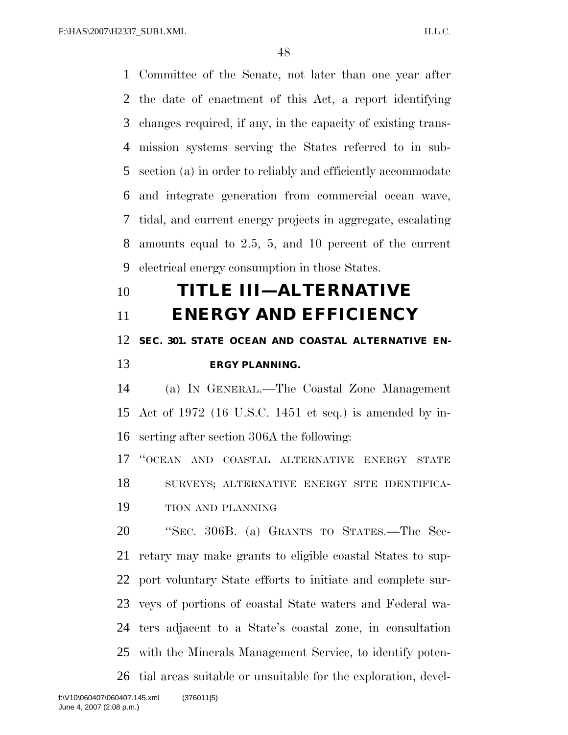Committee of the Senate, not later than one year after the date of enactment of this Act, a report identifying changes required, if any, in the capacity of existing trans- mission systems serving the States referred to in sub- section (a) in order to reliably and efficiently accommodate and integrate generation from commercial ocean wave, tidal, and current energy projects in aggregate, escalating amounts equal to 2.5, 5, and 10 percent of the current electrical energy consumption in those States.

## **TITLE III—ALTERNATIVE**

 **ENERGY AND EFFICIENCY SEC. 301. STATE OCEAN AND COASTAL ALTERNATIVE EN-ERGY PLANNING.** 

 (a) IN GENERAL.—The Coastal Zone Management Act of 1972 (16 U.S.C. 1451 et seq.) is amended by in-serting after section 306A the following:

 ''OCEAN AND COASTAL ALTERNATIVE ENERGY STATE SURVEYS; ALTERNATIVE ENERGY SITE IDENTIFICA-TION AND PLANNING

 ''SEC. 306B. (a) GRANTS TO STATES.—The Sec- retary may make grants to eligible coastal States to sup- port voluntary State efforts to initiate and complete sur- veys of portions of coastal State waters and Federal wa- ters adjacent to a State's coastal zone, in consultation with the Minerals Management Service, to identify poten-tial areas suitable or unsuitable for the exploration, devel-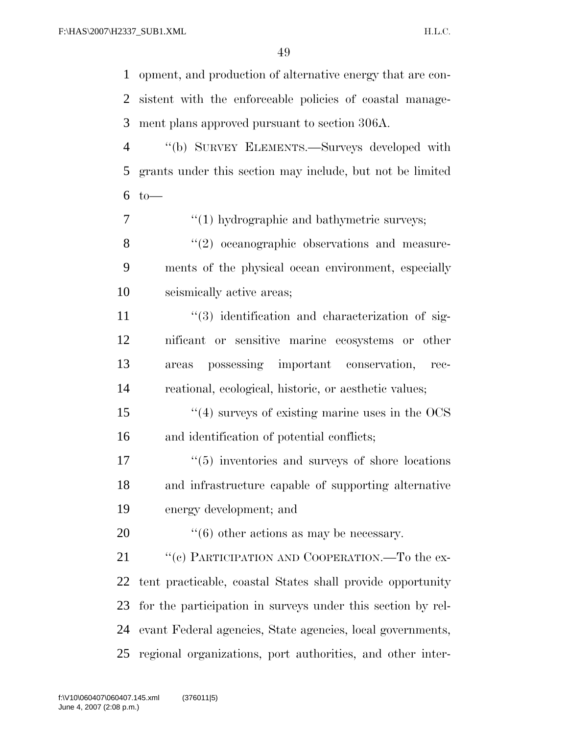opment, and production of alternative energy that are con- sistent with the enforceable policies of coastal manage-ment plans approved pursuant to section 306A.

 ''(b) SURVEY ELEMENTS.—Surveys developed with grants under this section may include, but not be limited to—

 $7 \t\t\t\t\t\t\t''(1)$  hydrographic and bathymetric surveys;

8 "(2) oceanographic observations and measure- ments of the physical ocean environment, especially seismically active areas;

 $\frac{1}{3}$  identification and characterization of sig- nificant or sensitive marine ecosystems or other areas possessing important conservation, rec-reational, ecological, historic, or aesthetic values;

 ''(4) surveys of existing marine uses in the OCS and identification of potential conflicts;

 $\frac{17}{2}$  ''(5) inventories and surveys of shore locations and infrastructure capable of supporting alternative energy development; and

20  $\frac{1}{16}$  (6) other actions as may be necessary.

21 "(c) PARTICIPATION AND COOPERATION.—To the ex- tent practicable, coastal States shall provide opportunity for the participation in surveys under this section by rel- evant Federal agencies, State agencies, local governments, regional organizations, port authorities, and other inter-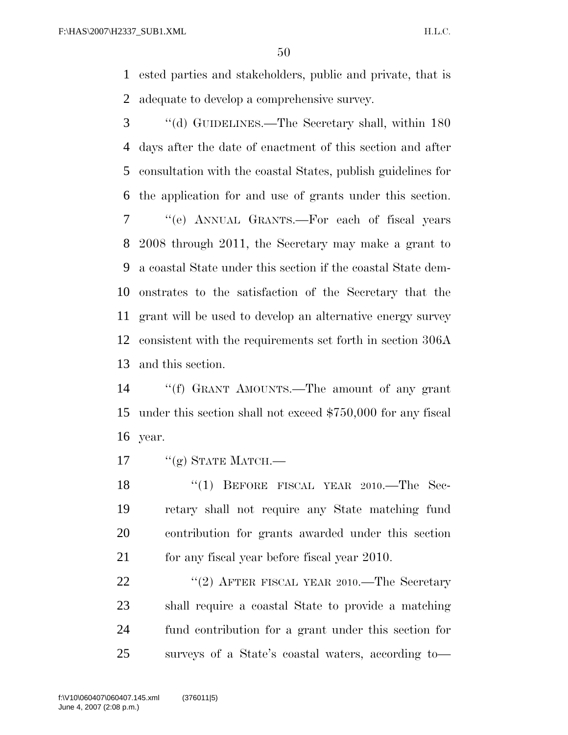ested parties and stakeholders, public and private, that is adequate to develop a comprehensive survey.

 ''(d) GUIDELINES.—The Secretary shall, within 180 days after the date of enactment of this section and after consultation with the coastal States, publish guidelines for the application for and use of grants under this section. ''(e) ANNUAL GRANTS.—For each of fiscal years 2008 through 2011, the Secretary may make a grant to a coastal State under this section if the coastal State dem- onstrates to the satisfaction of the Secretary that the grant will be used to develop an alternative energy survey consistent with the requirements set forth in section 306A and this section.

 ''(f) GRANT AMOUNTS.—The amount of any grant under this section shall not exceed \$750,000 for any fiscal year.

17  $''(g)$  STATE MATCH.—

18 "(1) BEFORE FISCAL YEAR 2010.—The Sec- retary shall not require any State matching fund contribution for grants awarded under this section 21 for any fiscal year before fiscal year 2010.

22 "(2) AFTER FISCAL YEAR 2010.—The Secretary shall require a coastal State to provide a matching fund contribution for a grant under this section for surveys of a State's coastal waters, according to—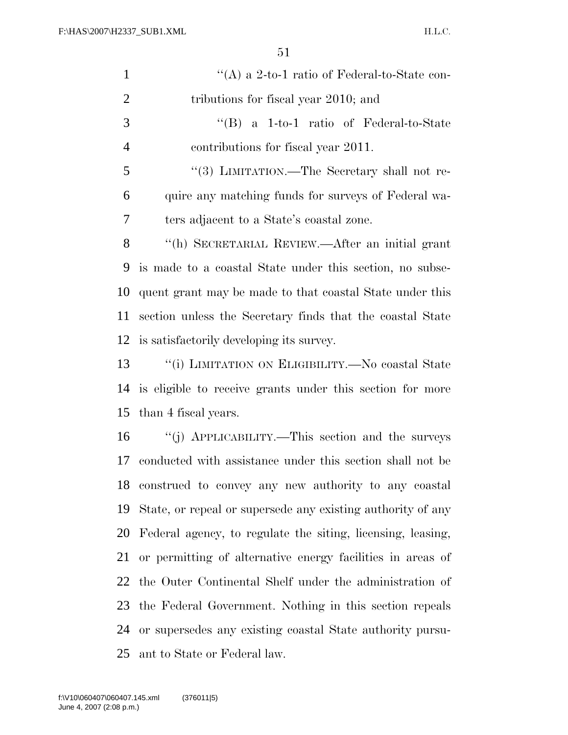| $\mathbf{1}$   | "(A) a 2-to-1 ratio of Federal-to-State con-                |
|----------------|-------------------------------------------------------------|
| $\overline{2}$ | tributions for fiscal year 2010; and                        |
| 3              | $\lq\lq (B)$ a 1-to-1 ratio of Federal-to-State             |
| $\overline{4}$ | contributions for fiscal year 2011.                         |
| 5              | "(3) LIMITATION.—The Secretary shall not re-                |
| 6              | quire any matching funds for surveys of Federal wa-         |
| 7              | ters adjacent to a State's coastal zone.                    |
| 8              | "(h) SECRETARIAL REVIEW.—After an initial grant             |
| 9              | is made to a coastal State under this section, no subse-    |
| 10             | quent grant may be made to that coastal State under this    |
| 11             | section unless the Secretary finds that the coastal State   |
| 12             | is satisfactorily developing its survey.                    |
| 13             | "(i) LIMITATION ON ELIGIBILITY.—No coastal State            |
| 14             | is eligible to receive grants under this section for more   |
| 15             | than 4 fiscal years.                                        |
| 16             | "(j) APPLICABILITY.—This section and the surveys            |
| 17             | conducted with assistance under this section shall not be   |
| 18             | construed to convey any new authority to any coastal        |
| 19             | State, or repeal or supersede any existing authority of any |
| 20             | Federal agency, to regulate the siting, licensing, leasing, |
| 21             | or permitting of alternative energy facilities in areas of  |
| 22             | the Outer Continental Shelf under the administration of     |
| 23             | the Federal Government. Nothing in this section repeals     |
| 24             | or supersedes any existing coastal State authority pursu-   |
| 25             | ant to State or Federal law.                                |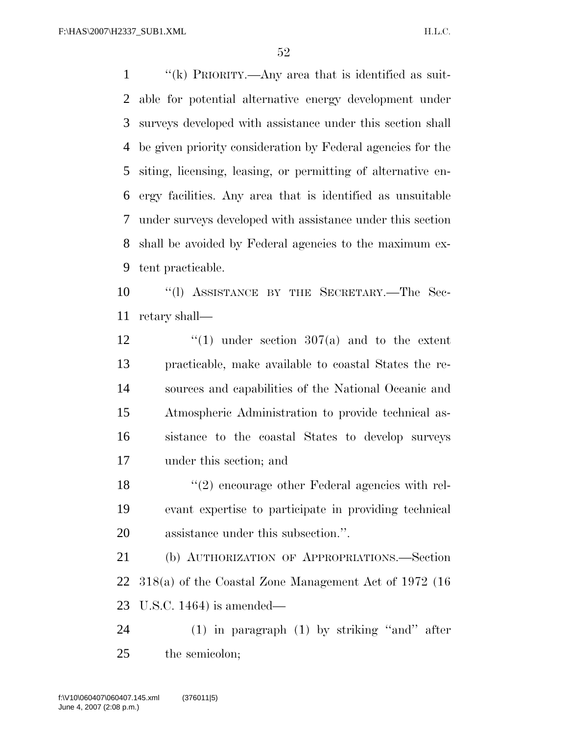''(k) PRIORITY.—Any area that is identified as suit- able for potential alternative energy development under surveys developed with assistance under this section shall be given priority consideration by Federal agencies for the siting, licensing, leasing, or permitting of alternative en- ergy facilities. Any area that is identified as unsuitable under surveys developed with assistance under this section shall be avoided by Federal agencies to the maximum ex-tent practicable.

 ''(l) ASSISTANCE BY THE SECRETARY.—The Sec-retary shall—

 $\frac{1}{2}$   $\frac{1}{2}$   $\frac{1}{2}$  under section 307(a) and to the extent practicable, make available to coastal States the re- sources and capabilities of the National Oceanic and Atmospheric Administration to provide technical as- sistance to the coastal States to develop surveys under this section; and

18 ''(2) encourage other Federal agencies with rel- evant expertise to participate in providing technical assistance under this subsection.''.

 (b) AUTHORIZATION OF APPROPRIATIONS.—Section 318(a) of the Coastal Zone Management Act of 1972 (16 U.S.C. 1464) is amended—

 (1) in paragraph (1) by striking ''and'' after the semicolon;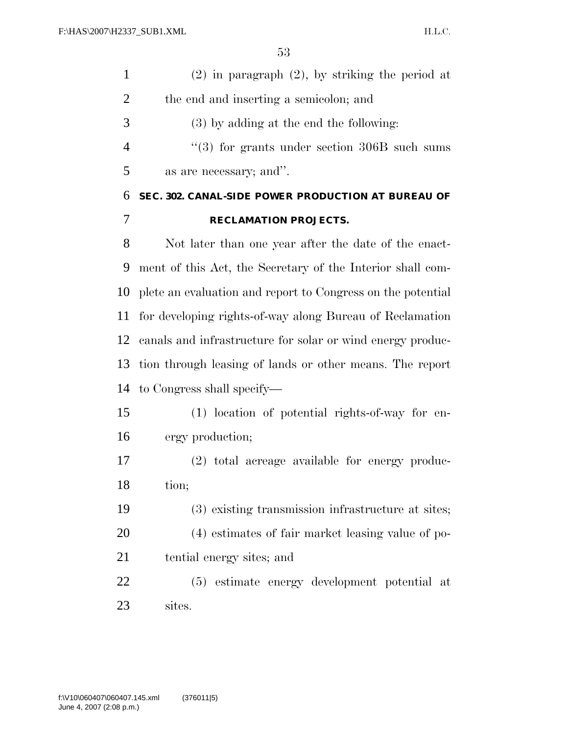| $(2)$ in paragraph $(2)$ , by striking the period at |
|------------------------------------------------------|
| the end and inserting a semicolon; and               |

(3) by adding at the end the following:

4 "(3) for grants under section 306B such sums as are necessary; and''.

### **SEC. 302. CANAL-SIDE POWER PRODUCTION AT BUREAU OF RECLAMATION PROJECTS.**

 Not later than one year after the date of the enact- ment of this Act, the Secretary of the Interior shall com- plete an evaluation and report to Congress on the potential for developing rights-of-way along Bureau of Reclamation canals and infrastructure for solar or wind energy produc- tion through leasing of lands or other means. The report to Congress shall specify—

 (1) location of potential rights-of-way for en-ergy production;

 (2) total acreage available for energy produc-tion;

 (3) existing transmission infrastructure at sites; (4) estimates of fair market leasing value of po-tential energy sites; and

 (5) estimate energy development potential at sites.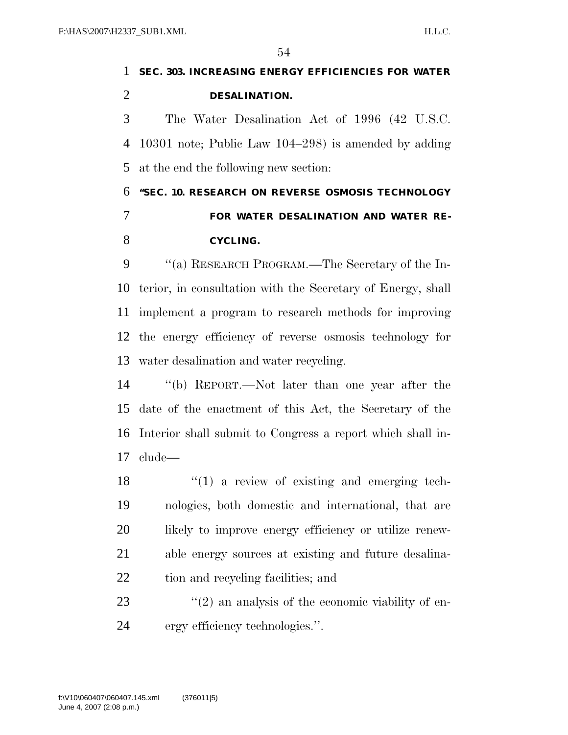### **SEC. 303. INCREASING ENERGY EFFICIENCIES FOR WATER DESALINATION.**  The Water Desalination Act of 1996 (42 U.S.C. 10301 note; Public Law 104–298) is amended by adding at the end the following new section: **''SEC. 10. RESEARCH ON REVERSE OSMOSIS TECHNOLOGY FOR WATER DESALINATION AND WATER RE-CYCLING.**

9 "(a) RESEARCH PROGRAM.—The Secretary of the In- terior, in consultation with the Secretary of Energy, shall implement a program to research methods for improving the energy efficiency of reverse osmosis technology for water desalination and water recycling.

 ''(b) REPORT.—Not later than one year after the date of the enactment of this Act, the Secretary of the Interior shall submit to Congress a report which shall in-clude—

 ''(1) a review of existing and emerging tech- nologies, both domestic and international, that are likely to improve energy efficiency or utilize renew- able energy sources at existing and future desalina-tion and recycling facilities; and

23  $\frac{1}{2}$  (2) an analysis of the economic viability of en-ergy efficiency technologies.''.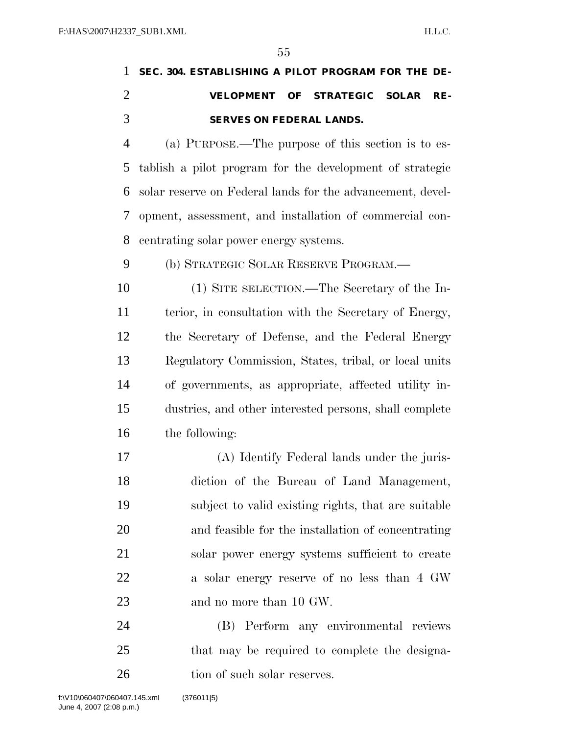### **SEC. 304. ESTABLISHING A PILOT PROGRAM FOR THE DE- VELOPMENT OF STRATEGIC SOLAR RE-SERVES ON FEDERAL LANDS.**

 (a) PURPOSE.—The purpose of this section is to es- tablish a pilot program for the development of strategic solar reserve on Federal lands for the advancement, devel- opment, assessment, and installation of commercial con-centrating solar power energy systems.

(b) STRATEGIC SOLAR RESERVE PROGRAM.—

 (1) SITE SELECTION.—The Secretary of the In- terior, in consultation with the Secretary of Energy, the Secretary of Defense, and the Federal Energy Regulatory Commission, States, tribal, or local units of governments, as appropriate, affected utility in- dustries, and other interested persons, shall complete the following:

 (A) Identify Federal lands under the juris- diction of the Bureau of Land Management, subject to valid existing rights, that are suitable and feasible for the installation of concentrating solar power energy systems sufficient to create 22 a solar energy reserve of no less than 4 GW and no more than 10 GW.

 (B) Perform any environmental reviews that may be required to complete the designa-26 tion of such solar reserves.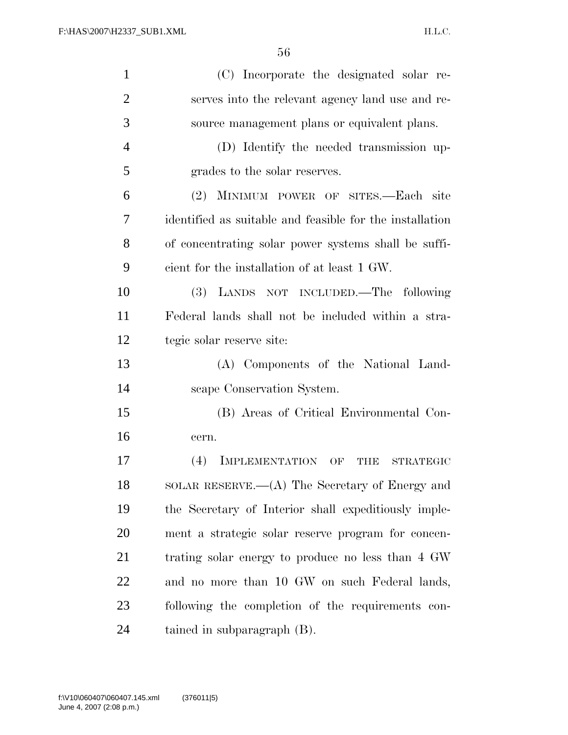| $\mathbf{1}$   | (C) Incorporate the designated solar re-                 |
|----------------|----------------------------------------------------------|
| $\overline{2}$ | serves into the relevant agency land use and re-         |
| 3              | source management plans or equivalent plans.             |
| $\overline{4}$ | (D) Identify the needed transmission up-                 |
| 5              | grades to the solar reserves.                            |
| 6              | (2) MINIMUM POWER OF SITES.—Each site                    |
| 7              | identified as suitable and feasible for the installation |
| 8              | of concentrating solar power systems shall be suffi-     |
| 9              | cient for the installation of at least 1 GW.             |
| 10             | (3) LANDS NOT INCLUDED.—The following                    |
| 11             | Federal lands shall not be included within a stra-       |
| 12             | tegic solar reserve site:                                |
| 13             | (A) Components of the National Land-                     |
| 14             | scape Conservation System.                               |
| 15             | (B) Areas of Critical Environmental Con-                 |
| 16             | cern.                                                    |
| 17             | (4)<br>IMPLEMENTATION OF<br>THE<br><b>STRATEGIC</b>      |
| 18             | SOLAR RESERVE.—(A) The Secretary of Energy and           |
| 19             | the Secretary of Interior shall expeditiously imple-     |
| 20             | ment a strategic solar reserve program for concen-       |
| 21             | trating solar energy to produce no less than 4 GW        |
| 22             | and no more than 10 GW on such Federal lands,            |
| 23             | following the completion of the requirements con-        |
| 24             | tained in subparagraph (B).                              |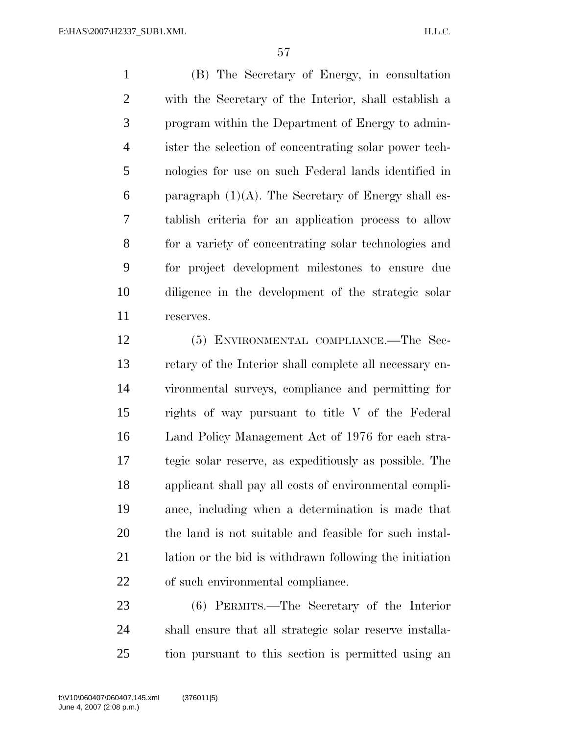(B) The Secretary of Energy, in consultation with the Secretary of the Interior, shall establish a program within the Department of Energy to admin- ister the selection of concentrating solar power tech- nologies for use on such Federal lands identified in 6 paragraph  $(1)(A)$ . The Secretary of Energy shall es- tablish criteria for an application process to allow for a variety of concentrating solar technologies and for project development milestones to ensure due diligence in the development of the strategic solar reserves.

 (5) ENVIRONMENTAL COMPLIANCE.—The Sec- retary of the Interior shall complete all necessary en- vironmental surveys, compliance and permitting for rights of way pursuant to title V of the Federal Land Policy Management Act of 1976 for each stra- tegic solar reserve, as expeditiously as possible. The applicant shall pay all costs of environmental compli- ance, including when a determination is made that the land is not suitable and feasible for such instal- lation or the bid is withdrawn following the initiation of such environmental compliance.

 (6) PERMITS.—The Secretary of the Interior shall ensure that all strategic solar reserve installa-tion pursuant to this section is permitted using an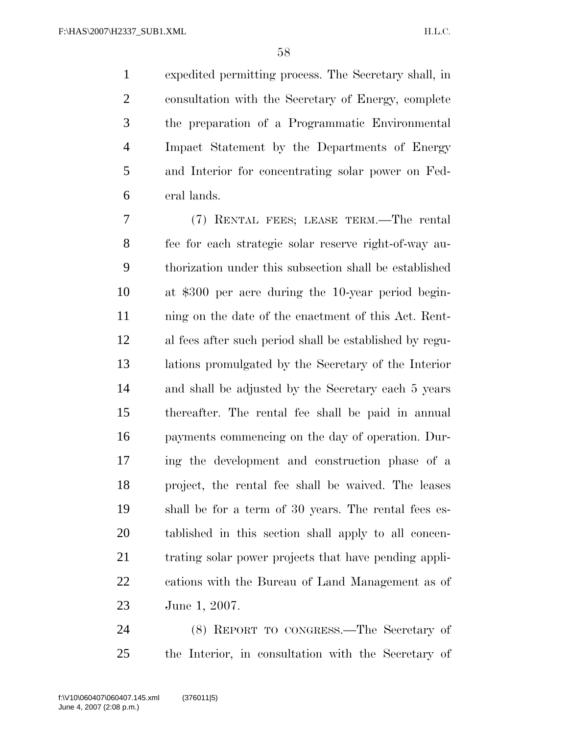expedited permitting process. The Secretary shall, in consultation with the Secretary of Energy, complete the preparation of a Programmatic Environmental Impact Statement by the Departments of Energy and Interior for concentrating solar power on Fed-eral lands.

 (7) RENTAL FEES; LEASE TERM.—The rental fee for each strategic solar reserve right-of-way au- thorization under this subsection shall be established at \$300 per acre during the 10-year period begin-11 ining on the date of the enactment of this Act. Rent- al fees after such period shall be established by regu- lations promulgated by the Secretary of the Interior and shall be adjusted by the Secretary each 5 years thereafter. The rental fee shall be paid in annual payments commencing on the day of operation. Dur- ing the development and construction phase of a project, the rental fee shall be waived. The leases shall be for a term of 30 years. The rental fees es- tablished in this section shall apply to all concen- trating solar power projects that have pending appli- cations with the Bureau of Land Management as of June 1, 2007.

 (8) REPORT TO CONGRESS.—The Secretary of the Interior, in consultation with the Secretary of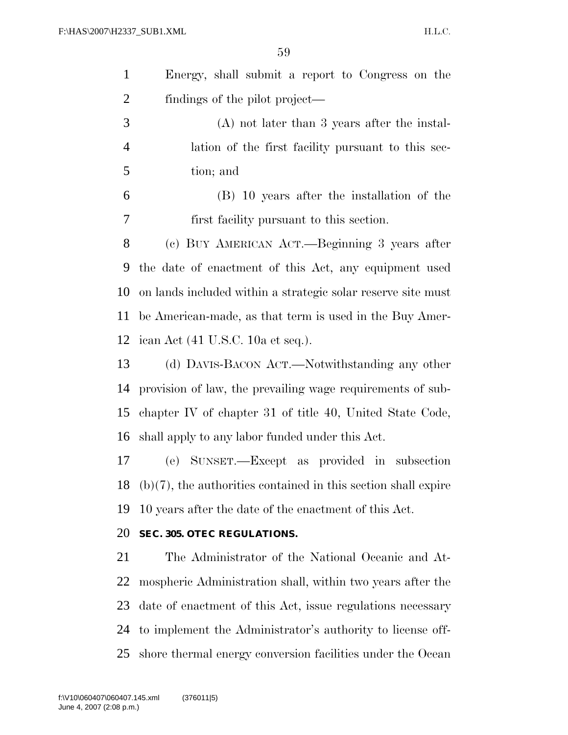|                | 59                                                                |
|----------------|-------------------------------------------------------------------|
| $\mathbf{1}$   | Energy, shall submit a report to Congress on the                  |
| $\overline{2}$ | findings of the pilot project—                                    |
| 3              | $(A)$ not later than 3 years after the instal-                    |
| $\overline{4}$ | lation of the first facility pursuant to this sec-                |
| 5              | tion; and                                                         |
| 6              | (B) 10 years after the installation of the                        |
| 7              | first facility pursuant to this section.                          |
| 8              | (c) BUY AMERICAN ACT.—Beginning 3 years after                     |
| 9              | the date of enactment of this Act, any equipment used             |
| 10             | on lands included within a strategic solar reserve site must      |
| 11             | be American-made, as that term is used in the Buy Amer-           |
| 12             | ican Act (41 U.S.C. 10a et seq.).                                 |
| 13             | (d) DAVIS-BACON ACT.—Notwithstanding any other                    |
| 14             | provision of law, the prevailing wage requirements of sub-        |
| 15             | chapter IV of chapter 31 of title 40, United State Code,          |
| 16             | shall apply to any labor funded under this Act.                   |
|                | 17 (e) SUNSET.—Except as provided in subsection                   |
| 18             | $(b)(7)$ , the authorities contained in this section shall expire |
| 19             | 10 years after the date of the enactment of this Act.             |
| 20             | SEC. 305. OTEC REGULATIONS.                                       |
| 21             | The Administrator of the National Oceanic and At-                 |
| 22             | mospheric Administration shall, within two years after the        |

date of enactment of this Act, issue regulations necessary

to implement the Administrator's authority to license off-

shore thermal energy conversion facilities under the Ocean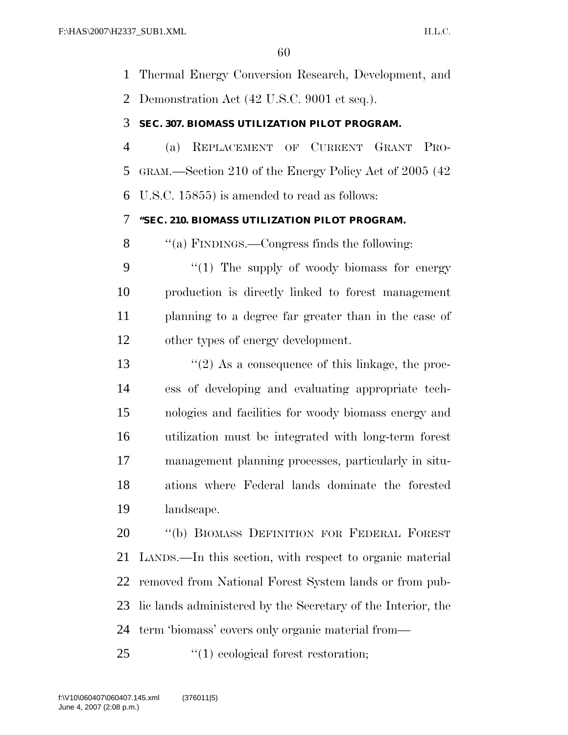Thermal Energy Conversion Research, Development, and Demonstration Act (42 U.S.C. 9001 et seq.).

#### **SEC. 307. BIOMASS UTILIZATION PILOT PROGRAM.**

 (a) REPLACEMENT OF CURRENT GRANT PRO- GRAM.—Section 210 of the Energy Policy Act of 2005 (42 U.S.C. 15855) is amended to read as follows:

#### **''SEC. 210. BIOMASS UTILIZATION PILOT PROGRAM.**

''(a) FINDINGS.—Congress finds the following:

9 "(1) The supply of woody biomass for energy production is directly linked to forest management planning to a degree far greater than in the case of other types of energy development.

 $\frac{1}{2}$  As a consequence of this linkage, the proc- ess of developing and evaluating appropriate tech- nologies and facilities for woody biomass energy and utilization must be integrated with long-term forest management planning processes, particularly in situ- ations where Federal lands dominate the forested landscape.

 ''(b) BIOMASS DEFINITION FOR FEDERAL FOREST LANDS.—In this section, with respect to organic material removed from National Forest System lands or from pub- lic lands administered by the Secretary of the Interior, the term 'biomass' covers only organic material from—

25  $\frac{1}{2}$  (1) ecological forest restoration;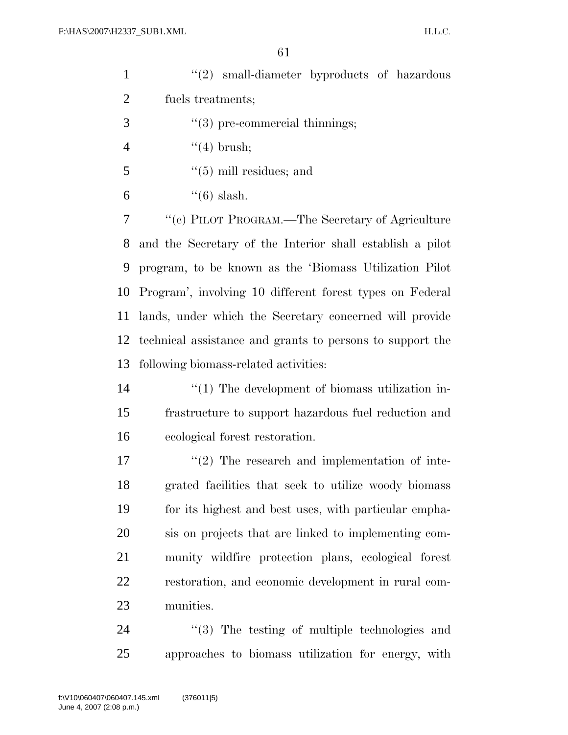| $\mathbf{1}$   | "(2) small-diameter byproducts of hazardous               |
|----------------|-----------------------------------------------------------|
| $\overline{2}$ | fuels treatments;                                         |
| 3              | $"(3)$ pre-commercial thinnings;                          |
| $\overline{4}$ | $\lq(4)$ brush;                                           |
| 5              | $\lq(5)$ mill residues; and                               |
| 6              | $\lq(6)$ slash.                                           |
| 7              | "(c) PILOT PROGRAM.—The Secretary of Agriculture          |
| 8              | and the Secretary of the Interior shall establish a pilot |
| 9              | program, to be known as the 'Biomass Utilization Pilot    |
| 10             | Program', involving 10 different forest types on Federal  |
| 11             | lands, under which the Secretary concerned will provide   |
| 12             | technical assistance and grants to persons to support the |
| 13             | following biomass-related activities:                     |
| 14             | $\lq(1)$ The development of biomass utilization in-       |
| 15             | frastructure to support hazardous fuel reduction and      |
| 16             | ecological forest restoration.                            |
| 17             | $\lq(2)$ The research and implementation of inte-         |
| 18             | grated facilities that seek to utilize woody biomass      |
| 19             | for its highest and best uses, with particular empha-     |
| 20             | sis on projects that are linked to implementing com-      |
| 21             | munity wildfire protection plans, ecological forest       |
| 22             | restoration, and economic development in rural com-       |
| 23             | munities.                                                 |
| 24             | $\lq(3)$ The testing of multiple technologies and         |

approaches to biomass utilization for energy, with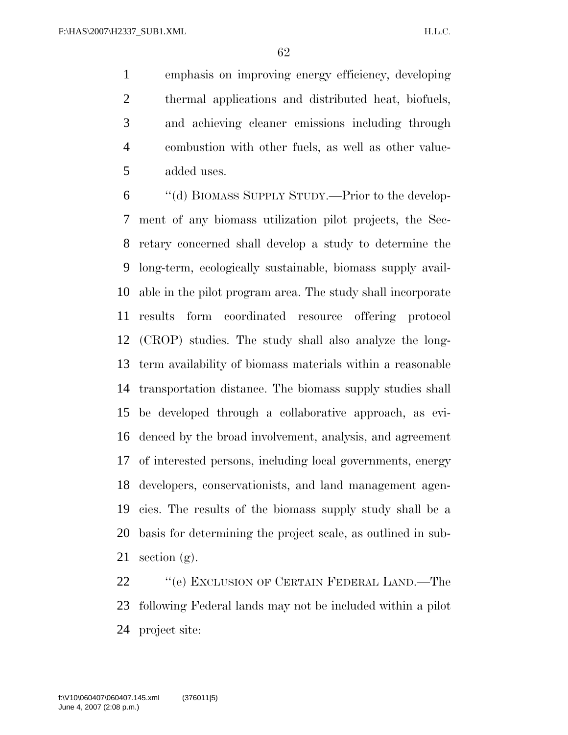emphasis on improving energy efficiency, developing thermal applications and distributed heat, biofuels, and achieving cleaner emissions including through combustion with other fuels, as well as other value-added uses.

 ''(d) BIOMASS SUPPLY STUDY.—Prior to the develop- ment of any biomass utilization pilot projects, the Sec- retary concerned shall develop a study to determine the long-term, ecologically sustainable, biomass supply avail- able in the pilot program area. The study shall incorporate results form coordinated resource offering protocol (CROP) studies. The study shall also analyze the long- term availability of biomass materials within a reasonable transportation distance. The biomass supply studies shall be developed through a collaborative approach, as evi- denced by the broad involvement, analysis, and agreement of interested persons, including local governments, energy developers, conservationists, and land management agen- cies. The results of the biomass supply study shall be a basis for determining the project scale, as outlined in sub-21 section  $(g)$ .

22 "'(e) EXCLUSION OF CERTAIN FEDERAL LAND.—The following Federal lands may not be included within a pilot project site: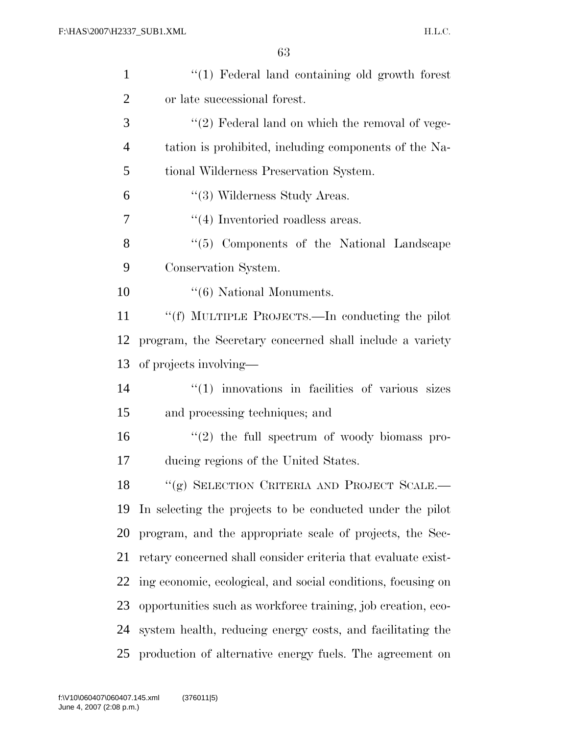| $\mathbf{1}$   | $\lq(1)$ Federal land containing old growth forest            |
|----------------|---------------------------------------------------------------|
| $\overline{2}$ | or late successional forest.                                  |
| 3              | $\lq(2)$ Federal land on which the removal of vege-           |
| $\overline{4}$ | tation is prohibited, including components of the Na-         |
| 5              | tional Wilderness Preservation System.                        |
| 6              | "(3) Wilderness Study Areas.                                  |
| $\tau$         | $\lq(4)$ Inventoried roadless areas.                          |
| 8              | "(5) Components of the National Landscape                     |
| 9              | Conservation System.                                          |
| 10             | $\lq\lq (6)$ National Monuments.                              |
| 11             | "(f) MULTIPLE PROJECTS.—In conducting the pilot               |
| 12             | program, the Secretary concerned shall include a variety      |
| 13             | of projects involving—                                        |
| 14             | $"(1)$ innovations in facilities of various sizes             |
| 15             | and processing techniques; and                                |
| 16             | $\lq(2)$ the full spectrum of woody biomass pro-              |
| 17             | ducing regions of the United States.                          |
| 18             | "(g) SELECTION CRITERIA AND PROJECT SCALE.-                   |
| 19             | In selecting the projects to be conducted under the pilot     |
| 20             | program, and the appropriate scale of projects, the Sec-      |
| 21             | retary concerned shall consider criteria that evaluate exist- |
| 22             | ing economic, ecological, and social conditions, focusing on  |
| 23             | opportunities such as workforce training, job creation, eco-  |
| 24             | system health, reducing energy costs, and facilitating the    |
| 25             | production of alternative energy fuels. The agreement on      |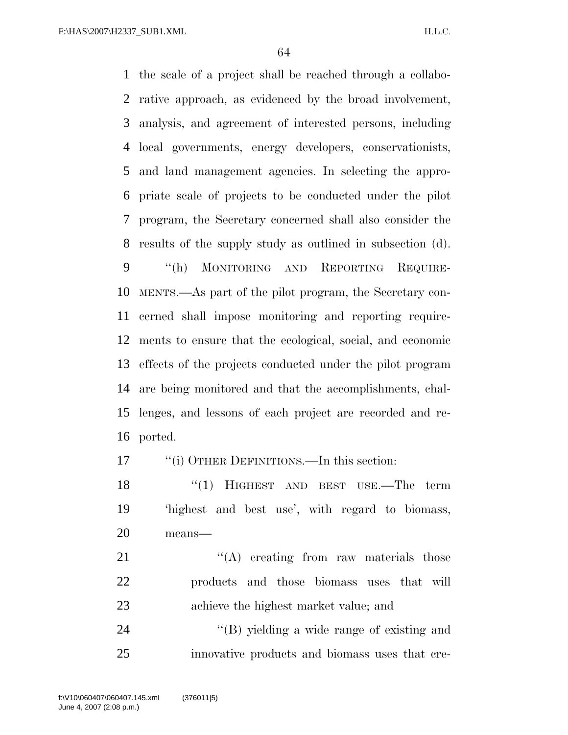the scale of a project shall be reached through a collabo- rative approach, as evidenced by the broad involvement, analysis, and agreement of interested persons, including local governments, energy developers, conservationists, and land management agencies. In selecting the appro- priate scale of projects to be conducted under the pilot program, the Secretary concerned shall also consider the results of the supply study as outlined in subsection (d). ''(h) MONITORING AND REPORTING REQUIRE- MENTS.—As part of the pilot program, the Secretary con- cerned shall impose monitoring and reporting require- ments to ensure that the ecological, social, and economic effects of the projects conducted under the pilot program are being monitored and that the accomplishments, chal- lenges, and lessons of each project are recorded and re-ported.

17 ""(i) OTHER DEFINITIONS.—In this section:

18 "(1) HIGHEST AND BEST USE.—The term 'highest and best use', with regard to biomass, means—

21 ''(A) creating from raw materials those products and those biomass uses that will achieve the highest market value; and

24 ''(B) yielding a wide range of existing and innovative products and biomass uses that cre-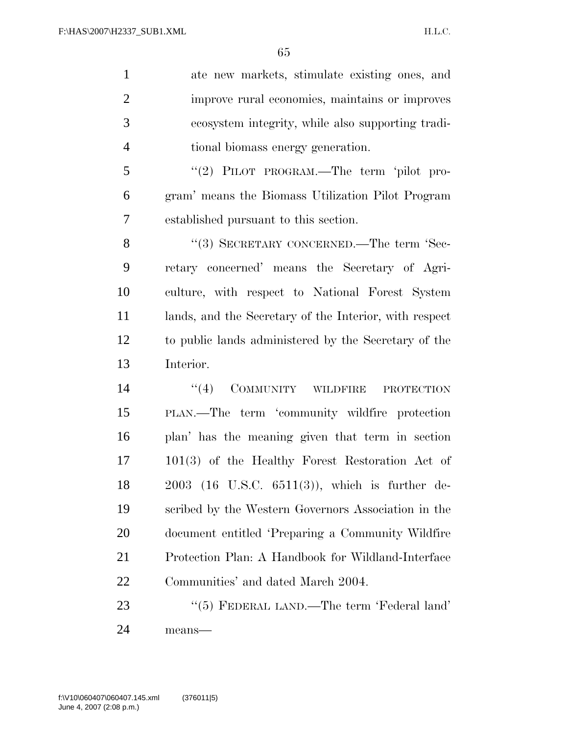ate new markets, stimulate existing ones, and improve rural economies, maintains or improves ecosystem integrity, while also supporting tradi-tional biomass energy generation.

 ''(2) PILOT PROGRAM.—The term 'pilot pro- gram' means the Biomass Utilization Pilot Program established pursuant to this section.

8 "(3) SECRETARY CONCERNED.—The term 'Sec- retary concerned' means the Secretary of Agri- culture, with respect to National Forest System lands, and the Secretary of the Interior, with respect to public lands administered by the Secretary of the Interior.

 $((4)$  COMMUNITY WILDFIRE PROTECTION PLAN.—The term 'community wildfire protection plan' has the meaning given that term in section 101(3) of the Healthy Forest Restoration Act of 2003 (16 U.S.C. 6511(3)), which is further de- scribed by the Western Governors Association in the document entitled 'Preparing a Community Wildfire Protection Plan: A Handbook for Wildland-Interface Communities' and dated March 2004.

23 "(5) FEDERAL LAND.—The term 'Federal land' means—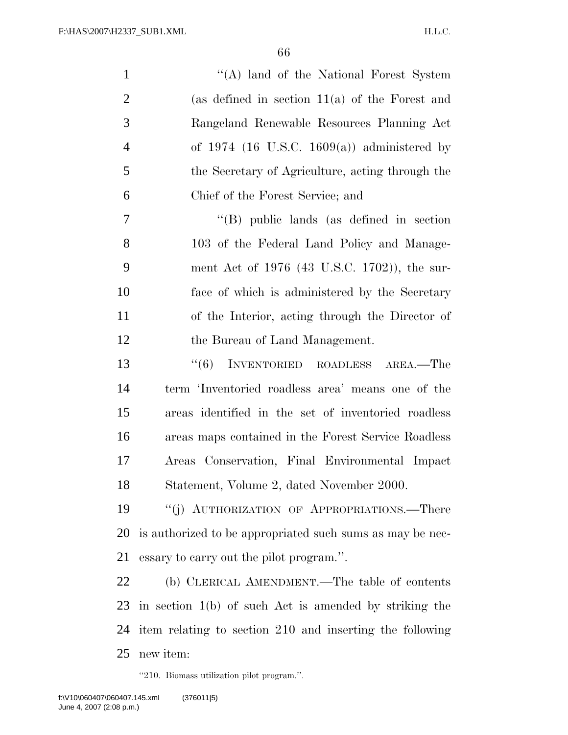| $\mathbf{1}$   | "(A) land of the National Forest System                   |
|----------------|-----------------------------------------------------------|
| $\overline{2}$ | (as defined in section $11(a)$ of the Forest and          |
| 3              | Rangeland Renewable Resources Planning Act                |
| $\overline{4}$ | of 1974 (16 U.S.C. 1609(a)) administered by               |
| 5              | the Secretary of Agriculture, acting through the          |
| 6              | Chief of the Forest Service; and                          |
| 7              | $\lq\lq$ (B) public lands (as defined in section          |
| 8              | 103 of the Federal Land Policy and Manage-                |
| 9              | ment Act of 1976 (43 U.S.C. 1702)), the sur-              |
| 10             | face of which is administered by the Secretary            |
| 11             | of the Interior, acting through the Director of           |
| 12             | the Bureau of Land Management.                            |
| 13             | INVENTORIED ROADLESS AREA.—The<br>(6)                     |
| 14             | term 'Inventoried roadless area' means one of the         |
| 15             | areas identified in the set of inventoried roadless       |
| 16             | areas maps contained in the Forest Service Roadless       |
| 17             | Areas Conservation, Final Environmental Impact            |
| 18             | Statement, Volume 2, dated November 2000.                 |
| 19             | "(j) AUTHORIZATION OF APPROPRIATIONS.—There               |
| 20             | is authorized to be appropriated such sums as may be nec- |
| 21             | essary to carry out the pilot program.".                  |
| 22             | (b) CLERICAL AMENDMENT.—The table of contents             |
| 23             | in section $1(b)$ of such Act is amended by striking the  |
| 24             | item relating to section 210 and inserting the following  |
| 25             | new item:                                                 |

''210. Biomass utilization pilot program.''.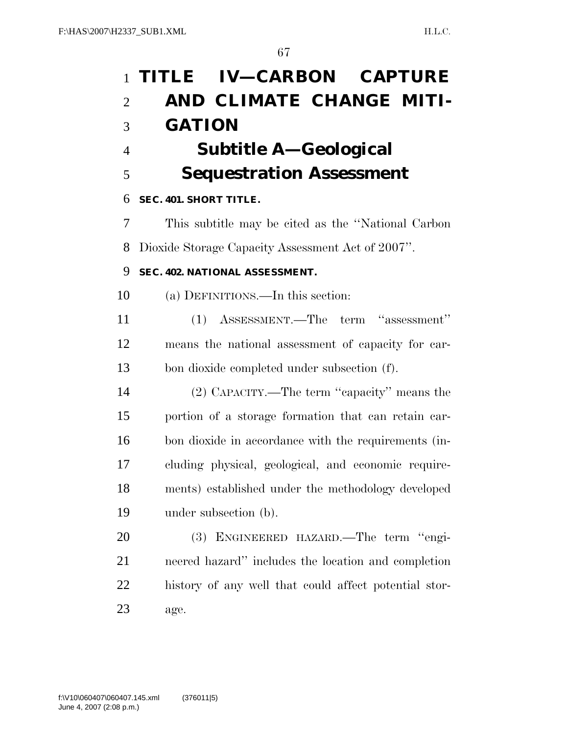| $\mathbf{1}$   | TITLE IV-CARBON CAPTURE                               |
|----------------|-------------------------------------------------------|
| $\overline{2}$ | AND CLIMATE CHANGE MITI-                              |
| 3              | <b>GATION</b>                                         |
| $\overline{4}$ | Subtitle A—Geological                                 |
| 5              | <b>Sequestration Assessment</b>                       |
| 6              | SEC. 401. SHORT TITLE.                                |
| 7              | This subtitle may be cited as the "National Carbon"   |
| 8              | Dioxide Storage Capacity Assessment Act of 2007".     |
| 9              | SEC. 402. NATIONAL ASSESSMENT.                        |
| 10             | (a) DEFINITIONS.—In this section:                     |
| 11             | (1) ASSESSMENT.—The term "assessment"                 |
| 12             | means the national assessment of capacity for car-    |
| 13             | bon dioxide completed under subsection (f).           |
| 14             | (2) CAPACITY.—The term "capacity" means the           |
| 15             | portion of a storage formation that can retain car-   |
| 16             | bon dioxide in accordance with the requirements (in-  |
| 17             | cluding physical, geological, and economic require-   |
| 18             | ments) established under the methodology developed    |
| 19             | under subsection (b).                                 |
| 20             | ENGINEERED HAZARD.—The term "engi-<br><b>(3)</b>      |
| 21             | neered hazard" includes the location and completion   |
| 22             | history of any well that could affect potential stor- |
| 23             | age.                                                  |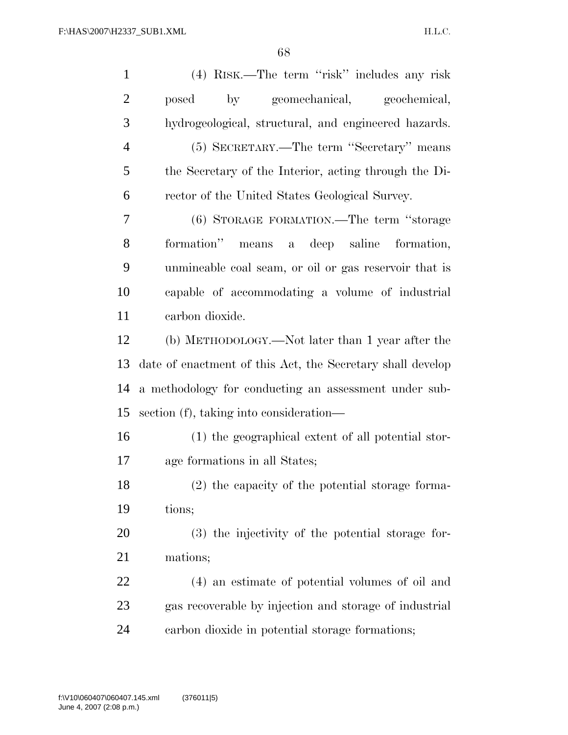| $\mathbf{1}$   | (4) RISK.—The term "risk" includes any risk                |
|----------------|------------------------------------------------------------|
| $\overline{2}$ | geomechanical,<br>by<br>geochemical,<br>posed              |
| 3              | hydrogeological, structural, and engineered hazards.       |
| 4              | (5) SECRETARY.—The term "Secretary" means                  |
| 5              | the Secretary of the Interior, acting through the Di-      |
| 6              | rector of the United States Geological Survey.             |
| 7              | (6) STORAGE FORMATION.—The term "storage                   |
| 8              | formation" means a deep saline formation,                  |
| 9              | unmineable coal seam, or oil or gas reservoir that is      |
| 10             | capable of accommodating a volume of industrial            |
| 11             | carbon dioxide.                                            |
| 12             | (b) METHODOLOGY.—Not later than 1 year after the           |
| 13             | date of enactment of this Act, the Secretary shall develop |
| 14             | a methodology for conducting an assessment under sub-      |
| 15             | section (f), taking into consideration—                    |
| 16             | (1) the geographical extent of all potential stor-         |
| 17             | age formations in all States;                              |
| 18             | (2) the capacity of the potential storage forma-           |
| 19             | tions;                                                     |
| <b>20</b>      | (3) the injectivity of the potential storage for-          |
| 21             | mations;                                                   |
| 22             | (4) an estimate of potential volumes of oil and            |
| 23             | gas recoverable by injection and storage of industrial     |
| 24             | carbon dioxide in potential storage formations;            |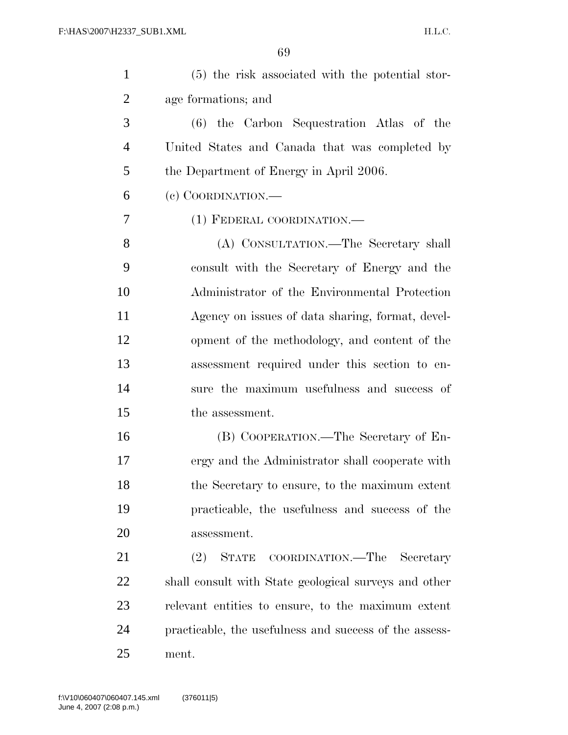| $\mathbf{1}$   | (5) the risk associated with the potential stor-       |
|----------------|--------------------------------------------------------|
| $\overline{c}$ | age formations; and                                    |
| 3              | (6) the Carbon Sequestration Atlas of the              |
| $\overline{4}$ | United States and Canada that was completed by         |
| 5              | the Department of Energy in April 2006.                |
| 6              | (c) COORDINATION.—                                     |
| 7              | (1) FEDERAL COORDINATION.—                             |
| 8              | (A) CONSULTATION.—The Secretary shall                  |
| 9              | consult with the Secretary of Energy and the           |
| 10             | Administrator of the Environmental Protection          |
| 11             | Agency on issues of data sharing, format, devel-       |
| 12             | opment of the methodology, and content of the          |
| 13             | assessment required under this section to en-          |
| 14             | sure the maximum usefulness and success of             |
| 15             | the assessment.                                        |
| 16             | (B) COOPERATION.—The Secretary of En-                  |
| 17             | ergy and the Administrator shall cooperate with        |
| 18             | the Secretary to ensure, to the maximum extent         |
| 19             | practicable, the usefulness and success of the         |
| 20             | assessment.                                            |
| 21             | STATE COORDINATION.—The Secretary<br>(2)               |
| 22             | shall consult with State geological surveys and other  |
| 23             | relevant entities to ensure, to the maximum extent     |
| 24             | practicable, the usefulness and success of the assess- |
| 25             | ment.                                                  |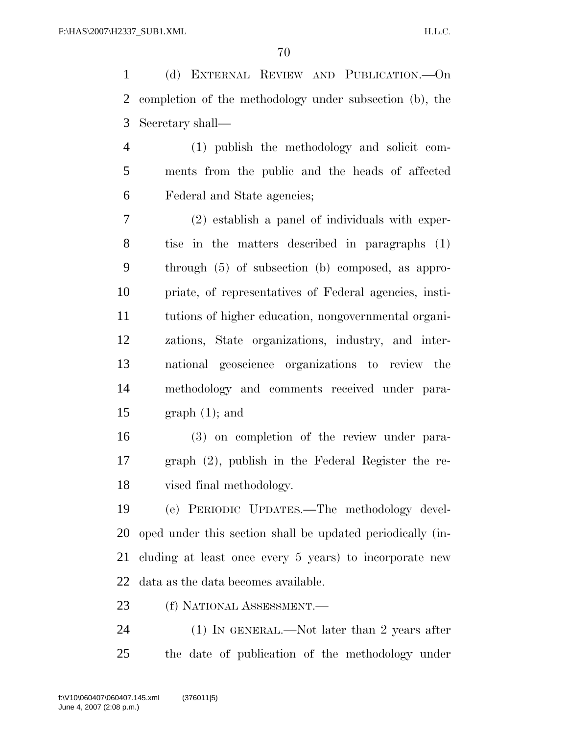(d) EXTERNAL REVIEW AND PUBLICATION.—On completion of the methodology under subsection (b), the Secretary shall—

 (1) publish the methodology and solicit com- ments from the public and the heads of affected Federal and State agencies;

 (2) establish a panel of individuals with exper- tise in the matters described in paragraphs (1) through (5) of subsection (b) composed, as appro- priate, of representatives of Federal agencies, insti- tutions of higher education, nongovernmental organi- zations, State organizations, industry, and inter- national geoscience organizations to review the methodology and comments received under para-15 graph  $(1)$ ; and

 (3) on completion of the review under para- graph (2), publish in the Federal Register the re-vised final methodology.

 (e) PERIODIC UPDATES.—The methodology devel- oped under this section shall be updated periodically (in- cluding at least once every 5 years) to incorporate new data as the data becomes available.

(f) NATIONAL ASSESSMENT.—

 (1) IN GENERAL.—Not later than 2 years after the date of publication of the methodology under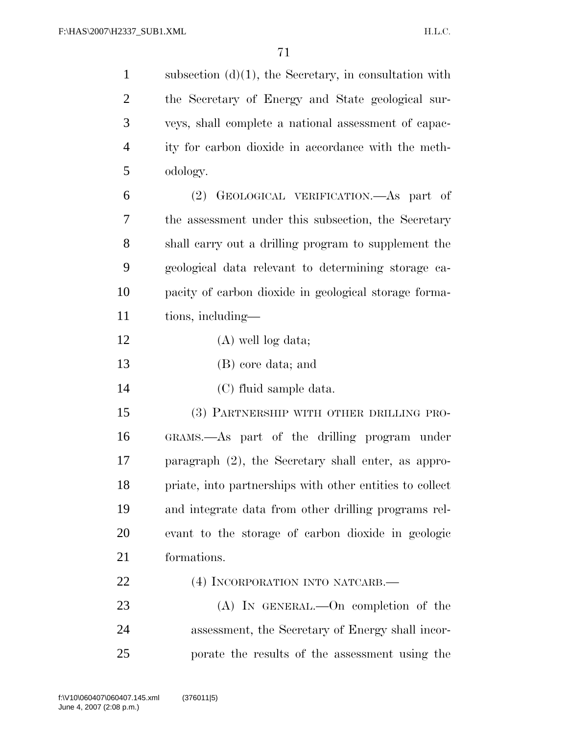| $\mathbf{1}$   | subsection $(d)(1)$ , the Secretary, in consultation with |
|----------------|-----------------------------------------------------------|
| $\overline{2}$ | the Secretary of Energy and State geological sur-         |
| 3              | veys, shall complete a national assessment of capac-      |
| $\overline{4}$ | ity for carbon dioxide in accordance with the meth-       |
| 5              | odology.                                                  |
| 6              | GEOLOGICAL VERIFICATION.—As part of<br>(2)                |
| 7              | the assessment under this subsection, the Secretary       |
| $8\phantom{1}$ | shall carry out a drilling program to supplement the      |
| 9              | geological data relevant to determining storage ca-       |
| 10             | pacity of carbon dioxide in geological storage forma-     |
| 11             | tions, including—                                         |
| 12             | $(A)$ well log data;                                      |
| 13             | (B) core data; and                                        |
| 14             | (C) fluid sample data.                                    |
| 15             | (3) PARTNERSHIP WITH OTHER DRILLING PRO-                  |
| 16             | GRAMS.—As part of the drilling program under              |
| 17             | paragraph $(2)$ , the Secretary shall enter, as appro-    |
| 18             | priate, into partnerships with other entities to collect  |
| 19             | and integrate data from other drilling programs rel-      |
| 20             | evant to the storage of carbon dioxide in geologic        |
| 21             | formations.                                               |
| 22             | (4) INCORPORATION INTO NATCARB.                           |
| 23             | $(A)$ In GENERAL.—On completion of the                    |
| 24             | assessment, the Secretary of Energy shall incor-          |
| 25             | porate the results of the assessment using the            |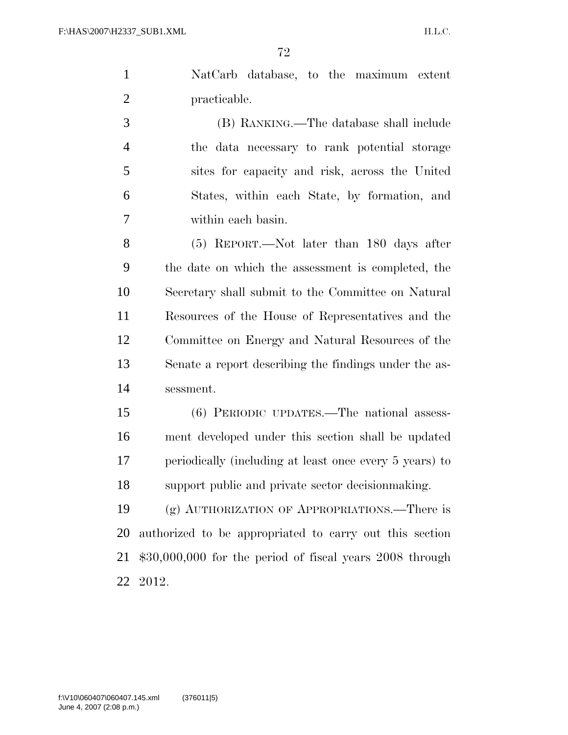NatCarb database, to the maximum extent practicable.

 (B) RANKING.—The database shall include the data necessary to rank potential storage sites for capacity and risk, across the United States, within each State, by formation, and within each basin.

 (5) REPORT.—Not later than 180 days after the date on which the assessment is completed, the Secretary shall submit to the Committee on Natural Resources of the House of Representatives and the Committee on Energy and Natural Resources of the Senate a report describing the findings under the as-sessment.

 (6) PERIODIC UPDATES.—The national assess- ment developed under this section shall be updated periodically (including at least once every 5 years) to support public and private sector decisionmaking.

 (g) AUTHORIZATION OF APPROPRIATIONS.—There is authorized to be appropriated to carry out this section \$30,000,000 for the period of fiscal years 2008 through 2012.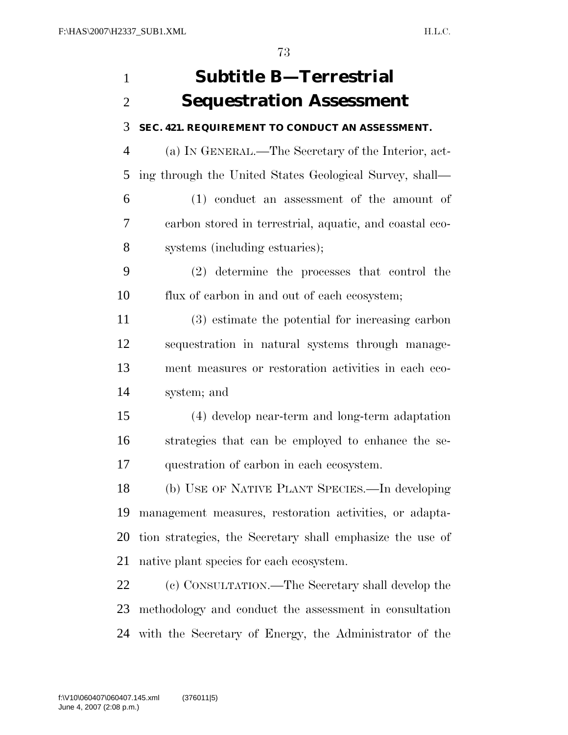# **Subtitle B—Terrestrial Sequestration Assessment**

### **SEC. 421. REQUIREMENT TO CONDUCT AN ASSESSMENT.**

 (a) IN GENERAL.—The Secretary of the Interior, act-ing through the United States Geological Survey, shall—

 (1) conduct an assessment of the amount of carbon stored in terrestrial, aquatic, and coastal eco-systems (including estuaries);

 (2) determine the processes that control the flux of carbon in and out of each ecosystem;

 (3) estimate the potential for increasing carbon sequestration in natural systems through manage- ment measures or restoration activities in each eco-system; and

 (4) develop near-term and long-term adaptation strategies that can be employed to enhance the se-questration of carbon in each ecosystem.

 (b) USE OF NATIVE PLANT SPECIES.—In developing management measures, restoration activities, or adapta- tion strategies, the Secretary shall emphasize the use of native plant species for each ecosystem.

 (c) CONSULTATION.—The Secretary shall develop the methodology and conduct the assessment in consultation with the Secretary of Energy, the Administrator of the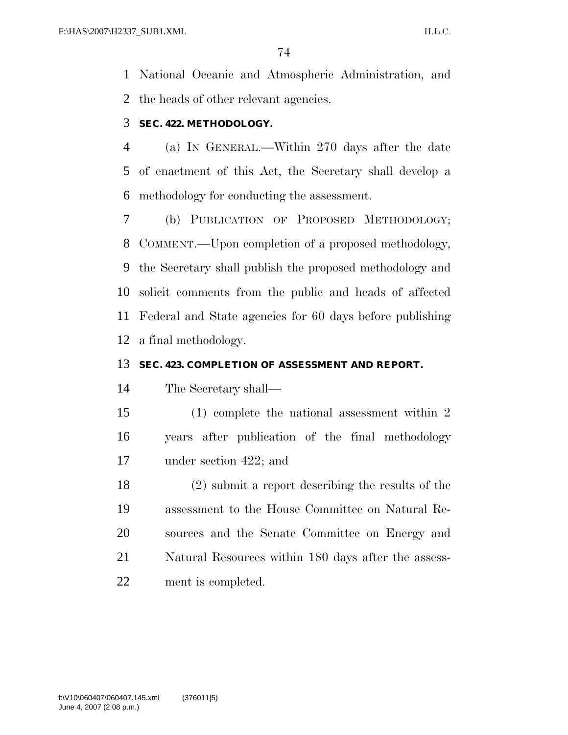National Oceanic and Atmospheric Administration, and the heads of other relevant agencies.

## **SEC. 422. METHODOLOGY.**

 (a) IN GENERAL.—Within 270 days after the date of enactment of this Act, the Secretary shall develop a methodology for conducting the assessment.

 (b) PUBLICATION OF PROPOSED METHODOLOGY; COMMENT.—Upon completion of a proposed methodology, the Secretary shall publish the proposed methodology and solicit comments from the public and heads of affected Federal and State agencies for 60 days before publishing a final methodology.

## **SEC. 423. COMPLETION OF ASSESSMENT AND REPORT.**

The Secretary shall—

 (1) complete the national assessment within 2 years after publication of the final methodology under section 422; and

 (2) submit a report describing the results of the assessment to the House Committee on Natural Re- sources and the Senate Committee on Energy and 21 Natural Resources within 180 days after the assess-ment is completed.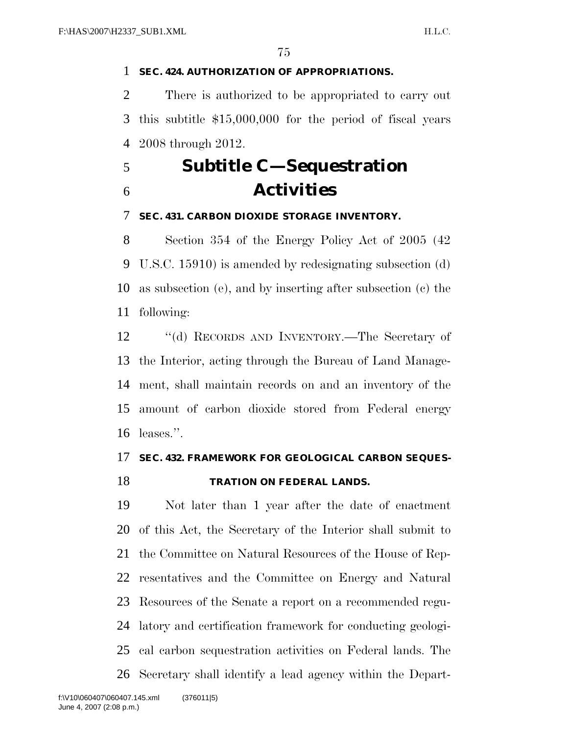### **SEC. 424. AUTHORIZATION OF APPROPRIATIONS.**

 There is authorized to be appropriated to carry out this subtitle \$15,000,000 for the period of fiscal years 2008 through 2012.

# **Subtitle C—Sequestration Activities**

#### **SEC. 431. CARBON DIOXIDE STORAGE INVENTORY.**

 Section 354 of the Energy Policy Act of 2005 (42 U.S.C. 15910) is amended by redesignating subsection (d) as subsection (e), and by inserting after subsection (c) the following:

 ''(d) RECORDS AND INVENTORY.—The Secretary of the Interior, acting through the Bureau of Land Manage- ment, shall maintain records on and an inventory of the amount of carbon dioxide stored from Federal energy leases.''.

## **SEC. 432. FRAMEWORK FOR GEOLOGICAL CARBON SEQUES-TRATION ON FEDERAL LANDS.**

 Not later than 1 year after the date of enactment of this Act, the Secretary of the Interior shall submit to the Committee on Natural Resources of the House of Rep- resentatives and the Committee on Energy and Natural Resources of the Senate a report on a recommended regu- latory and certification framework for conducting geologi- cal carbon sequestration activities on Federal lands. The Secretary shall identify a lead agency within the Depart-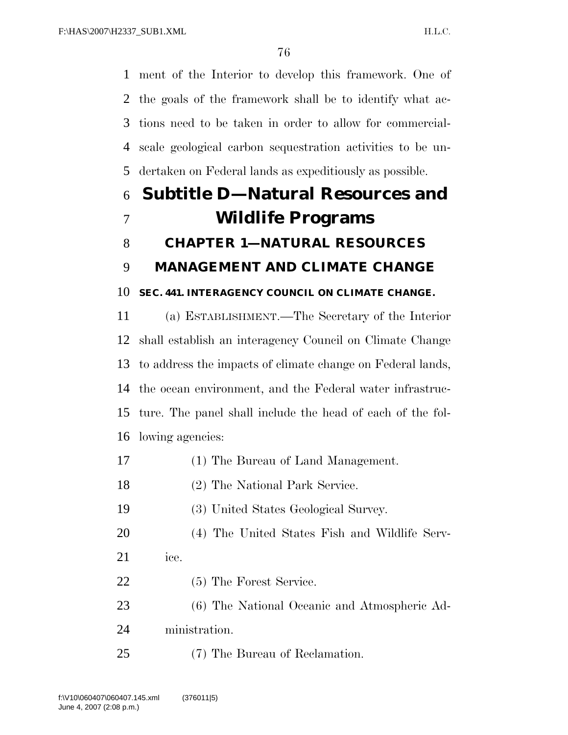ment of the Interior to develop this framework. One of the goals of the framework shall be to identify what ac- tions need to be taken in order to allow for commercial- scale geological carbon sequestration activities to be un-dertaken on Federal lands as expeditiously as possible.

# **Subtitle D—Natural Resources and Wildlife Programs CHAPTER 1—NATURAL RESOURCES**

## **MANAGEMENT AND CLIMATE CHANGE**

### **SEC. 441. INTERAGENCY COUNCIL ON CLIMATE CHANGE.**

 (a) ESTABLISHMENT.—The Secretary of the Interior shall establish an interagency Council on Climate Change to address the impacts of climate change on Federal lands, the ocean environment, and the Federal water infrastruc- ture. The panel shall include the head of each of the fol-lowing agencies:

- (1) The Bureau of Land Management.
- (2) The National Park Service.

(3) United States Geological Survey.

- (4) The United States Fish and Wildlife Serv-
- ice.
- (5) The Forest Service.
- (6) The National Oceanic and Atmospheric Ad-
- ministration.
- (7) The Bureau of Reclamation.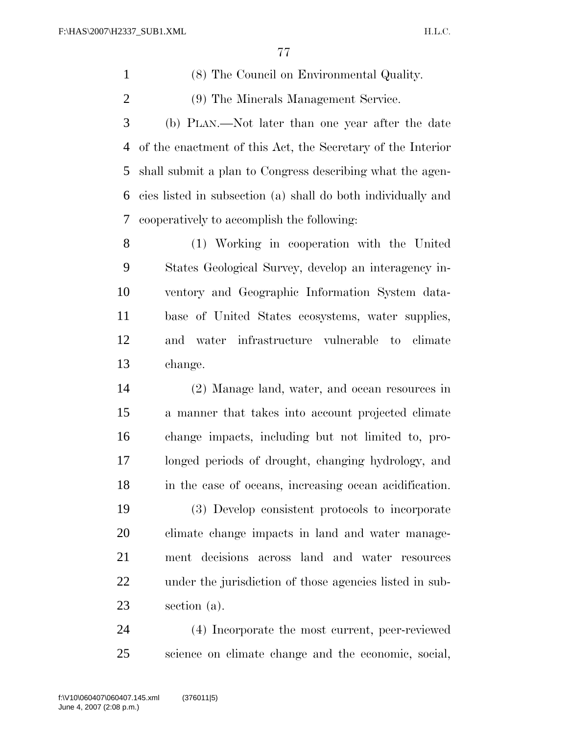(8) The Council on Environmental Quality.

(9) The Minerals Management Service.

 (b) PLAN.—Not later than one year after the date of the enactment of this Act, the Secretary of the Interior shall submit a plan to Congress describing what the agen- cies listed in subsection (a) shall do both individually and cooperatively to accomplish the following:

 (1) Working in cooperation with the United States Geological Survey, develop an interagency in- ventory and Geographic Information System data- base of United States ecosystems, water supplies, and water infrastructure vulnerable to climate change.

 (2) Manage land, water, and ocean resources in a manner that takes into account projected climate change impacts, including but not limited to, pro- longed periods of drought, changing hydrology, and in the case of oceans, increasing ocean acidification.

 (3) Develop consistent protocols to incorporate climate change impacts in land and water manage- ment decisions across land and water resources under the jurisdiction of those agencies listed in sub-section (a).

 (4) Incorporate the most current, peer-reviewed science on climate change and the economic, social,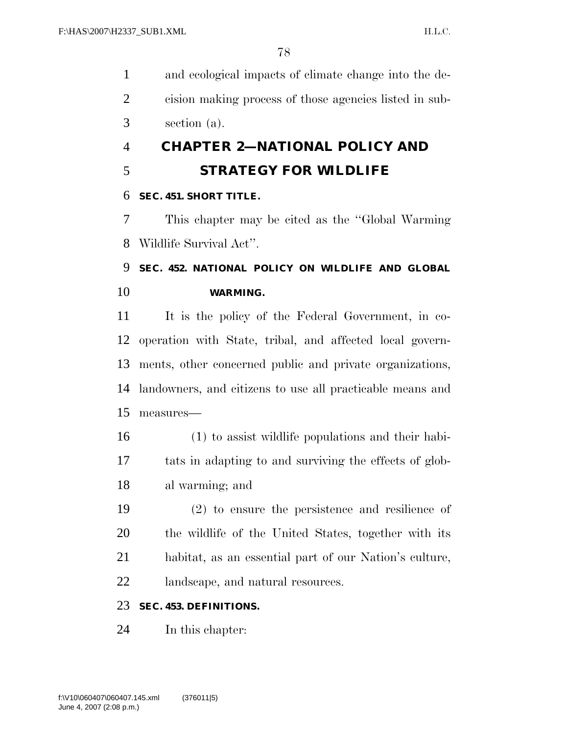and ecological impacts of climate change into the de- cision making process of those agencies listed in sub-section (a).

## **CHAPTER 2—NATIONAL POLICY AND**

## **STRATEGY FOR WILDLIFE**

## **SEC. 451. SHORT TITLE.**

 This chapter may be cited as the ''Global Warming Wildlife Survival Act''.

## **SEC. 452. NATIONAL POLICY ON WILDLIFE AND GLOBAL WARMING.**

 It is the policy of the Federal Government, in co- operation with State, tribal, and affected local govern- ments, other concerned public and private organizations, landowners, and citizens to use all practicable means and measures—

- (1) to assist wildlife populations and their habi- tats in adapting to and surviving the effects of glob-al warming; and
- (2) to ensure the persistence and resilience of the wildlife of the United States, together with its habitat, as an essential part of our Nation's culture, landscape, and natural resources.

## **SEC. 453. DEFINITIONS.**

In this chapter: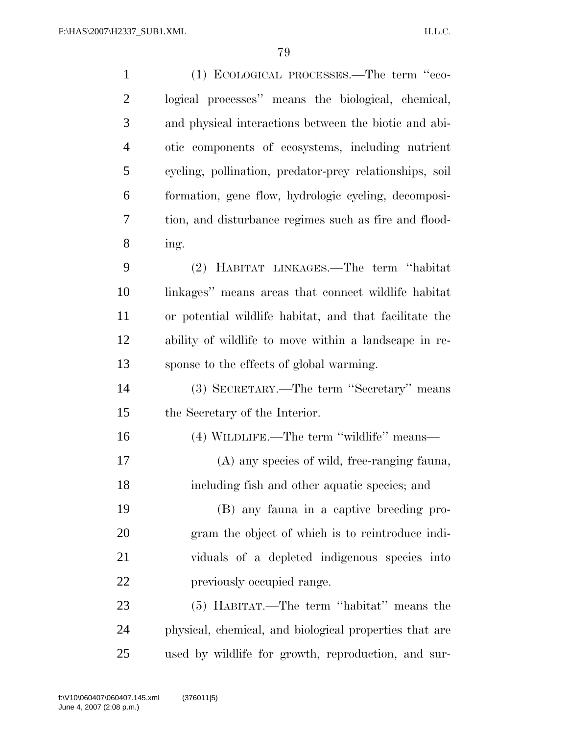| $\mathbf{1}$   | (1) ECOLOGICAL PROCESSES.—The term "eco-                |
|----------------|---------------------------------------------------------|
| $\overline{2}$ | logical processes" means the biological, chemical,      |
| 3              | and physical interactions between the biotic and abi-   |
| $\overline{4}$ | otic components of ecosystems, including nutrient       |
| 5              | cycling, pollination, predator-prey relationships, soil |
| 6              | formation, gene flow, hydrologic cycling, decomposi-    |
| 7              | tion, and disturbance regimes such as fire and flood-   |
| 8              | ing.                                                    |
| 9              | (2) HABITAT LINKAGES.—The term "habitat"                |
| 10             | linkages" means areas that connect wildlife habitat     |
| 11             | or potential wildlife habitat, and that facilitate the  |
| 12             | ability of wildlife to move within a landscape in re-   |
| 13             | sponse to the effects of global warming.                |
| 14             | (3) SECRETARY.—The term "Secretary" means               |
| 15             | the Secretary of the Interior.                          |
| 16             | (4) WILDLIFE.—The term "wildlife" means—                |
| 17             | (A) any species of wild, free-ranging fauna,            |
| 18             | including fish and other aquatic species; and           |
| 19             | (B) any fauna in a captive breeding pro-                |
| 20             | gram the object of which is to reintroduce indi-        |
| 21             | viduals of a depleted indigenous species into           |
| 22             | previously occupied range.                              |
| 23             | (5) HABITAT.—The term "habitat" means the               |
| 24             | physical, chemical, and biological properties that are  |
| 25             | used by wildlife for growth, reproduction, and sur-     |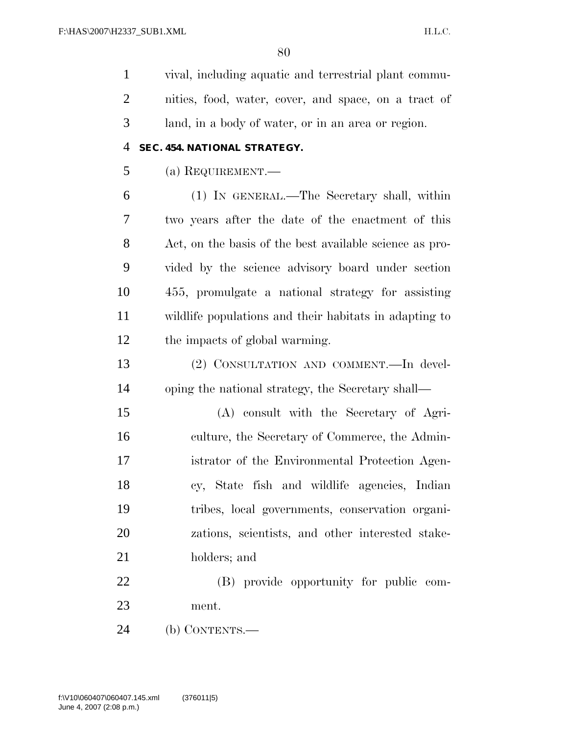vival, including aquatic and terrestrial plant commu- nities, food, water, cover, and space, on a tract of land, in a body of water, or in an area or region.

#### **SEC. 454. NATIONAL STRATEGY.**

(a) REQUIREMENT.—

 (1) IN GENERAL.—The Secretary shall, within two years after the date of the enactment of this Act, on the basis of the best available science as pro- vided by the science advisory board under section 455, promulgate a national strategy for assisting wildlife populations and their habitats in adapting to the impacts of global warming.

 (2) CONSULTATION AND COMMENT.—In devel-oping the national strategy, the Secretary shall—

 (A) consult with the Secretary of Agri- culture, the Secretary of Commerce, the Admin- istrator of the Environmental Protection Agen- cy, State fish and wildlife agencies, Indian tribes, local governments, conservation organi- zations, scientists, and other interested stake-holders; and

 (B) provide opportunity for public com-ment.

(b) CONTENTS.—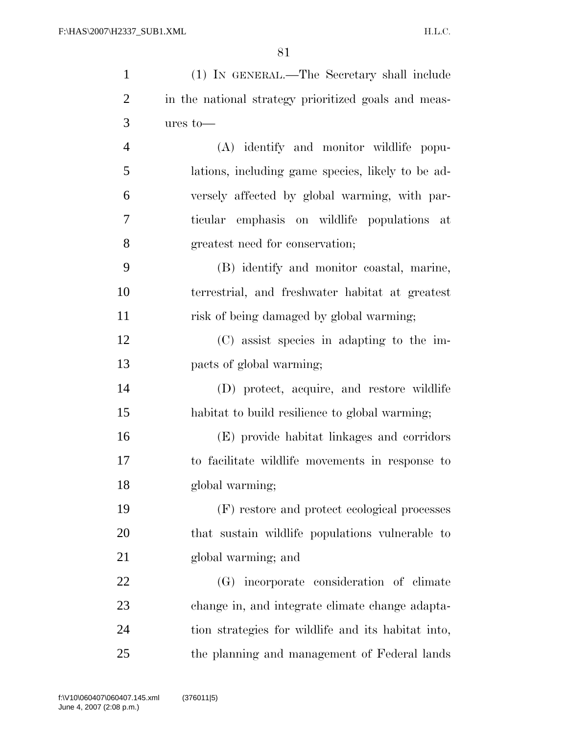| $\mathbf{1}$   | (1) IN GENERAL.—The Secretary shall include          |
|----------------|------------------------------------------------------|
| $\overline{2}$ | in the national strategy prioritized goals and meas- |
| 3              | $ures to$ —                                          |
| $\overline{4}$ | (A) identify and monitor wildlife popu-              |
| 5              | lations, including game species, likely to be ad-    |
| 6              | versely affected by global warming, with par-        |
| 7              | ticular emphasis on wildlife populations at          |
| 8              | greatest need for conservation;                      |
| 9              | (B) identify and monitor coastal, marine,            |
| 10             | terrestrial, and freshwater habitat at greatest      |
| 11             | risk of being damaged by global warming;             |
| 12             | (C) assist species in adapting to the im-            |
| 13             | pacts of global warming;                             |
| 14             | (D) protect, acquire, and restore wildlife           |
| 15             | habitat to build resilience to global warming;       |
| 16             | (E) provide habitat linkages and corridors           |
| 17             | to facilitate wildlife movements in response to      |
| 18             | global warming;                                      |
| 19             | (F) restore and protect ecological processes         |
| 20             | that sustain wildlife populations vulnerable to      |
| 21             | global warming; and                                  |
| 22             | (G) incorporate consideration of climate             |
| 23             | change in, and integrate climate change adapta-      |
| 24             | tion strategies for wildlife and its habitat into,   |
| 25             | the planning and management of Federal lands         |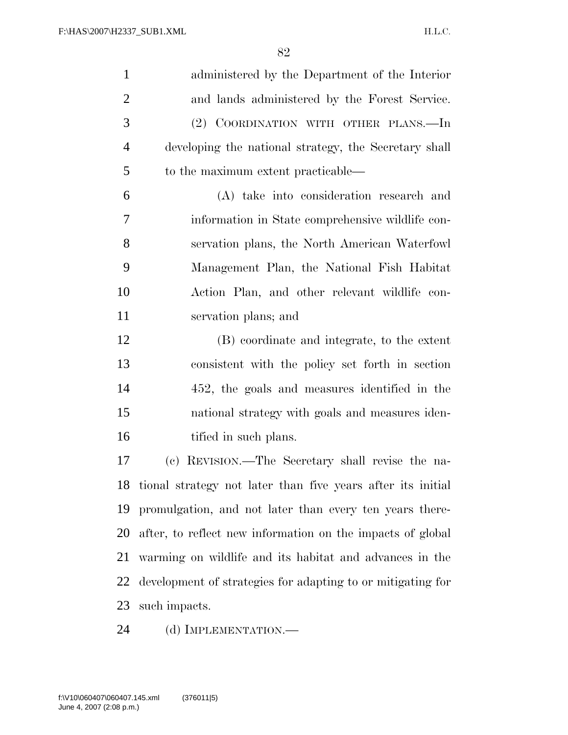$\overline{Q}$ 

| $\mathbf{1}$   | administered by the Department of the Interior              |
|----------------|-------------------------------------------------------------|
| $\overline{2}$ | and lands administered by the Forest Service.               |
| 3              | (2) COORDINATION WITH OTHER PLANS.—In                       |
| $\overline{4}$ | developing the national strategy, the Secretary shall       |
| 5              | to the maximum extent practicable—                          |
| 6              | (A) take into consideration research and                    |
| 7              | information in State comprehensive wildlife con-            |
| 8              | servation plans, the North American Waterfowl               |
| 9              | Management Plan, the National Fish Habitat                  |
| 10             | Action Plan, and other relevant wildlife con-               |
| 11             | servation plans; and                                        |
| 12             | (B) coordinate and integrate, to the extent                 |
| 13             | consistent with the policy set forth in section             |
| 14             | 452, the goals and measures identified in the               |
| 15             | national strategy with goals and measures iden-             |
| 16             | tified in such plans.                                       |
| 17             | (c) REVISION.—The Secretary shall revise the na-            |
| 18             | tional strategy not later than five years after its initial |
|                |                                                             |

 promulgation, and not later than every ten years there- after, to reflect new information on the impacts of global warming on wildlife and its habitat and advances in the development of strategies for adapting to or mitigating for such impacts.

24 (d) IMPLEMENTATION.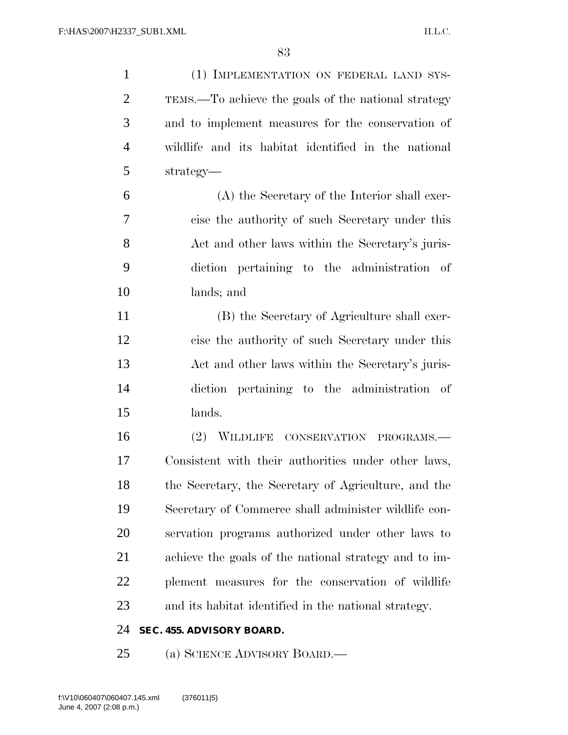(1) IMPLEMENTATION ON FEDERAL LAND SYS- TEMS.—To achieve the goals of the national strategy and to implement measures for the conservation of wildlife and its habitat identified in the national strategy— (A) the Secretary of the Interior shall exer- cise the authority of such Secretary under this 8 Act and other laws within the Secretary's juris- diction pertaining to the administration of lands; and (B) the Secretary of Agriculture shall exer- cise the authority of such Secretary under this Act and other laws within the Secretary's juris- diction pertaining to the administration of lands. (2) WILDLIFE CONSERVATION PROGRAMS.— Consistent with their authorities under other laws, the Secretary, the Secretary of Agriculture, and the Secretary of Commerce shall administer wildlife con- servation programs authorized under other laws to achieve the goals of the national strategy and to im- plement measures for the conservation of wildlife and its habitat identified in the national strategy. **SEC. 455. ADVISORY BOARD.** 

(a) SCIENCE ADVISORY BOARD.—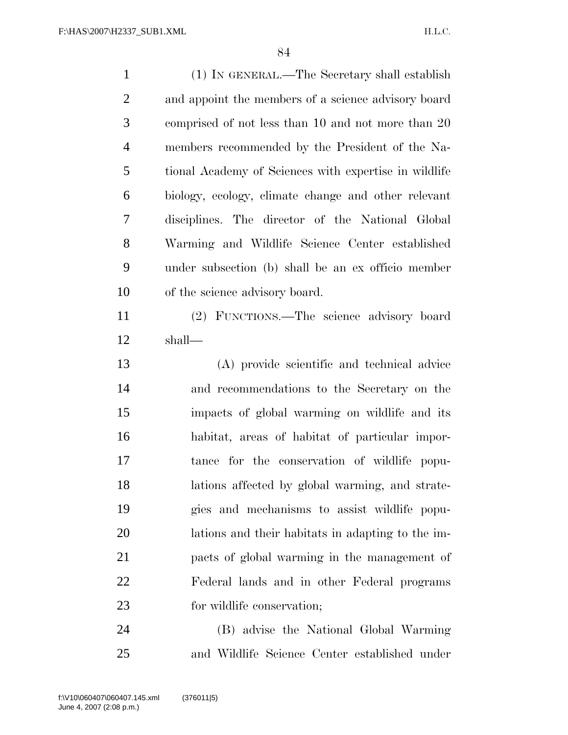(1) IN GENERAL.—The Secretary shall establish and appoint the members of a science advisory board comprised of not less than 10 and not more than 20 members recommended by the President of the Na- tional Academy of Sciences with expertise in wildlife biology, ecology, climate change and other relevant disciplines. The director of the National Global Warming and Wildlife Science Center established under subsection (b) shall be an ex officio member of the science advisory board. (2) FUNCTIONS.—The science advisory board shall—

 (A) provide scientific and technical advice and recommendations to the Secretary on the impacts of global warming on wildlife and its habitat, areas of habitat of particular impor- tance for the conservation of wildlife popu- lations affected by global warming, and strate- gies and mechanisms to assist wildlife popu- lations and their habitats in adapting to the im- pacts of global warming in the management of Federal lands and in other Federal programs 23 for wildlife conservation;

 (B) advise the National Global Warming and Wildlife Science Center established under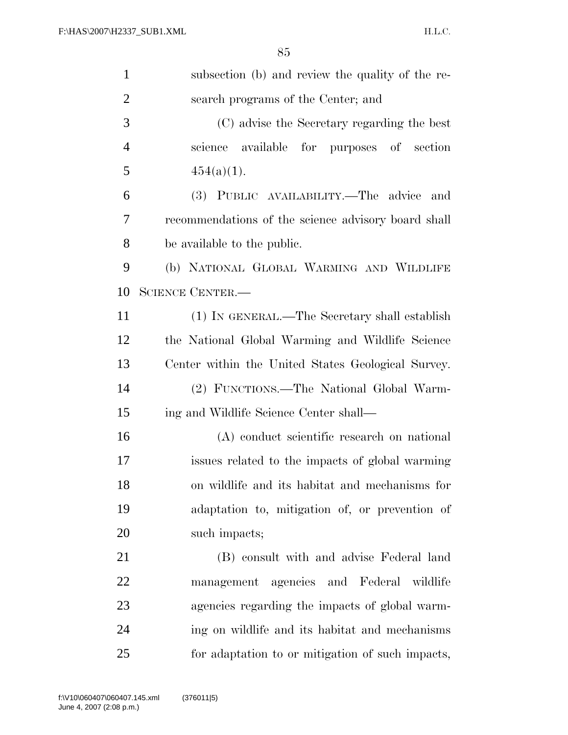| $\mathbf{1}$   | subsection (b) and review the quality of the re-    |
|----------------|-----------------------------------------------------|
| $\overline{2}$ | search programs of the Center; and                  |
| 3              | (C) advise the Secretary regarding the best         |
| $\overline{4}$ | science available for purposes of section           |
| 5              | $454(a)(1)$ .                                       |
| 6              | (3) PUBLIC AVAILABILITY.—The advice<br>and          |
| 7              | recommendations of the science advisory board shall |
| 8              | be available to the public.                         |
| 9              | (b) NATIONAL GLOBAL WARMING AND WILDLIFE            |
| 10             | <b>SCIENCE CENTER.—</b>                             |
| 11             | (1) IN GENERAL.—The Secretary shall establish       |
| 12             | the National Global Warming and Wildlife Science    |
| 13             | Center within the United States Geological Survey.  |
| 14             | (2) FUNCTIONS.—The National Global Warm-            |
| 15             | ing and Wildlife Science Center shall—              |
| 16             | (A) conduct scientific research on national         |
| 17             | issues related to the impacts of global warming     |
| 18             | on wildlife and its habitat and mechanisms for      |
| 19             | adaptation to, mitigation of, or prevention of      |
| 20             | such impacts;                                       |
| 21             | (B) consult with and advise Federal land            |
| 22             | agencies and Federal wildlife<br>management         |
| 23             | agencies regarding the impacts of global warm-      |
| 24             | ing on wildlife and its habitat and mechanisms      |
| 25             | for adaptation to or mitigation of such impacts,    |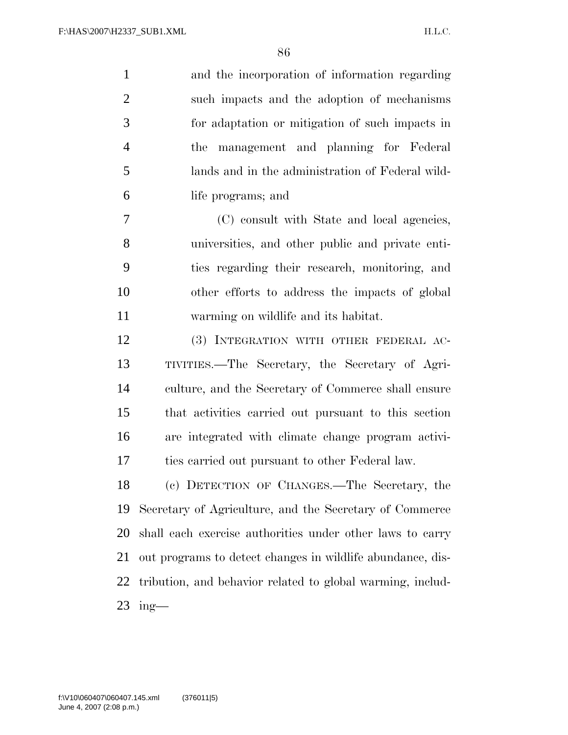and the incorporation of information regarding such impacts and the adoption of mechanisms for adaptation or mitigation of such impacts in the management and planning for Federal lands and in the administration of Federal wild-life programs; and

 (C) consult with State and local agencies, universities, and other public and private enti- ties regarding their research, monitoring, and other efforts to address the impacts of global warming on wildlife and its habitat.

 (3) INTEGRATION WITH OTHER FEDERAL AC- TIVITIES.—The Secretary, the Secretary of Agri- culture, and the Secretary of Commerce shall ensure that activities carried out pursuant to this section are integrated with climate change program activi-ties carried out pursuant to other Federal law.

 (c) DETECTION OF CHANGES.—The Secretary, the Secretary of Agriculture, and the Secretary of Commerce shall each exercise authorities under other laws to carry out programs to detect changes in wildlife abundance, dis- tribution, and behavior related to global warming, includ-ing—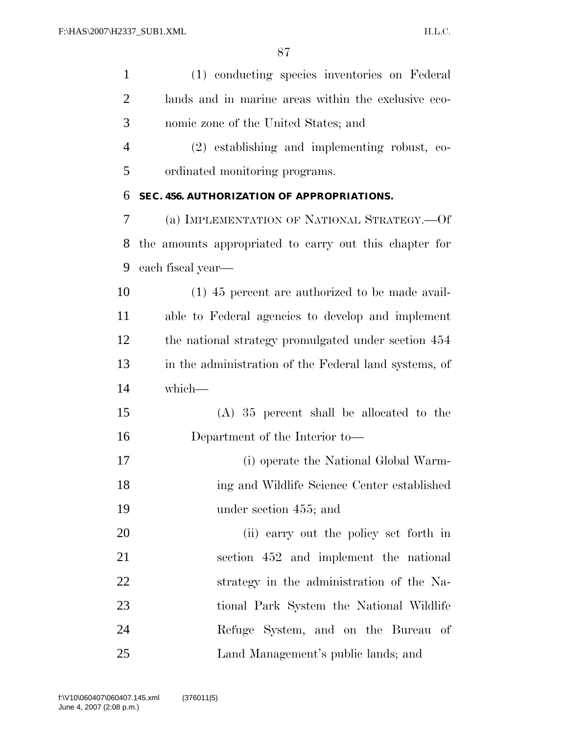| $\mathbf{1}$   | (1) conducting species inventories on Federal          |
|----------------|--------------------------------------------------------|
| $\overline{2}$ | lands and in marine areas within the exclusive eco-    |
| 3              | nomic zone of the United States; and                   |
| $\overline{4}$ | (2) establishing and implementing robust, co-          |
| 5              | ordinated monitoring programs.                         |
| 6              | SEC. 456. AUTHORIZATION OF APPROPRIATIONS.             |
| 7              | (a) IMPLEMENTATION OF NATIONAL STRATEGY.—Of            |
| 8              | the amounts appropriated to carry out this chapter for |
| 9              | each fiscal year—                                      |
| 10             | $(1)$ 45 percent are authorized to be made avail-      |
| 11             | able to Federal agencies to develop and implement      |
| 12             | the national strategy promulgated under section 454    |
| 13             | in the administration of the Federal land systems, of  |
| 14             | which-                                                 |
| 15             | $(A)$ 35 percent shall be allocated to the             |
| 16             | Department of the Interior to—                         |
| 17             | (i) operate the National Global Warm-                  |
| 18             | ing and Wildlife Science Center established            |
| 19             | under section 455; and                                 |
| 20             | (ii) carry out the policy set forth in                 |
| 21             | section 452 and implement the national                 |
| 22             | strategy in the administration of the Na-              |
| 23             | tional Park System the National Wildlife               |
| 24             | Refuge System, and on the Bureau of                    |
| 25             | Land Management's public lands; and                    |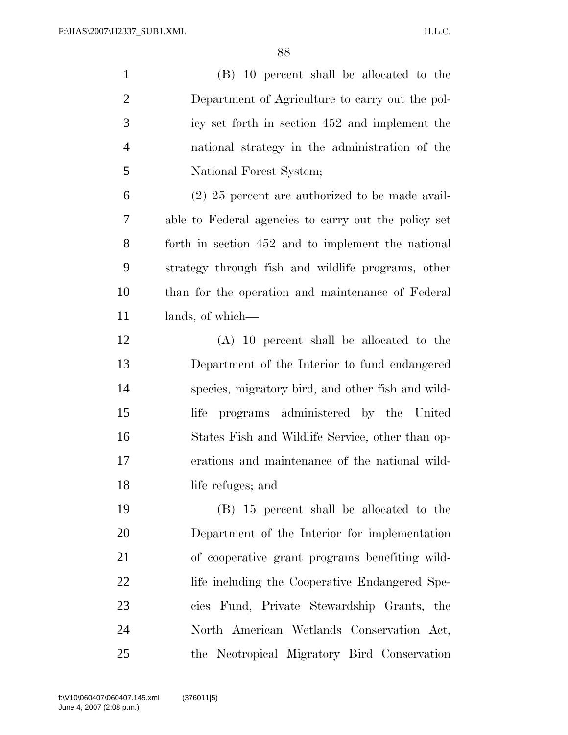| $\mathbf{1}$   | (B) 10 percent shall be allocated to the             |
|----------------|------------------------------------------------------|
| $\overline{2}$ | Department of Agriculture to carry out the pol-      |
| 3              | icy set forth in section 452 and implement the       |
| $\overline{4}$ | national strategy in the administration of the       |
| 5              | National Forest System;                              |
| 6              | $(2)$ 25 percent are authorized to be made avail-    |
| $\tau$         | able to Federal agencies to carry out the policy set |
| 8              | forth in section 452 and to implement the national   |
| 9              | strategy through fish and wildlife programs, other   |
| 10             | than for the operation and maintenance of Federal    |
| 11             | lands, of which—                                     |
| 12             | $(A)$ 10 percent shall be allocated to the           |
| 13             | Department of the Interior to fund endangered        |
| 14             | species, migratory bird, and other fish and wild-    |
| 15             | programs administered by the United<br>life          |
| 16             | States Fish and Wildlife Service, other than op-     |
| 17             | erations and maintenance of the national wild-       |
| 18             | life refuges; and                                    |
| 19             | (B) 15 percent shall be allocated to the             |
| 20             | Department of the Interior for implementation        |
| 21             | of cooperative grant programs benefiting wild-       |
| 22             | life including the Cooperative Endangered Spe-       |
| 23             | cies Fund, Private Stewardship Grants, the           |
| 24             | North American Wetlands Conservation Act,            |
| 25             | the Neotropical Migratory Bird Conservation          |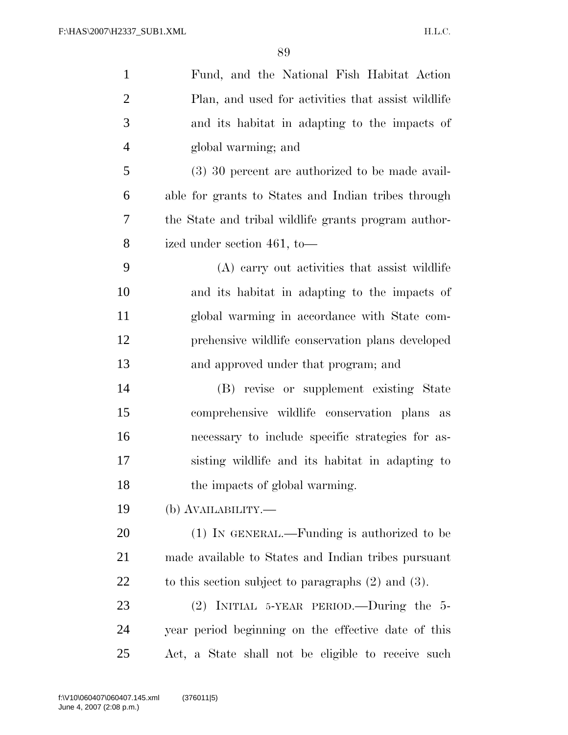| $\mathbf{1}$   | Fund, and the National Fish Habitat Action              |
|----------------|---------------------------------------------------------|
| $\overline{2}$ | Plan, and used for activities that assist wildlife      |
| 3              | and its habitat in adapting to the impacts of           |
| $\overline{4}$ | global warming; and                                     |
| 5              | $(3)$ 30 percent are authorized to be made avail-       |
| 6              | able for grants to States and Indian tribes through     |
| 7              | the State and tribal wildlife grants program author-    |
| 8              | ized under section 461, to-                             |
| 9              | (A) carry out activities that assist wildlife           |
| 10             | and its habitat in adapting to the impacts of           |
| 11             | global warming in accordance with State com-            |
| 12             | prehensive wildlife conservation plans developed        |
| 13             | and approved under that program; and                    |
| 14             | (B) revise or supplement existing State                 |
| 15             | comprehensive wildlife conservation plans as            |
| 16             | necessary to include specific strategies for as-        |
| 17             | sisting wildlife and its habitat in adapting to         |
| 18             | the impacts of global warming.                          |
| 19             | (b) AVAILABILITY.—                                      |
| 20             | (1) IN GENERAL.—Funding is authorized to be             |
| 21             | made available to States and Indian tribes pursuant     |
| 22             | to this section subject to paragraphs $(2)$ and $(3)$ . |
| 23             | $(2)$ INITIAL 5-YEAR PERIOD.—During the 5-              |
| 24             | year period beginning on the effective date of this     |
| 25             | Act, a State shall not be eligible to receive such      |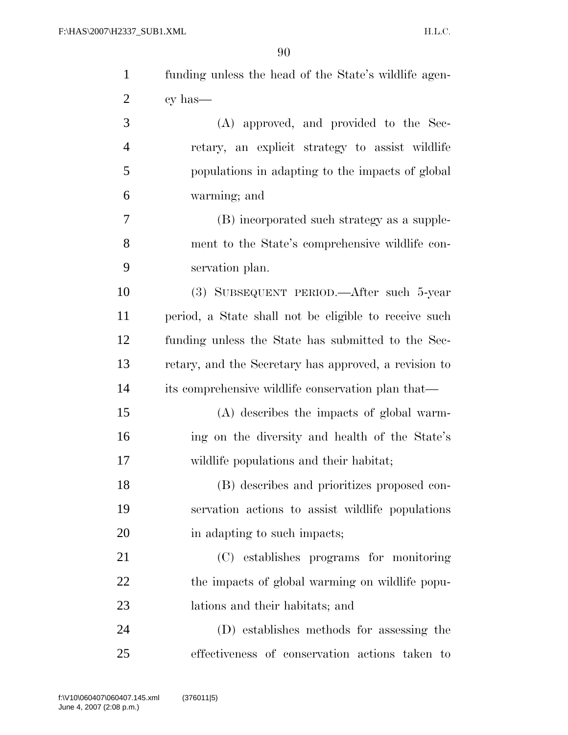| $\mathbf{1}$   | funding unless the head of the State's wildlife agen- |
|----------------|-------------------------------------------------------|
| $\overline{2}$ | cy has—                                               |
| 3              | (A) approved, and provided to the Sec-                |
| $\overline{4}$ | retary, an explicit strategy to assist wildlife       |
| 5              | populations in adapting to the impacts of global      |
| 6              | warming; and                                          |
| 7              | (B) incorporated such strategy as a supple-           |
| 8              | ment to the State's comprehensive wildlife con-       |
| 9              | servation plan.                                       |
| 10             | (3) SUBSEQUENT PERIOD.—After such 5-year              |
| 11             | period, a State shall not be eligible to receive such |
| 12             | funding unless the State has submitted to the Sec-    |
| 13             | retary, and the Secretary has approved, a revision to |
| 14             | its comprehensive wildlife conservation plan that—    |
| 15             | (A) describes the impacts of global warm-             |
| 16             | ing on the diversity and health of the State's        |
| 17             | wildlife populations and their habitat;               |
| 18             | (B) describes and prioritizes proposed con-           |
| 19             | servation actions to assist wildlife populations      |
| 20             | in adapting to such impacts;                          |
| 21             | (C) establishes programs for monitoring               |
| 22             | the impacts of global warming on wildlife popu-       |
| 23             | lations and their habitats; and                       |
| 24             | (D) establishes methods for assessing the             |
| 25             | effectiveness of conservation actions taken to        |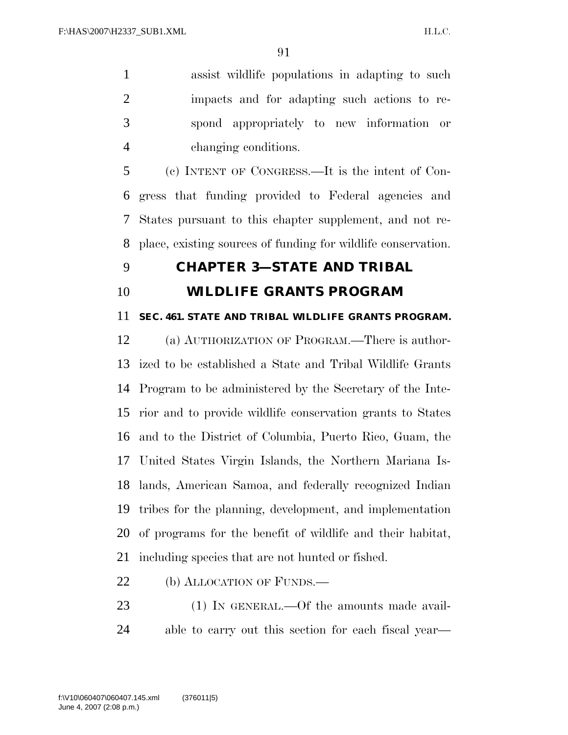assist wildlife populations in adapting to such impacts and for adapting such actions to re- spond appropriately to new information or changing conditions.

 (c) INTENT OF CONGRESS.—It is the intent of Con- gress that funding provided to Federal agencies and States pursuant to this chapter supplement, and not re-place, existing sources of funding for wildlife conservation.

### **CHAPTER 3—STATE AND TRIBAL**

**WILDLIFE GRANTS PROGRAM** 

## **SEC. 461. STATE AND TRIBAL WILDLIFE GRANTS PROGRAM.**

 (a) AUTHORIZATION OF PROGRAM.—There is author- ized to be established a State and Tribal Wildlife Grants Program to be administered by the Secretary of the Inte- rior and to provide wildlife conservation grants to States and to the District of Columbia, Puerto Rico, Guam, the United States Virgin Islands, the Northern Mariana Is- lands, American Samoa, and federally recognized Indian tribes for the planning, development, and implementation of programs for the benefit of wildlife and their habitat, including species that are not hunted or fished.

- 22 (b) ALLOCATION OF FUNDS.—
- 23 (1) IN GENERAL.—Of the amounts made avail-able to carry out this section for each fiscal year—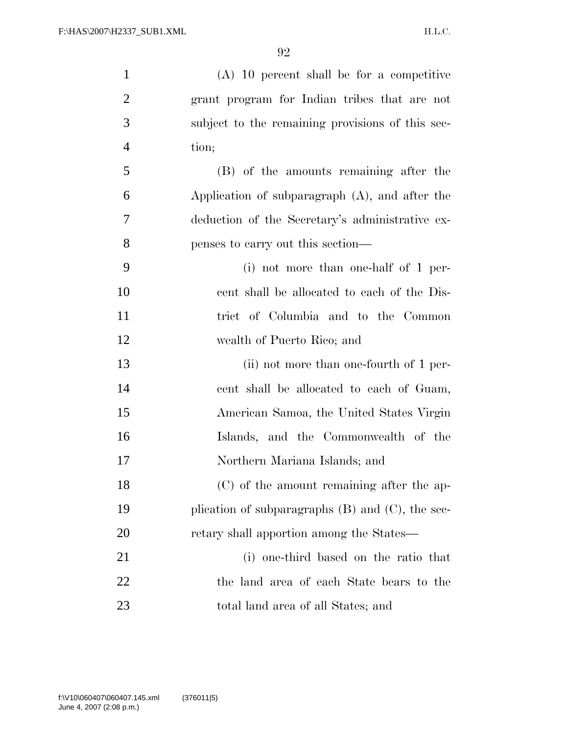| $\mathbf{1}$   | $(A)$ 10 percent shall be for a competitive           |
|----------------|-------------------------------------------------------|
| $\overline{2}$ | grant program for Indian tribes that are not          |
| 3              | subject to the remaining provisions of this sec-      |
| $\overline{4}$ | tion;                                                 |
| 5              | (B) of the amounts remaining after the                |
| 6              | Application of subparagraph $(A)$ , and after the     |
| 7              | deduction of the Secretary's administrative ex-       |
| 8              | penses to carry out this section—                     |
| 9              | $(i)$ not more than one-half of 1 per-                |
| 10             | cent shall be allocated to each of the Dis-           |
| 11             | trict of Columbia and to the Common                   |
| 12             | wealth of Puerto Rico; and                            |
| 13             | (ii) not more than one-fourth of 1 per-               |
| 14             | cent shall be allocated to each of Guam,              |
| 15             | American Samoa, the United States Virgin              |
| 16             | Islands, and the Commonwealth of the                  |
| 17             | Northern Mariana Islands; and                         |
| 18             | (C) of the amount remaining after the ap-             |
| 19             | plication of subparagraphs $(B)$ and $(C)$ , the sec- |
| 20             | retary shall apportion among the States—              |
| 21             | (i) one-third based on the ratio that                 |
| <u>22</u>      | the land area of each State bears to the              |
| 23             | total land area of all States; and                    |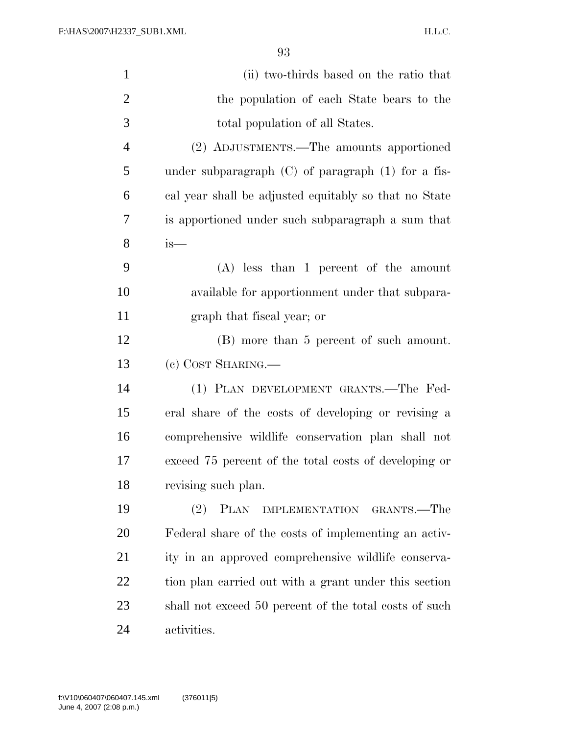| $\mathbf{1}$   | (ii) two-thirds based on the ratio that                    |
|----------------|------------------------------------------------------------|
| $\overline{2}$ | the population of each State bears to the                  |
| 3              | total population of all States.                            |
| $\overline{4}$ | (2) ADJUSTMENTS.—The amounts apportioned                   |
| $\mathfrak{S}$ | under subparagraph $(C)$ of paragraph $(1)$ for a fis-     |
| 6              | cal year shall be adjusted equitably so that no State      |
| 7              | is apportioned under such subparagraph a sum that          |
| 8              | is—                                                        |
| 9              | $(A)$ less than 1 percent of the amount                    |
| 10             | available for apportionment under that subpara-            |
| 11             | graph that fiscal year; or                                 |
| 12             | (B) more than 5 percent of such amount.                    |
| 13             | (c) COST SHARING.                                          |
| 14             | (1) PLAN DEVELOPMENT GRANTS.—The Fed-                      |
| 15             | eral share of the costs of developing or revising a        |
| 16             | comprehensive wildlife conservation plan shall not         |
| 17             | exceed 75 percent of the total costs of developing or      |
| 18             | revising such plan.                                        |
| 19             | (2)<br><b>PLAN</b><br>GRANTS.—The<br><b>IMPLEMENTATION</b> |
| 20             | Federal share of the costs of implementing an activ-       |
| 21             | ity in an approved comprehensive wildlife conserva-        |
| 22             | tion plan carried out with a grant under this section      |
| 23             | shall not exceed 50 percent of the total costs of such     |
| 24             | activities.                                                |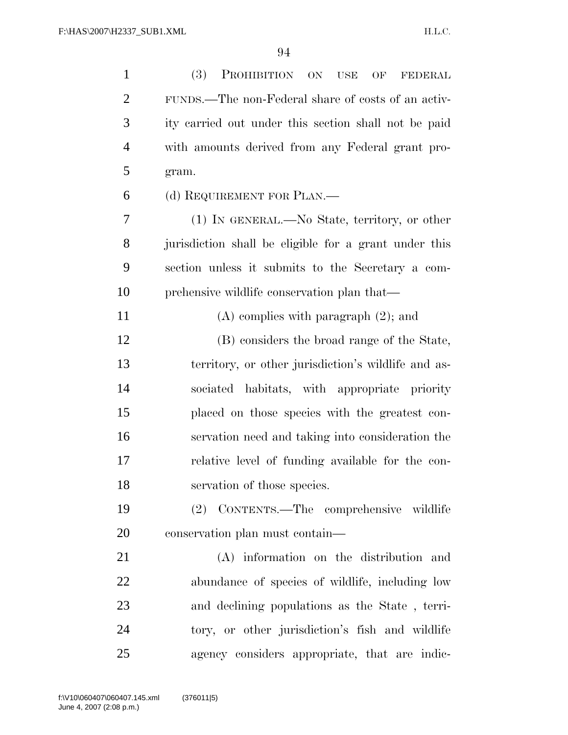| $\mathbf{1}$   | (3)<br>PROHIBITION ON<br><b>USE</b><br>OF<br><b>FEDERAL</b> |
|----------------|-------------------------------------------------------------|
| $\overline{2}$ | FUNDS.—The non-Federal share of costs of an activ-          |
| 3              | ity carried out under this section shall not be paid        |
| $\overline{4}$ | with amounts derived from any Federal grant pro-            |
| 5              | gram.                                                       |
| 6              | (d) REQUIREMENT FOR PLAN.—                                  |
| 7              | (1) IN GENERAL.—No State, territory, or other               |
| 8              | jurisdiction shall be eligible for a grant under this       |
| 9              | section unless it submits to the Secretary a com-           |
| 10             | prehensive wildlife conservation plan that—                 |
| 11             | $(A)$ complies with paragraph $(2)$ ; and                   |
| 12             | (B) considers the broad range of the State,                 |
| 13             | territory, or other jurisdiction's wildlife and as-         |
| 14             | sociated habitats, with appropriate priority                |
| 15             | placed on those species with the greatest con-              |
| 16             | servation need and taking into consideration the            |
| 17             | relative level of funding available for the con-            |
| 18             | servation of those species.                                 |
| 19             | (2) CONTENTS.—The comprehensive wildlife                    |
| 20             | conservation plan must contain—                             |
| 21             | (A) information on the distribution and                     |
| 22             | abundance of species of wildlife, including low             |
| 23             | and declining populations as the State, terri-              |
| 24             | tory, or other jurisdiction's fish and wildlife             |
| 25             | agency considers appropriate, that are indic-               |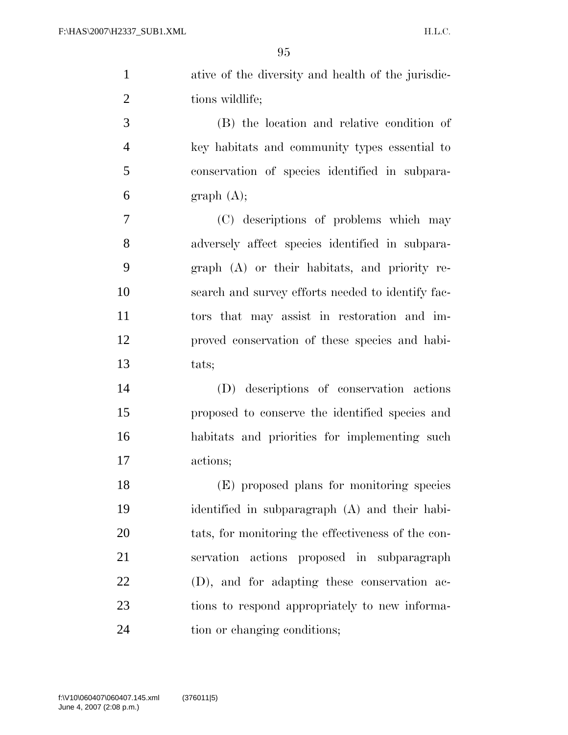| $\mathbf{1}$ | ative of the diversity and health of the jurisdic- |
|--------------|----------------------------------------------------|
| 2            | tions wildlife;                                    |
| 3            | (B) the location and relative condition of         |
| 4            | key habitats and community types essential to      |
| 5            | conservation of species identified in subpara-     |
| 6            | graph(A);                                          |
|              |                                                    |

 (C) descriptions of problems which may adversely affect species identified in subpara- graph (A) or their habitats, and priority re- search and survey efforts needed to identify fac- tors that may assist in restoration and im- proved conservation of these species and habi-tats;

 (D) descriptions of conservation actions proposed to conserve the identified species and habitats and priorities for implementing such actions;

 (E) proposed plans for monitoring species identified in subparagraph (A) and their habi- tats, for monitoring the effectiveness of the con- servation actions proposed in subparagraph (D), and for adapting these conservation ac- tions to respond appropriately to new informa-24 tion or changing conditions;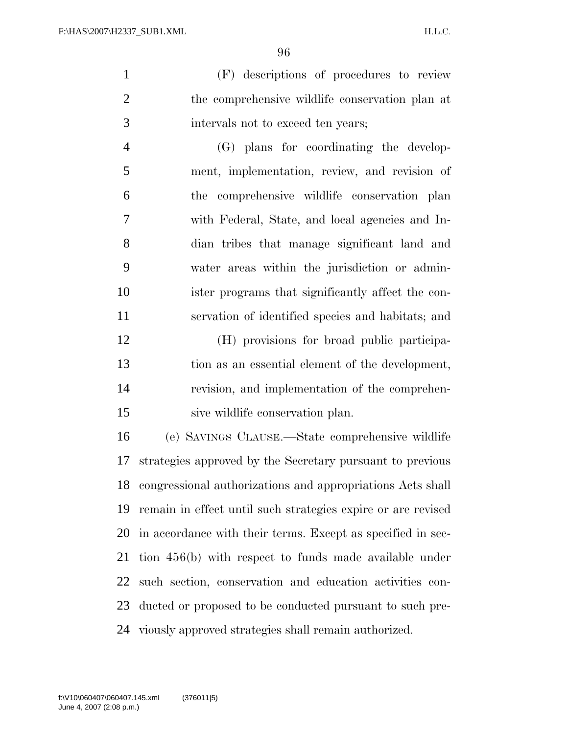(F) descriptions of procedures to review the comprehensive wildlife conservation plan at intervals not to exceed ten years;

 (G) plans for coordinating the develop- ment, implementation, review, and revision of the comprehensive wildlife conservation plan with Federal, State, and local agencies and In- dian tribes that manage significant land and water areas within the jurisdiction or admin- ister programs that significantly affect the con-servation of identified species and habitats; and

 (H) provisions for broad public participa- tion as an essential element of the development, revision, and implementation of the comprehen-sive wildlife conservation plan.

 (e) SAVINGS CLAUSE.—State comprehensive wildlife strategies approved by the Secretary pursuant to previous congressional authorizations and appropriations Acts shall remain in effect until such strategies expire or are revised in accordance with their terms. Except as specified in sec- tion 456(b) with respect to funds made available under such section, conservation and education activities con- ducted or proposed to be conducted pursuant to such pre-viously approved strategies shall remain authorized.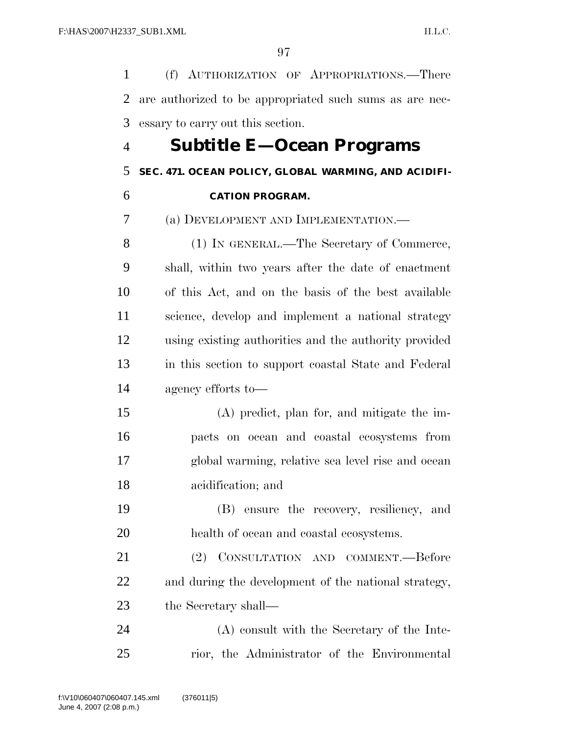(f) AUTHORIZATION OF APPROPRIATIONS.—There are authorized to be appropriated such sums as are nec-essary to carry out this section.

## **Subtitle E—Ocean Programs**

### **SEC. 471. OCEAN POLICY, GLOBAL WARMING, AND ACIDIFI-**

**CATION PROGRAM.** 

(a) DEVELOPMENT AND IMPLEMENTATION.—

 (1) IN GENERAL.—The Secretary of Commerce, shall, within two years after the date of enactment of this Act, and on the basis of the best available science, develop and implement a national strategy using existing authorities and the authority provided in this section to support coastal State and Federal agency efforts to—

 (A) predict, plan for, and mitigate the im- pacts on ocean and coastal ecosystems from global warming, relative sea level rise and ocean acidification; and

 (B) ensure the recovery, resiliency, and health of ocean and coastal ecosystems.

 (2) CONSULTATION AND COMMENT.—Before and during the development of the national strategy, the Secretary shall—

 (A) consult with the Secretary of the Inte-rior, the Administrator of the Environmental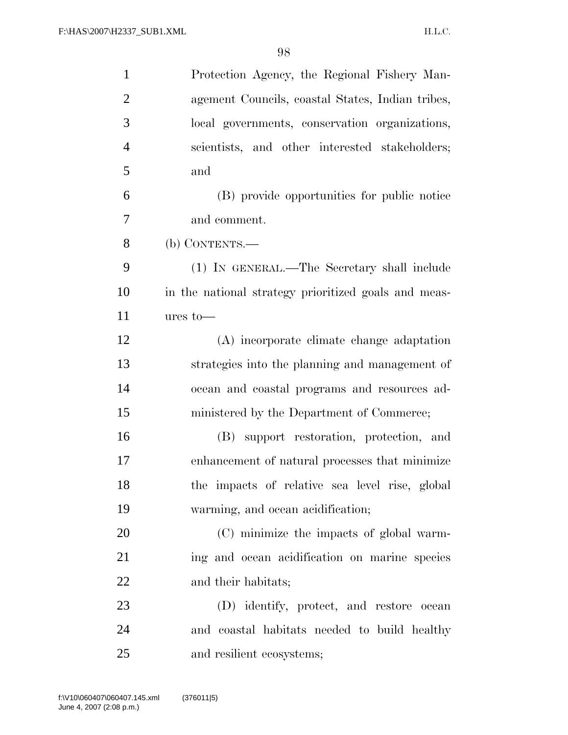| $\mathbf{1}$   | Protection Agency, the Regional Fishery Man-         |
|----------------|------------------------------------------------------|
| $\overline{2}$ | agement Councils, coastal States, Indian tribes,     |
| 3              | local governments, conservation organizations,       |
| $\overline{4}$ | scientists, and other interested stakeholders;       |
| 5              | and                                                  |
| 6              | (B) provide opportunities for public notice          |
| 7              | and comment.                                         |
| 8              | (b) CONTENTS.—                                       |
| 9              | (1) IN GENERAL.—The Secretary shall include          |
| 10             | in the national strategy prioritized goals and meas- |
| 11             | $ures$ to $-$                                        |
| 12             | (A) incorporate climate change adaptation            |
| 13             | strategies into the planning and management of       |
| 14             | ocean and coastal programs and resources ad-         |
| 15             | ministered by the Department of Commerce;            |
| 16             | (B) support restoration, protection, and             |
| 17             | enhancement of natural processes that minimize       |
| 18             | the impacts of relative sea level rise, global       |
| 19             | warming, and ocean acidification;                    |
| 20             | (C) minimize the impacts of global warm-             |
| 21             | ing and ocean acidification on marine species        |
| 22             | and their habitats;                                  |
| 23             | (D) identify, protect, and restore ocean             |
| 24             | and coastal habitats needed to build healthy         |
| 25             | and resilient ecosystems;                            |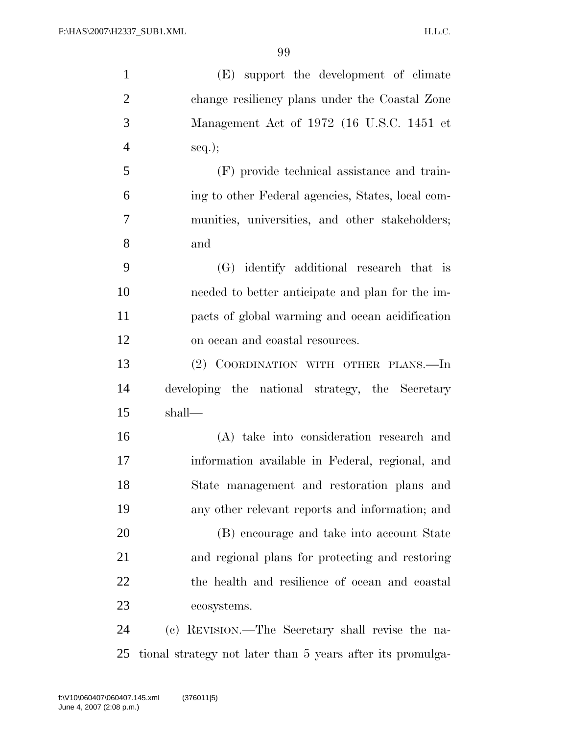(E) support the development of climate change resiliency plans under the Coastal Zone Management Act of 1972 (16 U.S.C. 1451 et  $4 \qquad \text{seq.};$  (F) provide technical assistance and train- ing to other Federal agencies, States, local com- munities, universities, and other stakeholders; and (G) identify additional research that is needed to better anticipate and plan for the im- pacts of global warming and ocean acidification on ocean and coastal resources. (2) COORDINATION WITH OTHER PLANS.—In developing the national strategy, the Secretary shall— (A) take into consideration research and information available in Federal, regional, and State management and restoration plans and any other relevant reports and information; and (B) encourage and take into account State and regional plans for protecting and restoring

ecosystems.

 (c) REVISION.—The Secretary shall revise the na-tional strategy not later than 5 years after its promulga-

the health and resilience of ocean and coastal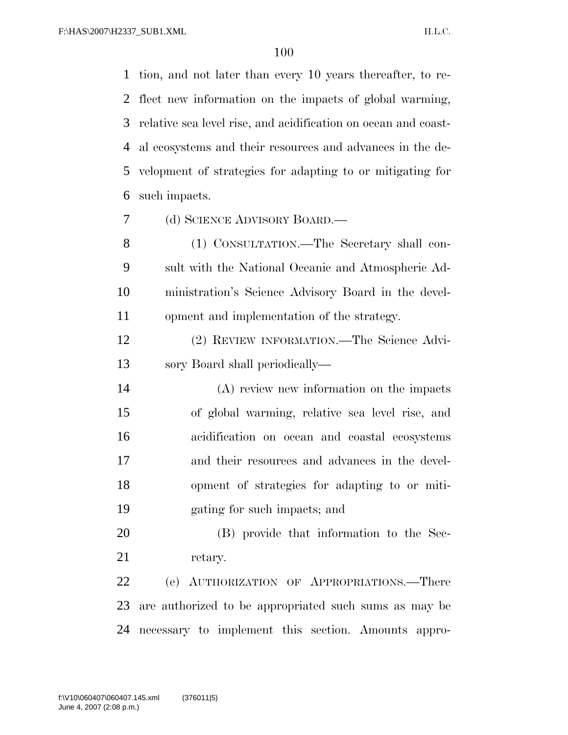tion, and not later than every 10 years thereafter, to re- flect new information on the impacts of global warming, relative sea level rise, and acidification on ocean and coast- al ecosystems and their resources and advances in the de- velopment of strategies for adapting to or mitigating for such impacts.

(d) SCIENCE ADVISORY BOARD.—

 (1) CONSULTATION.—The Secretary shall con- sult with the National Oceanic and Atmospheric Ad- ministration's Science Advisory Board in the devel-opment and implementation of the strategy.

 (2) REVIEW INFORMATION.—The Science Advi-sory Board shall periodically—

 (A) review new information on the impacts of global warming, relative sea level rise, and acidification on ocean and coastal ecosystems and their resources and advances in the devel- opment of strategies for adapting to or miti-gating for such impacts; and

 (B) provide that information to the Sec-21 retary.

 (e) AUTHORIZATION OF APPROPRIATIONS.—There are authorized to be appropriated such sums as may be necessary to implement this section. Amounts appro-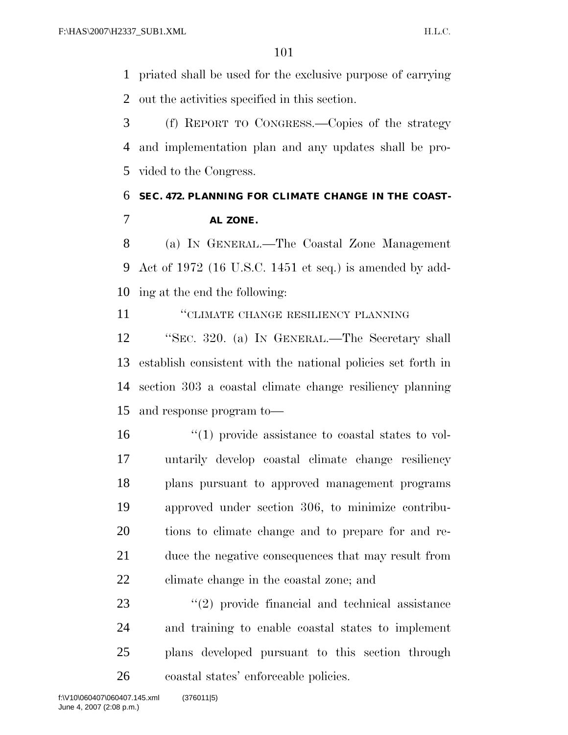priated shall be used for the exclusive purpose of carrying out the activities specified in this section.

 (f) REPORT TO CONGRESS.—Copies of the strategy and implementation plan and any updates shall be pro-vided to the Congress.

## **SEC. 472. PLANNING FOR CLIMATE CHANGE IN THE COAST-AL ZONE.**

 (a) IN GENERAL.—The Coastal Zone Management Act of 1972 (16 U.S.C. 1451 et seq.) is amended by add-ing at the end the following:

''CLIMATE CHANGE RESILIENCY PLANNING

 ''SEC. 320. (a) IN GENERAL.—The Secretary shall establish consistent with the national policies set forth in section 303 a coastal climate change resiliency planning and response program to—

 $\frac{16}{10}$  <sup>''</sup>(1) provide assistance to coastal states to vol- untarily develop coastal climate change resiliency plans pursuant to approved management programs approved under section 306, to minimize contribu- tions to climate change and to prepare for and re- duce the negative consequences that may result from climate change in the coastal zone; and

23 ''(2) provide financial and technical assistance and training to enable coastal states to implement plans developed pursuant to this section through coastal states' enforceable policies.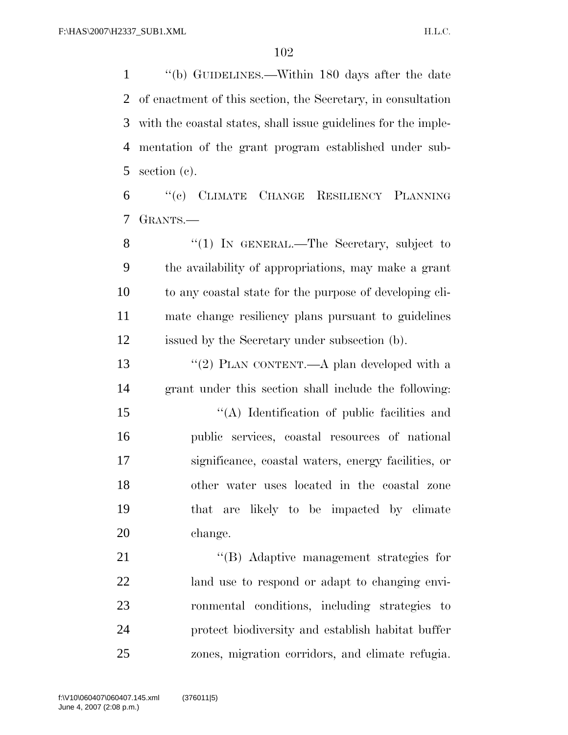''(b) GUIDELINES.—Within 180 days after the date of enactment of this section, the Secretary, in consultation with the coastal states, shall issue guidelines for the imple- mentation of the grant program established under sub-section (c).

 ''(c) CLIMATE CHANGE RESILIENCY PLANNING GRANTS.—

8 "(1) IN GENERAL.—The Secretary, subject to the availability of appropriations, may make a grant to any coastal state for the purpose of developing cli- mate change resiliency plans pursuant to guidelines issued by the Secretary under subsection (b).

13 "(2) PLAN CONTENT.—A plan developed with a grant under this section shall include the following:

 ''(A) Identification of public facilities and public services, coastal resources of national significance, coastal waters, energy facilities, or other water uses located in the coastal zone that are likely to be impacted by climate change.

21 ''(B) Adaptive management strategies for land use to respond or adapt to changing envi- ronmental conditions, including strategies to protect biodiversity and establish habitat buffer zones, migration corridors, and climate refugia.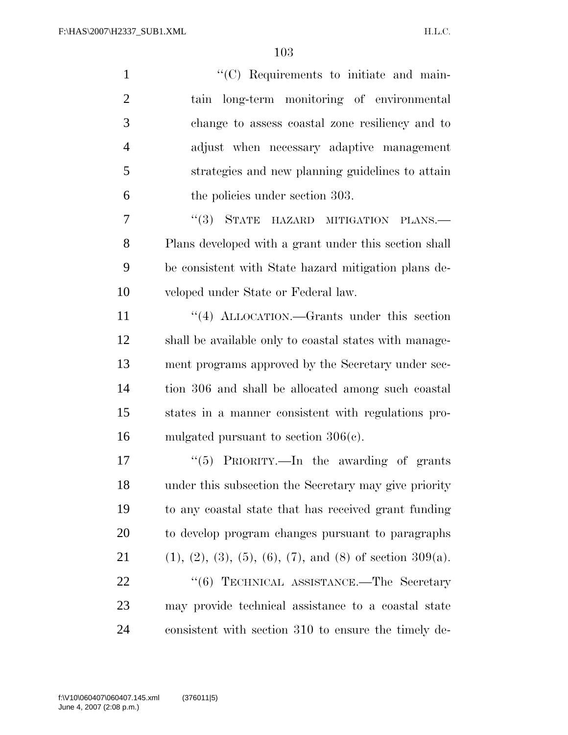$"({\rm C})$  Requirements to initiate and main- tain long-term monitoring of environmental change to assess coastal zone resiliency and to adjust when necessary adaptive management strategies and new planning guidelines to attain the policies under section 303. 7 "(3) STATE HAZARD MITIGATION PLANS.—

 Plans developed with a grant under this section shall be consistent with State hazard mitigation plans de-veloped under State or Federal law.

11 ''(4) ALLOCATION.—Grants under this section shall be available only to coastal states with manage- ment programs approved by the Secretary under sec- tion 306 and shall be allocated among such coastal states in a manner consistent with regulations pro-mulgated pursuant to section 306(c).

17 "(5) PRIORITY.—In the awarding of grants under this subsection the Secretary may give priority to any coastal state that has received grant funding to develop program changes pursuant to paragraphs 21 (1), (2), (3), (5), (6), (7), and (8) of section 309(a). 22 "(6) TECHNICAL ASSISTANCE.—The Secretary may provide technical assistance to a coastal state consistent with section 310 to ensure the timely de-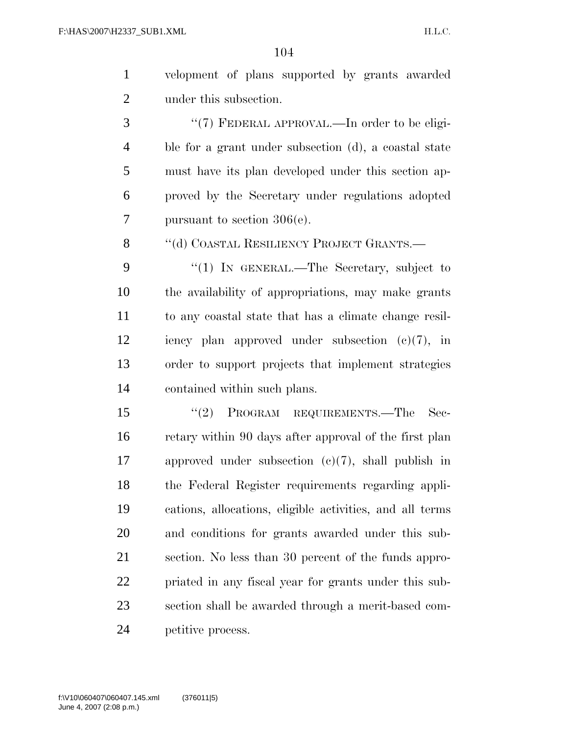| $\overline{1}$ | velopment of plans supported by grants awarded        |
|----------------|-------------------------------------------------------|
| 2              | under this subsection.                                |
| 3              | " $(7)$ FEDERAL APPROVAL.—In order to be eligi-       |
| 4              | ble for a grant under subsection (d), a coastal state |

 must have its plan developed under this section ap- proved by the Secretary under regulations adopted pursuant to section 306(e).

8 "(d) COASTAL RESILIENCY PROJECT GRANTS.—

9 "(1) IN GENERAL.—The Secretary, subject to the availability of appropriations, may make grants to any coastal state that has a climate change resil- iency plan approved under subsection (c)(7), in order to support projects that implement strategies contained within such plans.

15 "(2) PROGRAM REQUIREMENTS.—The Sec- retary within 90 days after approval of the first plan approved under subsection (c)(7), shall publish in the Federal Register requirements regarding appli- cations, allocations, eligible activities, and all terms and conditions for grants awarded under this sub- section. No less than 30 percent of the funds appro- priated in any fiscal year for grants under this sub- section shall be awarded through a merit-based com-petitive process.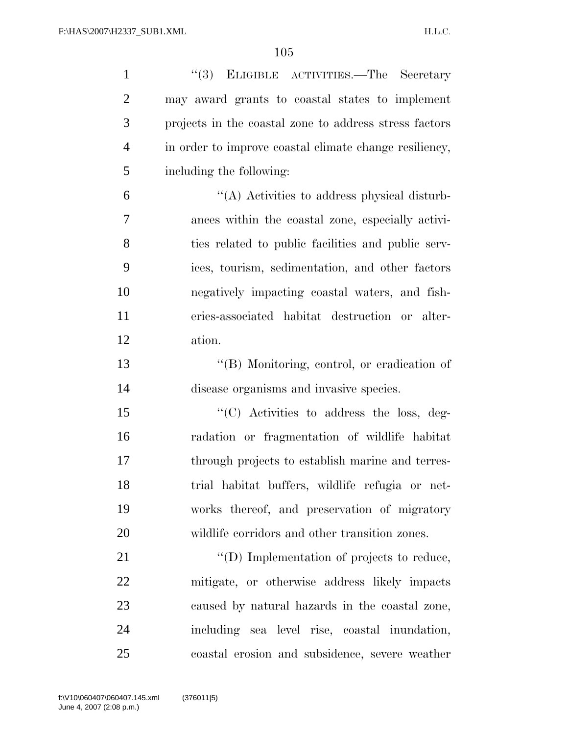| $\mathbf{1}$   | "(3) ELIGIBLE ACTIVITIES.—The Secretary                |
|----------------|--------------------------------------------------------|
| $\overline{2}$ | may award grants to coastal states to implement        |
| 3              | projects in the coastal zone to address stress factors |
| $\overline{4}$ | in order to improve coastal climate change resiliency, |
| 5              | including the following:                               |
| 6              | "(A) Activities to address physical disturb-           |
| 7              | ances within the coastal zone, especially activi-      |
| 8              | ties related to public facilities and public serv-     |
| 9              | ices, tourism, sedimentation, and other factors        |
| 10             | negatively impacting coastal waters, and fish-         |
| 11             | eries-associated habitat destruction or alter-         |
| 12             | ation.                                                 |
| 13             | "(B) Monitoring, control, or eradication of            |
| 14             | disease organisms and invasive species.                |
| 15             | "(C) Activities to address the loss, deg-              |
| 16             | radation or fragmentation of wildlife habitat          |
| 17             | through projects to establish marine and terres-       |
| 18             | trial habitat buffers, wildlife refugia or net-        |
| 19             | works thereof, and preservation of migratory           |
| 20             | wildlife corridors and other transition zones.         |
| 21             | $\lq\lq$ (D) Implementation of projects to reduce,     |
| 22             | mitigate, or otherwise address likely impacts          |
| 23             | caused by natural hazards in the coastal zone,         |
| 24             | including sea level rise, coastal inundation,          |
| 25             | coastal erosion and subsidence, severe weather         |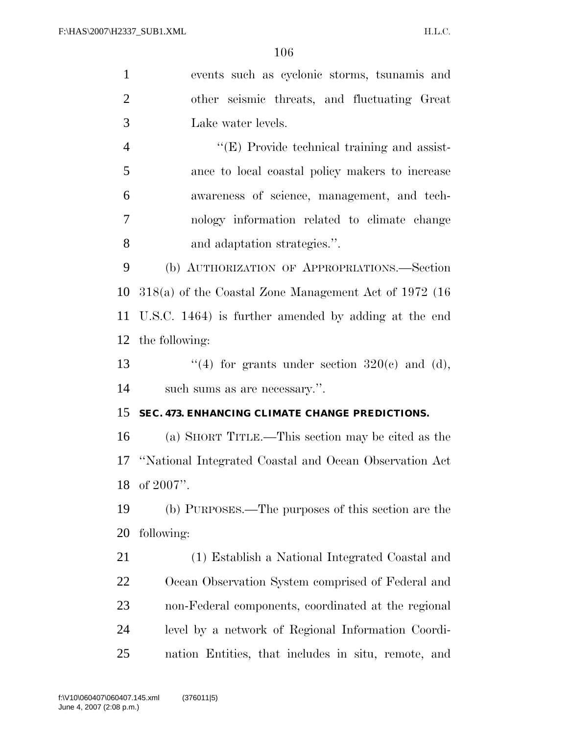| $\mathbf{1}$   | events such as cyclonic storms, tsunamis and             |
|----------------|----------------------------------------------------------|
| $\overline{2}$ | other seismic threats, and fluctuating Great             |
| 3              | Lake water levels.                                       |
| $\overline{4}$ | $\lq\lq$ (E) Provide technical training and assist-      |
| 5              | ance to local coastal policy makers to increase          |
| 6              | awareness of science, management, and tech-              |
| 7              | nology information related to climate change             |
| 8              | and adaptation strategies.".                             |
| 9              | (b) AUTHORIZATION OF APPROPRIATIONS.—Section             |
| 10             | $318(a)$ of the Coastal Zone Management Act of 1972 (16) |
| 11             | U.S.C. 1464) is further amended by adding at the end     |
| 12             | the following:                                           |
| 13             | "(4) for grants under section $320(e)$ and (d),          |
| 14             | such sums as are necessary.".                            |
| 15             | SEC. 473. ENHANCING CLIMATE CHANGE PREDICTIONS.          |
| 16             | (a) SHORT TITLE.—This section may be cited as the        |
| 17             | "National Integrated Coastal and Ocean Observation Act   |
| 18             | of 2007".                                                |
| 19             | (b) PURPOSES.—The purposes of this section are the       |
| 20             | following:                                               |
| 21             | (1) Establish a National Integrated Coastal and          |
| 22             | Ocean Observation System comprised of Federal and        |
| 23             | non-Federal components, coordinated at the regional      |
| 24             | level by a network of Regional Information Coordi-       |
| 25             | nation Entities, that includes in situ, remote, and      |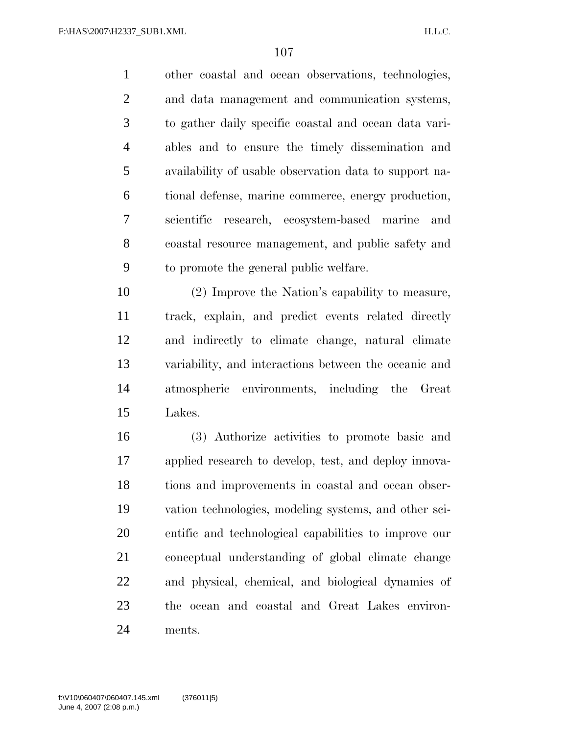other coastal and ocean observations, technologies, and data management and communication systems, to gather daily specific coastal and ocean data vari- ables and to ensure the timely dissemination and availability of usable observation data to support na- tional defense, marine commerce, energy production, scientific research, ecosystem-based marine and coastal resource management, and public safety and to promote the general public welfare.

 (2) Improve the Nation's capability to measure, track, explain, and predict events related directly and indirectly to climate change, natural climate variability, and interactions between the oceanic and atmospheric environments, including the Great Lakes.

 (3) Authorize activities to promote basic and applied research to develop, test, and deploy innova- tions and improvements in coastal and ocean obser- vation technologies, modeling systems, and other sci- entific and technological capabilities to improve our conceptual understanding of global climate change and physical, chemical, and biological dynamics of the ocean and coastal and Great Lakes environ-ments.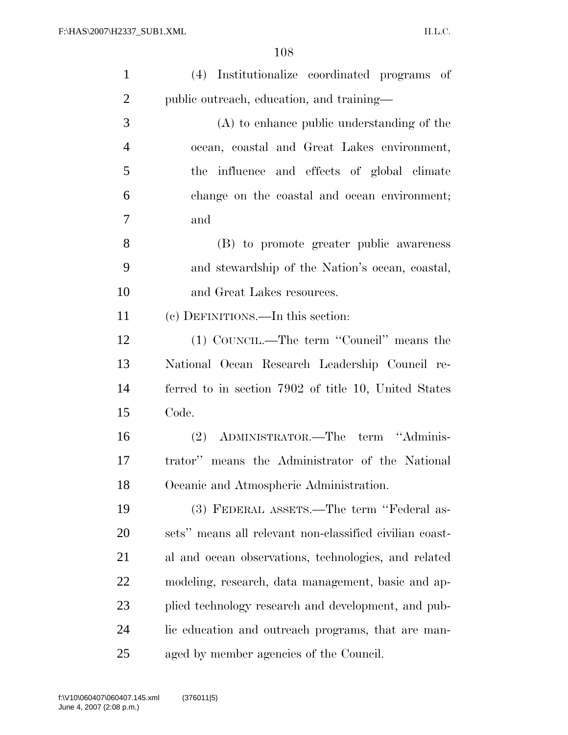| $\mathbf{1}$   | (4) Institutionalize coordinated programs of            |
|----------------|---------------------------------------------------------|
| $\overline{c}$ | public outreach, education, and training—               |
| 3              | $(A)$ to enhance public understanding of the            |
| $\overline{4}$ | ocean, coastal and Great Lakes environment,             |
| 5              | the influence and effects of global climate             |
| 6              | change on the coastal and ocean environment;            |
| $\overline{7}$ | and                                                     |
| 8              | (B) to promote greater public awareness                 |
| 9              | and stewardship of the Nation's ocean, coastal,         |
| 10             | and Great Lakes resources.                              |
| 11             | (c) DEFINITIONS.—In this section:                       |
| 12             | (1) COUNCIL.—The term "Council" means the               |
| 13             | National Ocean Research Leadership Council re-          |
| 14             | ferred to in section 7902 of title 10, United States    |
| 15             | Code.                                                   |
| 16             | (2) ADMINISTRATOR.—The term "Adminis-                   |
| 17             | trator" means the Administrator of the National         |
| 18             | Oceanic and Atmospheric Administration.                 |
| 19             | (3) FEDERAL ASSETS.—The term "Federal as-               |
| 20             | sets" means all relevant non-classified civilian coast- |
| 21             | al and ocean observations, technologies, and related    |
| 22             | modeling, research, data management, basic and ap-      |
| 23             | plied technology research and development, and pub-     |
| 24             | lic education and outreach programs, that are man-      |
| 25             | aged by member agencies of the Council.                 |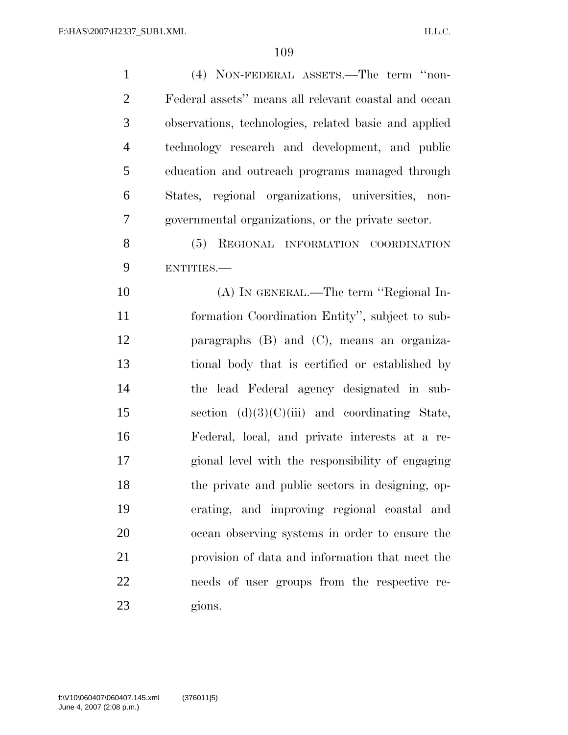| $\mathbf{1}$   | (4) NON-FEDERAL ASSETS.—The term "non-                |
|----------------|-------------------------------------------------------|
| $\overline{2}$ | Federal assets" means all relevant coastal and ocean  |
| 3              | observations, technologies, related basic and applied |
| $\overline{4}$ | technology research and development, and public       |
| 5              | education and outreach programs managed through       |
| 6              | States, regional organizations, universities, non-    |
| $\overline{7}$ | governmental organizations, or the private sector.    |
| 8              | (5) REGIONAL INFORMATION COORDINATION                 |
| 9              | ENTITIES.                                             |
| 10             | (A) IN GENERAL.—The term "Regional In-                |
| 11             | formation Coordination Entity", subject to sub-       |
| 12             | paragraphs $(B)$ and $(C)$ , means an organiza-       |
| 13             | tional body that is certified or established by       |
| 14             | the lead Federal agency designated in sub-            |
| 15             | section $(d)(3)(C)(iii)$ and coordinating State,      |
| 16             | Federal, local, and private interests at a re-        |
| 17             | gional level with the responsibility of engaging      |
| 18             | the private and public sectors in designing, op-      |
| 19             | erating, and improving regional coastal and           |
| 20             | ocean observing systems in order to ensure the        |
| 21             | provision of data and information that meet the       |
| 22             | needs of user groups from the respective re-          |
| 23             | gions.                                                |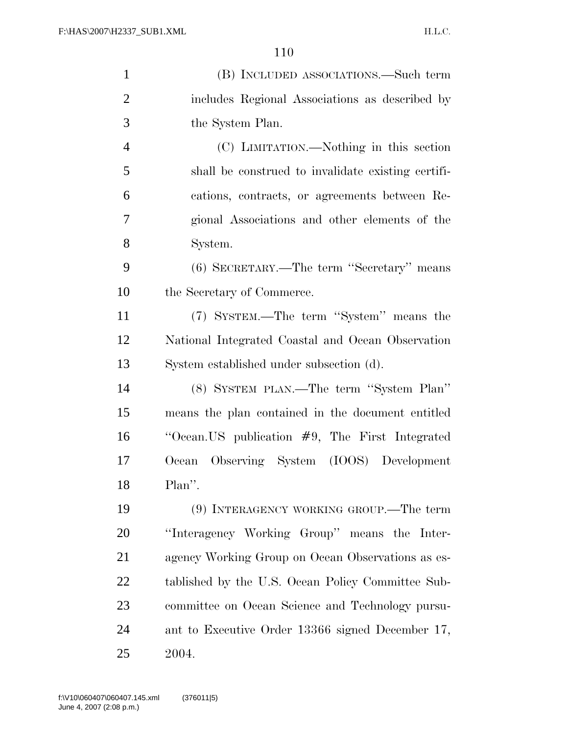| $\mathbf{1}$   | (B) INCLUDED ASSOCIATIONS.—Such term               |
|----------------|----------------------------------------------------|
| $\overline{2}$ | includes Regional Associations as described by     |
| 3              | the System Plan.                                   |
| $\overline{4}$ | (C) LIMITATION.—Nothing in this section            |
| 5              | shall be construed to invalidate existing certifi- |
| 6              | cations, contracts, or agreements between Re-      |
| 7              | gional Associations and other elements of the      |
| 8              | System.                                            |
| 9              | (6) SECRETARY.—The term "Secretary" means          |
| 10             | the Secretary of Commerce.                         |
| 11             | (7) SYSTEM.—The term "System" means the            |
| 12             | National Integrated Coastal and Ocean Observation  |
| 13             | System established under subsection (d).           |
| 14             | (8) SYSTEM PLAN.—The term "System Plan"            |
| 15             | means the plan contained in the document entitled  |
| 16             | "Ocean. US publication $#9$ , The First Integrated |
| 17             | Observing System (IOOS) Development<br>Ocean       |
| 18             | Plan".                                             |
| 19             | (9) INTERAGENCY WORKING GROUP.—The term            |
| 20             | "Interagency Working Group" means the Inter-       |
| 21             | agency Working Group on Ocean Observations as es-  |
| 22             | tablished by the U.S. Ocean Policy Committee Sub-  |
| 23             | committee on Ocean Science and Technology pursu-   |
| 24             | ant to Executive Order 13366 signed December 17,   |
| 25             | 2004.                                              |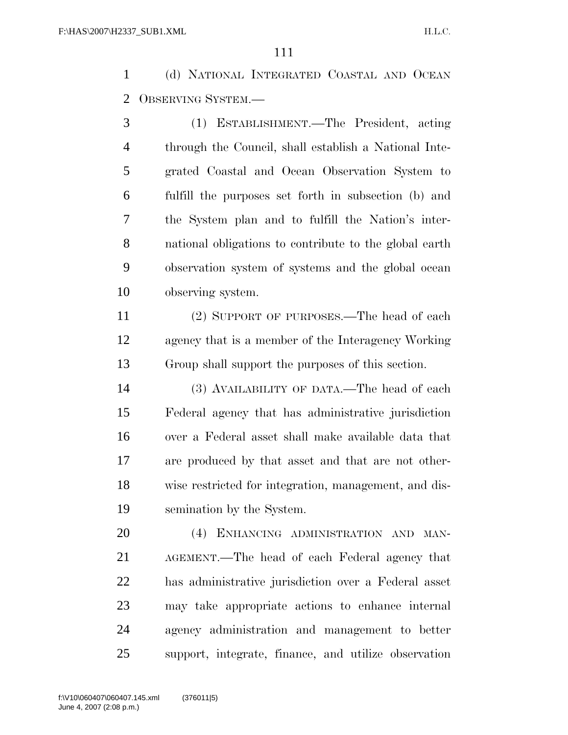(d) NATIONAL INTEGRATED COASTAL AND OCEAN OBSERVING SYSTEM.—

 (1) ESTABLISHMENT.—The President, acting through the Council, shall establish a National Inte- grated Coastal and Ocean Observation System to fulfill the purposes set forth in subsection (b) and the System plan and to fulfill the Nation's inter- national obligations to contribute to the global earth observation system of systems and the global ocean observing system.

 (2) SUPPORT OF PURPOSES.—The head of each agency that is a member of the Interagency Working Group shall support the purposes of this section.

 (3) AVAILABILITY OF DATA.—The head of each Federal agency that has administrative jurisdiction over a Federal asset shall make available data that are produced by that asset and that are not other- wise restricted for integration, management, and dis-semination by the System.

 (4) ENHANCING ADMINISTRATION AND MAN- AGEMENT.—The head of each Federal agency that has administrative jurisdiction over a Federal asset may take appropriate actions to enhance internal agency administration and management to better support, integrate, finance, and utilize observation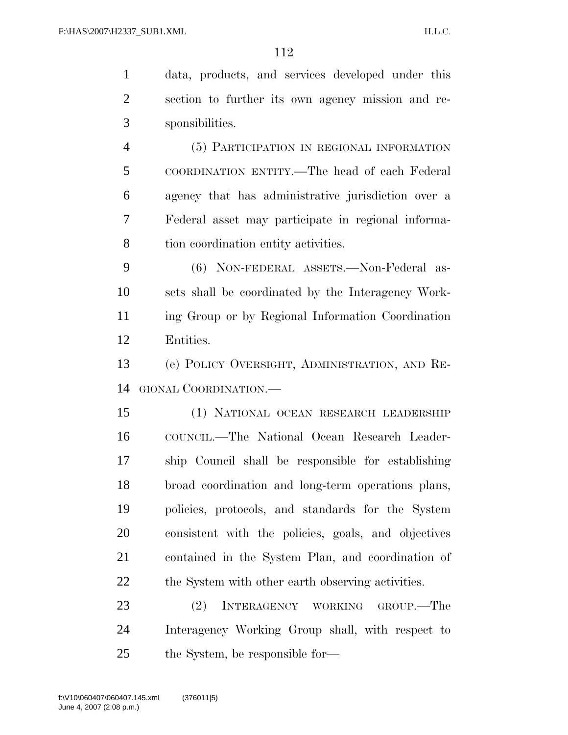data, products, and services developed under this section to further its own agency mission and re- sponsibilities. (5) PARTICIPATION IN REGIONAL INFORMATION COORDINATION ENTITY.—The head of each Federal agency that has administrative jurisdiction over a Federal asset may participate in regional informa-

tion coordination entity activities.

 (6) NON-FEDERAL ASSETS.—Non-Federal as- sets shall be coordinated by the Interagency Work- ing Group or by Regional Information Coordination Entities.

 (e) POLICY OVERSIGHT, ADMINISTRATION, AND RE-GIONAL COORDINATION.—

 (1) NATIONAL OCEAN RESEARCH LEADERSHIP COUNCIL.—The National Ocean Research Leader- ship Council shall be responsible for establishing broad coordination and long-term operations plans, policies, protocols, and standards for the System consistent with the policies, goals, and objectives contained in the System Plan, and coordination of the System with other earth observing activities.

 (2) INTERAGENCY WORKING GROUP.—The Interagency Working Group shall, with respect to the System, be responsible for—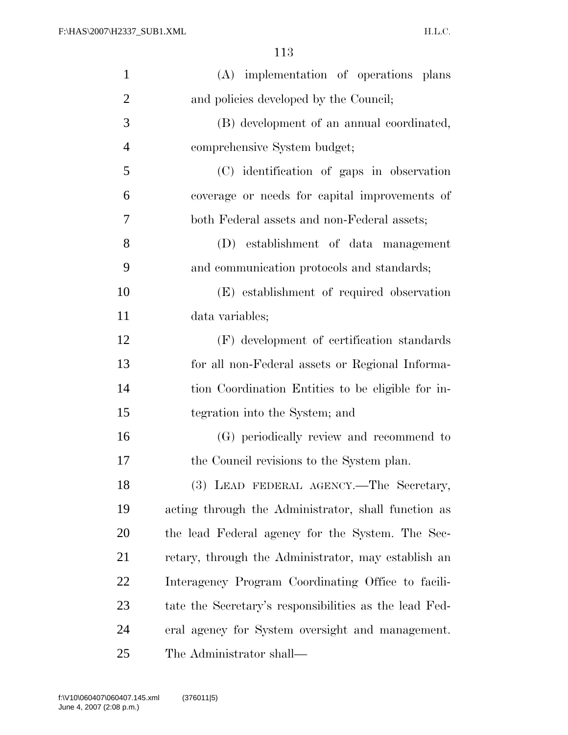| $\mathbf{1}$   | (A) implementation of operations plans                 |
|----------------|--------------------------------------------------------|
| $\overline{2}$ | and policies developed by the Council;                 |
| 3              | (B) development of an annual coordinated,              |
| $\overline{4}$ | comprehensive System budget;                           |
| 5              | (C) identification of gaps in observation              |
| 6              | coverage or needs for capital improvements of          |
| 7              | both Federal assets and non-Federal assets;            |
| 8              | (D) establishment of data management                   |
| 9              | and communication protocols and standards;             |
| 10             | (E) establishment of required observation              |
| 11             | data variables;                                        |
| 12             | (F) development of certification standards             |
| 13             | for all non-Federal assets or Regional Informa-        |
| 14             | tion Coordination Entities to be eligible for in-      |
| 15             | tegration into the System; and                         |
| 16             | (G) periodically review and recommend to               |
| 17             | the Council revisions to the System plan.              |
| 18             | (3) LEAD FEDERAL AGENCY.—The Secretary,                |
| 19             | acting through the Administrator, shall function as    |
| 20             | the lead Federal agency for the System. The Sec-       |
| 21             | retary, through the Administrator, may establish an    |
| 22             | Interagency Program Coordinating Office to facili-     |
| 23             | tate the Secretary's responsibilities as the lead Fed- |
| 24             | eral agency for System oversight and management.       |
| 25             | The Administrator shall—                               |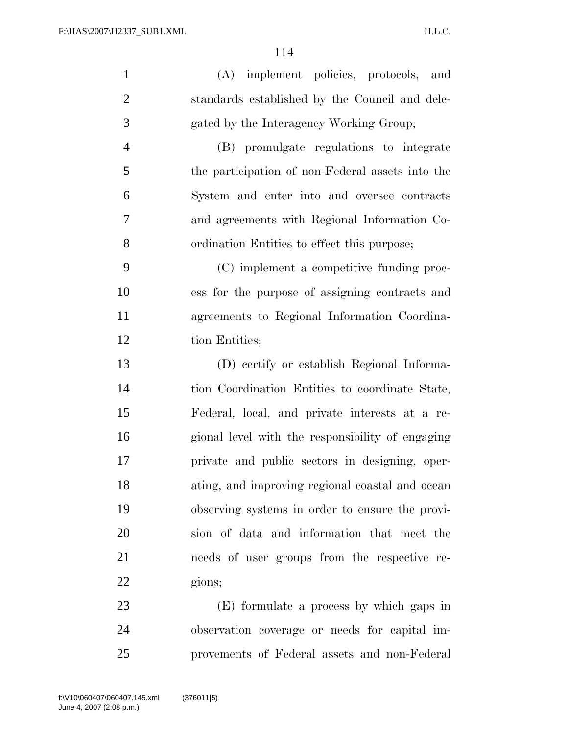| $\mathbf{1}$   | (A) implement policies, protocols, and           |
|----------------|--------------------------------------------------|
| $\overline{2}$ | standards established by the Council and dele-   |
| 3              | gated by the Interagency Working Group;          |
| $\overline{4}$ | (B) promulgate regulations to integrate          |
| 5              | the participation of non-Federal assets into the |
| 6              | System and enter into and oversee contracts      |
| 7              | and agreements with Regional Information Co-     |
| 8              | ordination Entities to effect this purpose;      |
| 9              | (C) implement a competitive funding proc-        |
| 10             | ess for the purpose of assigning contracts and   |
| 11             | agreements to Regional Information Coordina-     |
| 12             | tion Entities;                                   |
| 13             | (D) certify or establish Regional Informa-       |
| 14             | tion Coordination Entities to coordinate State,  |
| 15             | Federal, local, and private interests at a re-   |
| 16             | gional level with the responsibility of engaging |
| 17             | private and public sectors in designing, oper-   |
| 18             | ating, and improving regional coastal and ocean  |
| 19             | observing systems in order to ensure the provi-  |
| 20             | sion of data and information that meet the       |
| 21             | needs of user groups from the respective re-     |
| 22             | gions;                                           |
| 23             | (E) formulate a process by which gaps in         |
| 24             | observation coverage or needs for capital im-    |

provements of Federal assets and non-Federal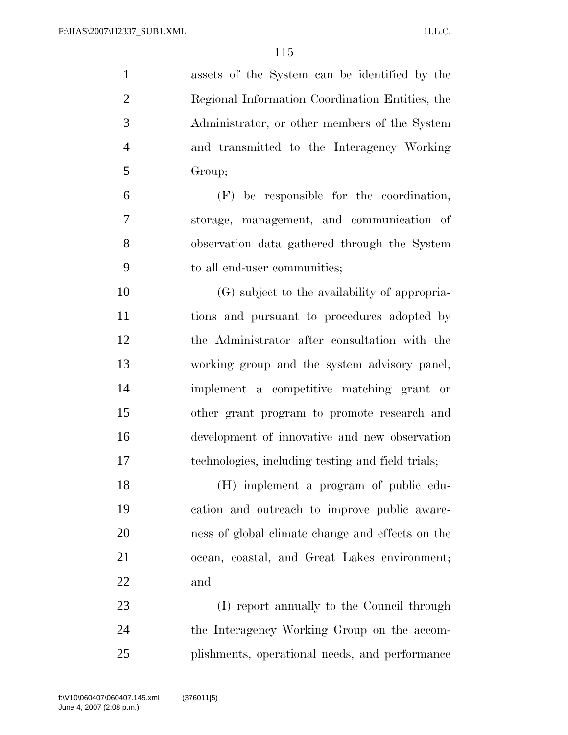| $\mathbf{1}$   | assets of the System can be identified by the     |
|----------------|---------------------------------------------------|
| $\overline{2}$ | Regional Information Coordination Entities, the   |
| 3              | Administrator, or other members of the System     |
| $\overline{4}$ | and transmitted to the Interagency Working        |
| 5              | Group;                                            |
| 6              | $(F)$ be responsible for the coordination,        |
| 7              | storage, management, and communication of         |
| 8              | observation data gathered through the System      |
| 9              | to all end-user communities;                      |
| 10             | (G) subject to the availability of appropria-     |
| 11             | tions and pursuant to procedures adopted by       |
| 12             | the Administrator after consultation with the     |
| 13             | working group and the system advisory panel,      |
| 14             | implement a competitive matching grant or         |
| 15             | other grant program to promote research and       |
| 16             | development of innovative and new observation     |
| 17             | technologies, including testing and field trials; |
| 18             | (H) implement a program of public edu-            |
| 19             | cation and outreach to improve public aware-      |
| 20             | ness of global climate change and effects on the  |
| 21             | ocean, coastal, and Great Lakes environment;      |
| 22             | and                                               |
| 23             | (I) report annually to the Council through        |
| 24             | the Interagency Working Group on the accom-       |
| 25             | plishments, operational needs, and performance    |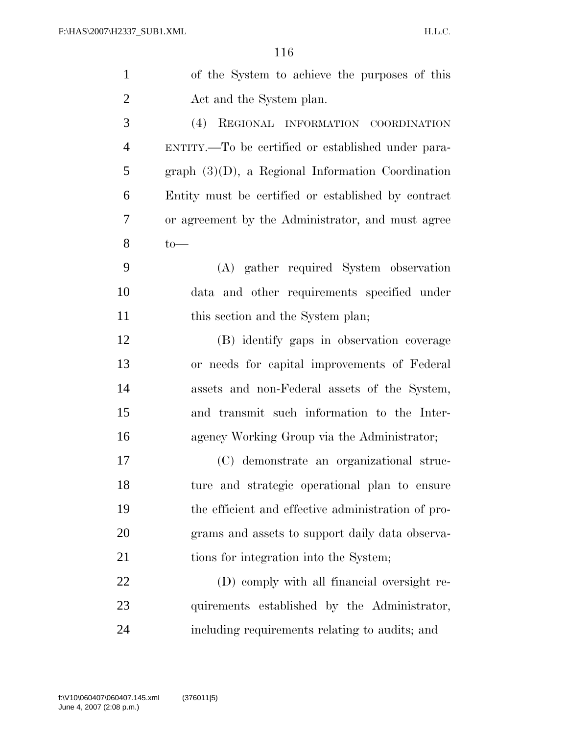| $\mathbf{1}$   | of the System to achieve the purposes of this        |
|----------------|------------------------------------------------------|
| $\overline{2}$ | Act and the System plan.                             |
| 3              | REGIONAL INFORMATION COORDINATION<br>(4)             |
| $\overline{4}$ | ENTITY.—To be certified or established under para-   |
| 5              | graph $(3)(D)$ , a Regional Information Coordination |
| 6              | Entity must be certified or established by contract  |
| 7              | or agreement by the Administrator, and must agree    |
| 8              | $to-$                                                |
| 9              | (A) gather required System observation               |
| 10             | data and other requirements specified under          |
| 11             | this section and the System plan;                    |
| 12             | (B) identify gaps in observation coverage            |
| 13             | or needs for capital improvements of Federal         |
| 14             | assets and non-Federal assets of the System,         |
| 15             | and transmit such information to the Inter-          |
| 16             | agency Working Group via the Administrator;          |
| 17             | (C) demonstrate an organizational struc-             |
| 18             | ture and strategic operational plan to ensure        |
| 19             | the efficient and effective administration of pro-   |
| 20             | grams and assets to support daily data observa-      |
| 21             | tions for integration into the System;               |
| 22             | (D) comply with all financial oversight re-          |
| 23             | quirements established by the Administrator,         |
| 24             | including requirements relating to audits; and       |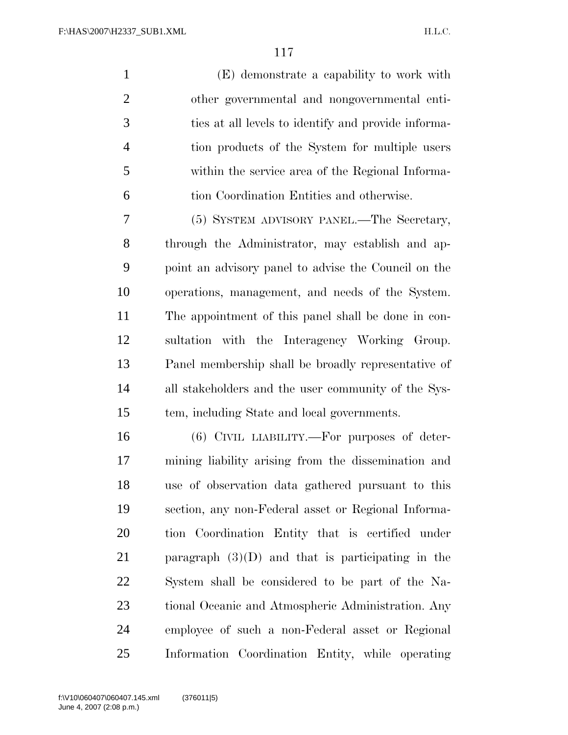(E) demonstrate a capability to work with other governmental and nongovernmental enti- ties at all levels to identify and provide informa- tion products of the System for multiple users within the service area of the Regional Informa-tion Coordination Entities and otherwise.

 (5) SYSTEM ADVISORY PANEL.—The Secretary, through the Administrator, may establish and ap- point an advisory panel to advise the Council on the operations, management, and needs of the System. The appointment of this panel shall be done in con- sultation with the Interagency Working Group. Panel membership shall be broadly representative of all stakeholders and the user community of the Sys-tem, including State and local governments.

 (6) CIVIL LIABILITY.—For purposes of deter- mining liability arising from the dissemination and use of observation data gathered pursuant to this section, any non-Federal asset or Regional Informa- tion Coordination Entity that is certified under paragraph (3)(D) and that is participating in the System shall be considered to be part of the Na- tional Oceanic and Atmospheric Administration. Any employee of such a non-Federal asset or Regional Information Coordination Entity, while operating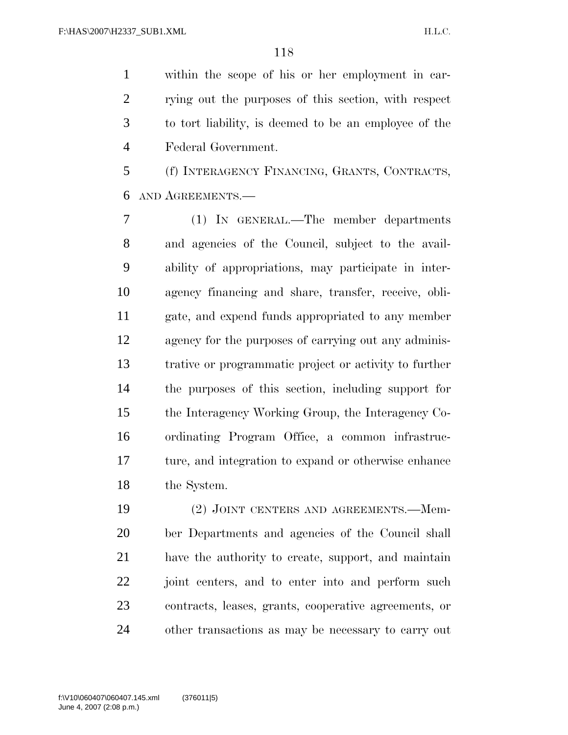within the scope of his or her employment in car- rying out the purposes of this section, with respect to tort liability, is deemed to be an employee of the Federal Government.

 (f) INTERAGENCY FINANCING, GRANTS, CONTRACTS, AND AGREEMENTS.—

 (1) IN GENERAL.—The member departments and agencies of the Council, subject to the avail- ability of appropriations, may participate in inter- agency financing and share, transfer, receive, obli- gate, and expend funds appropriated to any member agency for the purposes of carrying out any adminis- trative or programmatic project or activity to further the purposes of this section, including support for the Interagency Working Group, the Interagency Co- ordinating Program Office, a common infrastruc- ture, and integration to expand or otherwise enhance the System.

19 (2) JOINT CENTERS AND AGREEMENTS. Mem- ber Departments and agencies of the Council shall have the authority to create, support, and maintain joint centers, and to enter into and perform such contracts, leases, grants, cooperative agreements, or other transactions as may be necessary to carry out